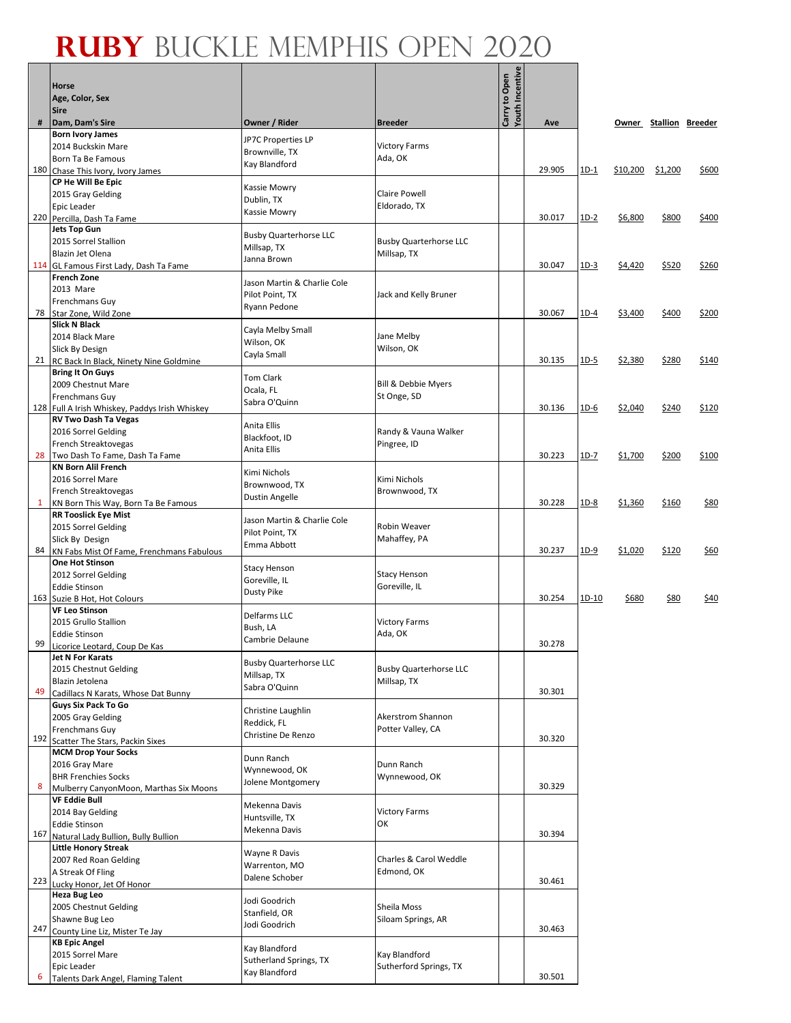#### **Ruby** Buckle Memphis Open 2020┱

Г

 $\overline{\phantom{0}}$ 

|              | <b>Horse</b><br>Age, Color, Sex<br>Sire                                |                                              |                                              | <b>Youth Incentive</b><br>Carry to Open |        |        |          |                        |       |
|--------------|------------------------------------------------------------------------|----------------------------------------------|----------------------------------------------|-----------------------------------------|--------|--------|----------|------------------------|-------|
| #            | Dam, Dam's Sire                                                        | Owner / Rider                                | <b>Breeder</b>                               |                                         | Ave    |        |          | Owner Stallion Breeder |       |
|              | <b>Born Ivory James</b>                                                | JP7C Properties LP                           |                                              |                                         |        |        |          |                        |       |
|              | 2014 Buckskin Mare<br>Born Ta Be Famous                                | Brownville, TX                               | <b>Victory Farms</b><br>Ada, OK              |                                         |        |        |          |                        |       |
|              | 180 Chase This Ivory, Ivory James                                      | Kay Blandford                                |                                              |                                         | 29.905 | $1D-1$ | \$10,200 | \$1,200                | \$600 |
|              | CP He Will Be Epic                                                     | Kassie Mowry                                 |                                              |                                         |        |        |          |                        |       |
|              | 2015 Gray Gelding<br>Epic Leader                                       | Dublin, TX                                   | <b>Claire Powell</b><br>Eldorado, TX         |                                         |        |        |          |                        |       |
|              | 220 Percilla, Dash Ta Fame                                             | Kassie Mowry                                 |                                              |                                         | 30.017 | $1D-2$ | \$6,800  | \$800                  | \$400 |
|              | <b>Jets Top Gun</b>                                                    | <b>Busby Quarterhorse LLC</b>                |                                              |                                         |        |        |          |                        |       |
|              | 2015 Sorrel Stallion<br>Blazin Jet Olena                               | Millsap, TX                                  | <b>Busby Quarterhorse LLC</b><br>Millsap, TX |                                         |        |        |          |                        |       |
|              | 114 GL Famous First Lady, Dash Ta Fame                                 | Janna Brown                                  |                                              |                                         | 30.047 | $1D-3$ | \$4,420  | \$520                  | \$260 |
|              | <b>French Zone</b>                                                     | Jason Martin & Charlie Cole                  |                                              |                                         |        |        |          |                        |       |
|              | 2013 Mare<br>Frenchmans Guy                                            | Pilot Point, TX                              | Jack and Kelly Bruner                        |                                         |        |        |          |                        |       |
| 78           | Star Zone, Wild Zone                                                   | Ryann Pedone                                 |                                              |                                         | 30.067 | $1D-4$ | \$3,400  | \$400                  | \$200 |
|              | <b>Slick N Black</b><br>2014 Black Mare                                | Cayla Melby Small                            | Jane Melby                                   |                                         |        |        |          |                        |       |
|              | Slick By Design                                                        | Wilson, OK                                   | Wilson, OK                                   |                                         |        |        |          |                        |       |
|              | 21 RC Back In Black, Ninety Nine Goldmine                              | Cayla Small                                  |                                              |                                         | 30.135 | $1D-5$ | \$2,380  | \$280                  | \$140 |
|              | <b>Bring It On Guys</b><br>2009 Chestnut Mare                          | Tom Clark                                    | <b>Bill &amp; Debbie Myers</b>               |                                         |        |        |          |                        |       |
|              | Frenchmans Guy                                                         | Ocala, FL                                    | St Onge, SD                                  |                                         |        |        |          |                        |       |
|              | 128 Full A Irish Whiskey, Paddys Irish Whiskey                         | Sabra O'Quinn                                |                                              |                                         | 30.136 | $1D-6$ | \$2,040  | \$240                  | \$120 |
|              | <b>RV Two Dash Ta Vegas</b><br>2016 Sorrel Gelding                     | Anita Ellis                                  | Randy & Vauna Walker                         |                                         |        |        |          |                        |       |
|              | French Streaktovegas                                                   | Blackfoot, ID<br>Anita Ellis                 | Pingree, ID                                  |                                         |        |        |          |                        |       |
|              | 28 Two Dash To Fame, Dash Ta Fame                                      |                                              |                                              |                                         | 30.223 | $1D-7$ | \$1,700  | \$200                  | \$100 |
|              | <b>KN Born Alil French</b><br>2016 Sorrel Mare                         | Kimi Nichols                                 | Kimi Nichols                                 |                                         |        |        |          |                        |       |
|              | French Streaktovegas                                                   | Brownwood, TX<br><b>Dustin Angelle</b>       | Brownwood, TX                                |                                         |        |        |          |                        |       |
| $\mathbf{1}$ | KN Born This Way, Born Ta Be Famous                                    |                                              |                                              |                                         | 30.228 | $1D-8$ | \$1,360  | \$160                  | \$80  |
|              | <b>RR Tooslick Eye Mist</b><br>2015 Sorrel Gelding                     | Jason Martin & Charlie Cole                  | Robin Weaver                                 |                                         |        |        |          |                        |       |
|              | Slick By Design                                                        | Pilot Point, TX<br>Emma Abbott               | Mahaffey, PA                                 |                                         |        |        |          |                        |       |
|              | 84 KN Fabs Mist Of Fame, Frenchmans Fabulous<br><b>One Hot Stinson</b> |                                              |                                              |                                         | 30.237 | $1D-9$ | \$1,020  | \$120                  | \$60  |
|              | 2012 Sorrel Gelding                                                    | <b>Stacy Henson</b>                          | <b>Stacy Henson</b>                          |                                         |        |        |          |                        |       |
|              | <b>Eddie Stinson</b>                                                   | Goreville, IL<br>Dusty Pike                  | Goreville, IL                                |                                         |        |        |          |                        |       |
|              | 163 Suzie B Hot. Hot Colours<br><b>VF Leo Stinson</b>                  |                                              |                                              |                                         | 30.254 | 1D-10  | \$680    | \$80                   | \$40  |
|              | 2015 Grullo Stallion                                                   | Delfarms LLC<br>Bush, LA                     | <b>Victory Farms</b>                         |                                         |        |        |          |                        |       |
| 99           | Eddie Stinson                                                          | Cambrie Delaune                              | Ada, OK                                      |                                         | 30.278 |        |          |                        |       |
|              | Licorice Leotard, Coup De Kas<br><b>Jet N For Karats</b>               |                                              |                                              |                                         |        |        |          |                        |       |
|              | 2015 Chestnut Gelding                                                  | <b>Busby Quarterhorse LLC</b><br>Millsap, TX | <b>Busby Quarterhorse LLC</b>                |                                         |        |        |          |                        |       |
| 49           | Blazin Jetolena<br>Cadillacs N Karats, Whose Dat Bunny                 | Sabra O'Quinn                                | Millsap, TX                                  |                                         | 30.301 |        |          |                        |       |
|              | <b>Guys Six Pack To Go</b>                                             | Christine Laughlin                           |                                              |                                         |        |        |          |                        |       |
|              | 2005 Gray Gelding                                                      | Reddick, FL                                  | Akerstrom Shannon                            |                                         |        |        |          |                        |       |
| 192          | Frenchmans Guy<br>Scatter The Stars, Packin Sixes                      | Christine De Renzo                           | Potter Valley, CA                            |                                         | 30.320 |        |          |                        |       |
|              | <b>MCM Drop Your Socks</b>                                             | Dunn Ranch                                   |                                              |                                         |        |        |          |                        |       |
|              | 2016 Gray Mare<br><b>BHR Frenchies Socks</b>                           | Wynnewood, OK                                | Dunn Ranch<br>Wynnewood, OK                  |                                         |        |        |          |                        |       |
| 8            | Mulberry CanyonMoon, Marthas Six Moons                                 | Jolene Montgomery                            |                                              |                                         | 30.329 |        |          |                        |       |
|              | <b>VF Eddie Bull</b>                                                   | Mekenna Davis                                |                                              |                                         |        |        |          |                        |       |
|              | 2014 Bay Gelding<br><b>Eddie Stinson</b>                               | Huntsville, TX                               | <b>Victory Farms</b><br>ОΚ                   |                                         |        |        |          |                        |       |
| 167          | Natural Lady Bullion, Bully Bullion                                    | Mekenna Davis                                |                                              |                                         | 30.394 |        |          |                        |       |
|              | <b>Little Honory Streak</b>                                            | Wayne R Davis                                |                                              |                                         |        |        |          |                        |       |
|              | 2007 Red Roan Gelding<br>A Streak Of Fling                             | Warrenton, MO                                | Charles & Carol Weddle<br>Edmond, OK         |                                         |        |        |          |                        |       |
| 223          | Lucky Honor, Jet Of Honor                                              | Dalene Schober                               |                                              |                                         | 30.461 |        |          |                        |       |
|              | Heza Bug Leo                                                           | Jodi Goodrich                                |                                              |                                         |        |        |          |                        |       |
|              | 2005 Chestnut Gelding<br>Shawne Bug Leo                                | Stanfield, OR                                | Sheila Moss<br>Siloam Springs, AR            |                                         |        |        |          |                        |       |
| 247          | County Line Liz, Mister Te Jay                                         | Jodi Goodrich                                |                                              |                                         | 30.463 |        |          |                        |       |
|              | <b>KB Epic Angel</b><br>2015 Sorrel Mare                               | Kay Blandford                                | Kay Blandford                                |                                         |        |        |          |                        |       |
|              | Epic Leader                                                            | Sutherland Springs, TX                       | Sutherford Springs, TX                       |                                         |        |        |          |                        |       |
| 6            | Talents Dark Angel, Flaming Talent                                     | Kay Blandford                                |                                              |                                         | 30.501 |        |          |                        |       |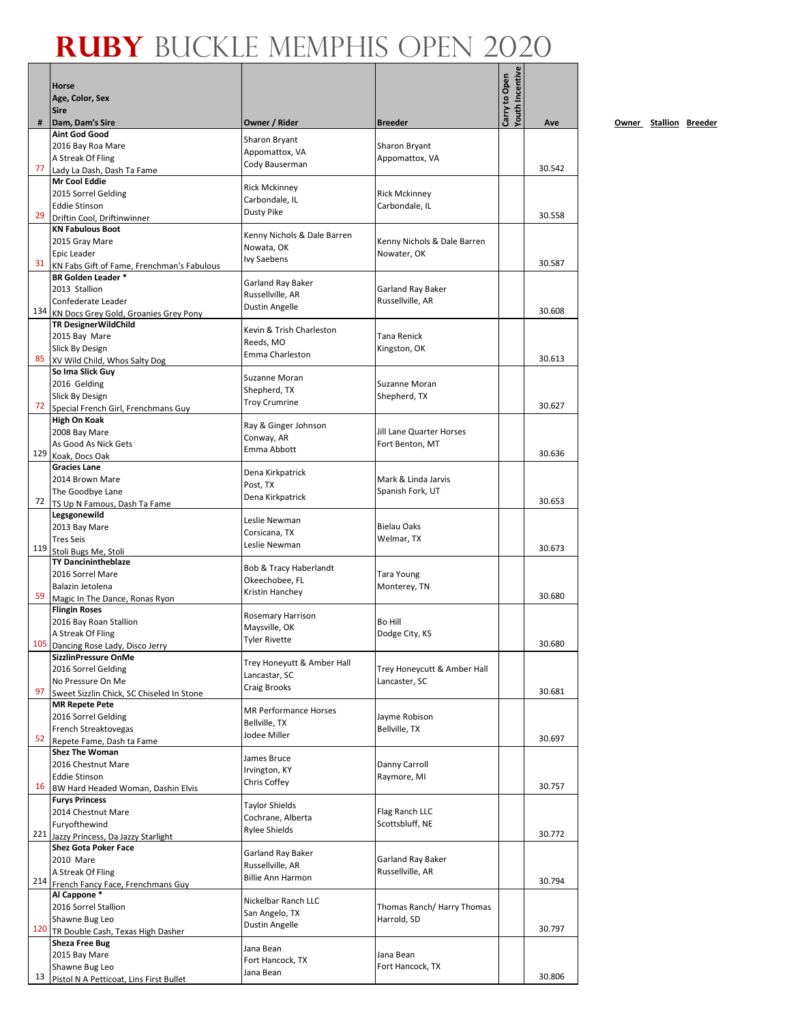|     |                                                                  |                                           |                                    | Youth Incentive |        |
|-----|------------------------------------------------------------------|-------------------------------------------|------------------------------------|-----------------|--------|
|     | Horse                                                            |                                           |                                    | Carry to Open   |        |
|     | Age, Color, Sex<br><b>Sire</b>                                   |                                           |                                    |                 |        |
| #   | Dam, Dam's Sire                                                  | Owner / Rider                             | <b>Breeder</b>                     |                 | Ave    |
|     | <b>Aint God Good</b>                                             |                                           |                                    |                 |        |
|     | 2016 Bay Roa Mare                                                | <b>Sharon Bryant</b><br>Appomattox, VA    | Sharon Bryant                      |                 |        |
|     | A Streak Of Fling                                                | Cody Bauserman                            | Appomattox, VA                     |                 |        |
| 77  | Lady La Dash, Dash Ta Fame<br><b>Mr Cool Eddie</b>               |                                           |                                    |                 | 30.542 |
|     | 2015 Sorrel Gelding                                              | <b>Rick Mckinney</b>                      | <b>Rick Mckinney</b>               |                 |        |
|     | <b>Eddie Stinson</b>                                             | Carbondale, IL                            | Carbondale, IL                     |                 |        |
| 29  | Driftin Cool, Driftinwinner                                      | <b>Dusty Pike</b>                         |                                    |                 | 30.558 |
|     | <b>KN Fabulous Boot</b>                                          | Kenny Nichols & Dale Barren               |                                    |                 |        |
|     | 2015 Gray Mare                                                   | Nowata, OK                                | Kenny Nichols & Dale Barren        |                 |        |
| 31  | <b>Epic Leader</b><br>KN Fabs Gift of Fame, Frenchman's Fabulous | <b>Ivy Saebens</b>                        | Nowater, OK                        |                 | 30.587 |
|     | <b>BR Golden Leader *</b>                                        |                                           |                                    |                 |        |
|     | 2013 Stallion                                                    | Garland Ray Baker                         | Garland Ray Baker                  |                 |        |
|     | Confederate Leader                                               | Russellville, AR<br>Dustin Angelle        | Russellville, AR                   |                 |        |
|     | 134 KN Docs Grey Gold, Groanies Grey Pony                        |                                           |                                    |                 | 30.608 |
|     | <b>TR DesignerWildChild</b>                                      | Kevin & Trish Charleston                  |                                    |                 |        |
|     | 2015 Bay Mare<br>Slick By Design                                 | Reeds, MO                                 | <b>Tana Renick</b><br>Kingston, OK |                 |        |
| 85  | XV Wild Child, Whos Salty Dog                                    | Emma Charleston                           |                                    |                 | 30.613 |
|     | So Ima Slick Guy                                                 | Suzanne Moran                             |                                    |                 |        |
|     | 2016 Gelding                                                     | Shepherd, TX                              | Suzanne Moran                      |                 |        |
|     | Slick By Design                                                  | <b>Troy Crumrine</b>                      | Shepherd, TX                       |                 |        |
| 72  | Special French Girl, Frenchmans Guy                              |                                           |                                    |                 | 30.627 |
|     | High On Koak<br>2008 Bay Mare                                    | Ray & Ginger Johnson                      | Jill Lane Quarter Horses           |                 |        |
|     | As Good As Nick Gets                                             | Conway, AR                                | Fort Benton, MT                    |                 |        |
| 129 | Koak, Docs Oak                                                   | Emma Abbott                               |                                    |                 | 30.636 |
|     | <b>Gracies Lane</b>                                              | Dena Kirkpatrick                          |                                    |                 |        |
|     | 2014 Brown Mare                                                  | Post, TX                                  | Mark & Linda Jarvis                |                 |        |
|     | The Goodbye Lane                                                 | Dena Kirkpatrick                          | Spanish Fork, UT                   |                 | 30.653 |
|     | 72 TS Up N Famous, Dash Ta Fame<br>Legsgonewild                  |                                           |                                    |                 |        |
|     | 2013 Bay Mare                                                    | Leslie Newman                             | <b>Bielau Oaks</b>                 |                 |        |
|     | <b>Tres Seis</b>                                                 | Corsicana, TX                             | Welmar, TX                         |                 |        |
|     | 119 Stoli Bugs Me, Stoli                                         | Leslie Newman                             |                                    |                 | 30.673 |
|     | <b>TY Dancinintheblaze</b>                                       | Bob & Tracy Haberlandt                    |                                    |                 |        |
|     | 2016 Sorrel Mare<br>Balazin Jetolena                             | Okeechobee, FL                            | <b>Tara Young</b>                  |                 |        |
| 59  | Magic In The Dance, Ronas Ryon                                   | Kristin Hanchey                           | Monterey, TN                       |                 | 30.680 |
|     | <b>Flingin Roses</b>                                             |                                           |                                    |                 |        |
|     | 2016 Bay Roan Stallion                                           | <b>Rosemary Harrison</b><br>Maysville, OK | <b>Bo Hill</b>                     |                 |        |
|     | A Streak Of Fling                                                | <b>Tyler Rivette</b>                      | Dodge City, KS                     |                 |        |
|     | 105 Dancing Rose Lady, Disco Jerry                               |                                           |                                    |                 | 30.680 |
|     | SizzlinPressure OnMe<br>2016 Sorrel Gelding                      | Trey Honeyutt & Amber Hall                | Trey Honeycutt & Amber Hall        |                 |        |
|     | No Pressure On Me                                                | Lancastar, SC                             | Lancaster, SC                      |                 |        |
| 97  | Sweet Sizzlin Chick, SC Chiseled In Stone                        | Craig Brooks                              |                                    |                 | 30.681 |
|     | <b>MR Repete Pete</b>                                            | <b>MR Performance Horses</b>              |                                    |                 |        |
|     | 2016 Sorrel Gelding                                              | Bellville, TX                             | Jayme Robison                      |                 |        |
| 52  | French Streaktovegas                                             | Jodee Miller                              | Bellville, TX                      |                 | 30.697 |
|     | Repete Fame, Dash ta Fame<br><b>Shez The Woman</b>               |                                           |                                    |                 |        |
|     | 2016 Chestnut Mare                                               | James Bruce                               | Danny Carroll                      |                 |        |
|     | <b>Eddie Stinson</b>                                             | Irvington, KY                             | Raymore, MI                        |                 |        |
| 16  | BW Hard Headed Woman, Dashin Elvis                               | Chris Coffey                              |                                    |                 | 30.757 |
|     | <b>Furys Princess</b>                                            | <b>Taylor Shields</b>                     |                                    |                 |        |
|     | 2014 Chestnut Mare                                               | Cochrane, Alberta                         | Flag Ranch LLC<br>Scottsbluff, NE  |                 |        |
| 221 | Furyofthewind<br>Jazzy Princess, Da Jazzy Starlight              | <b>Rylee Shields</b>                      |                                    |                 | 30.772 |
|     | <b>Shez Gota Poker Face</b>                                      |                                           |                                    |                 |        |
|     | 2010 Mare                                                        | Garland Ray Baker<br>Russellville, AR     | Garland Ray Baker                  |                 |        |
|     | A Streak Of Fling                                                | <b>Billie Ann Harmon</b>                  | Russellville, AR                   |                 |        |
|     | 214 French Fancy Face, Frenchmans Guy                            |                                           |                                    |                 | 30.794 |
|     | Al Cappone*<br>2016 Sorrel Stallion                              | Nickelbar Ranch LLC                       | Thomas Ranch/ Harry Thomas         |                 |        |
|     | Shawne Bug Leo                                                   | San Angelo, TX                            | Harrold, SD                        |                 |        |
|     | 120 TR Double Cash, Texas High Dasher                            | Dustin Angelle                            |                                    |                 | 30.797 |
|     | <b>Sheza Free Bug</b>                                            | Jana Bean                                 |                                    |                 |        |
|     | 2015 Bay Mare                                                    | Fort Hancock, TX                          | Jana Bean                          |                 |        |
| 13  | Shawne Bug Leo                                                   | Jana Bean                                 | Fort Hancock, TX                   |                 | 30.806 |
|     | Pistol N A Petticoat, Lins First Bullet                          |                                           |                                    |                 |        |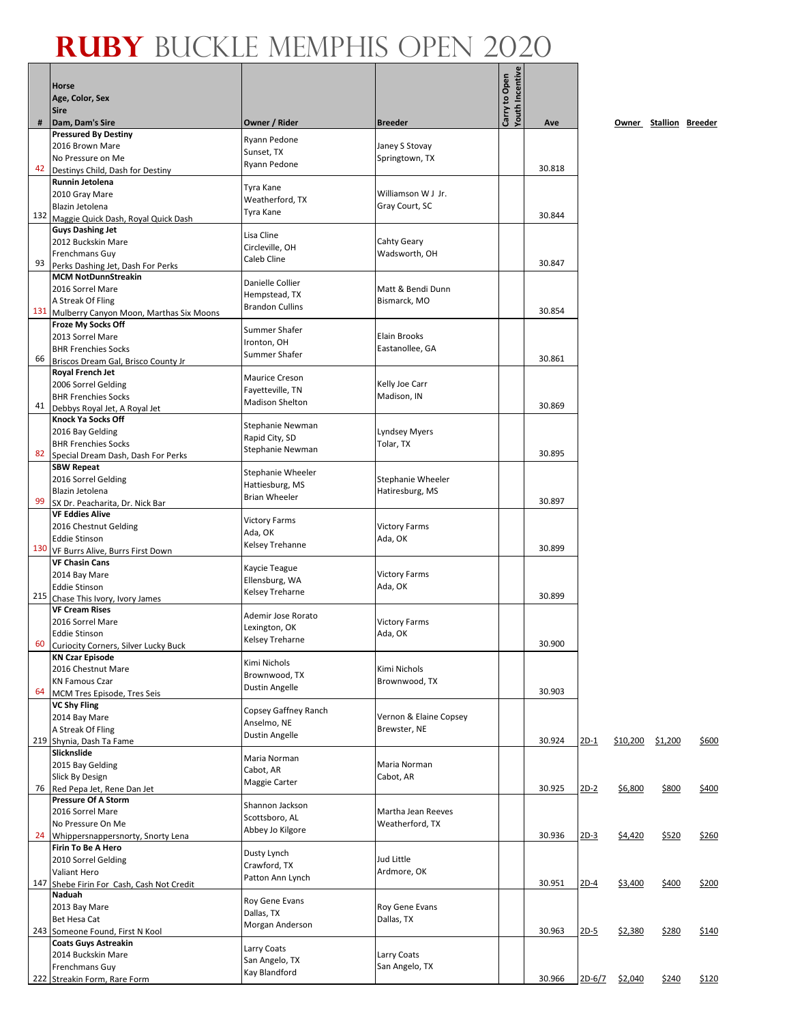|     | <b>Horse</b><br>Age, Color, Sex                              |                                            |                              | <b>Youth Incentive</b><br>Carry to Open |        |             |          |                        |       |
|-----|--------------------------------------------------------------|--------------------------------------------|------------------------------|-----------------------------------------|--------|-------------|----------|------------------------|-------|
| #   | <b>Sire</b><br>Dam, Dam's Sire                               | Owner / Rider                              | <b>Breeder</b>               |                                         | Ave    |             |          |                        |       |
|     | <b>Pressured By Destiny</b>                                  |                                            |                              |                                         |        |             |          | Owner Stallion Breeder |       |
|     | 2016 Brown Mare                                              | Ryann Pedone<br>Sunset, TX                 | Janey S Stovay               |                                         |        |             |          |                        |       |
|     | No Pressure on Me                                            | Ryann Pedone                               | Springtown, TX               |                                         |        |             |          |                        |       |
| 42  | Destinys Child, Dash for Destiny                             |                                            |                              |                                         | 30.818 |             |          |                        |       |
|     | Runnin Jetolena<br>2010 Gray Mare                            | Tyra Kane                                  | Williamson W J Jr.           |                                         |        |             |          |                        |       |
|     | Blazin Jetolena                                              | Weatherford, TX                            | Gray Court, SC               |                                         |        |             |          |                        |       |
|     | 132 Maggie Quick Dash, Royal Quick Dash                      | Tyra Kane                                  |                              |                                         | 30.844 |             |          |                        |       |
|     | <b>Guys Dashing Jet</b>                                      | Lisa Cline                                 |                              |                                         |        |             |          |                        |       |
|     | 2012 Buckskin Mare<br>Frenchmans Guy                         | Circleville, OH                            | Cahty Geary<br>Wadsworth, OH |                                         |        |             |          |                        |       |
| 93  | Perks Dashing Jet, Dash For Perks                            | Caleb Cline                                |                              |                                         | 30.847 |             |          |                        |       |
|     | <b>MCM NotDunnStreakin</b>                                   | Danielle Collier                           |                              |                                         |        |             |          |                        |       |
|     | 2016 Sorrel Mare                                             | Hempstead, TX                              | Matt & Bendi Dunn            |                                         |        |             |          |                        |       |
| 131 | A Streak Of Fling<br>Mulberry Canyon Moon, Marthas Six Moons | <b>Brandon Cullins</b>                     | Bismarck, MO                 |                                         | 30.854 |             |          |                        |       |
|     | <b>Froze My Socks Off</b>                                    |                                            |                              |                                         |        |             |          |                        |       |
|     | 2013 Sorrel Mare                                             | Summer Shafer<br>Ironton, OH               | <b>Elain Brooks</b>          |                                         |        |             |          |                        |       |
| 66  | <b>BHR Frenchies Socks</b>                                   | Summer Shafer                              | Eastanollee, GA              |                                         | 30.861 |             |          |                        |       |
|     | Briscos Dream Gal, Brisco County Jr<br>Royal French Jet      |                                            |                              |                                         |        |             |          |                        |       |
|     | 2006 Sorrel Gelding                                          | <b>Maurice Creson</b>                      | Kelly Joe Carr               |                                         |        |             |          |                        |       |
|     | <b>BHR Frenchies Socks</b>                                   | Fayetteville, TN<br><b>Madison Shelton</b> | Madison, IN                  |                                         |        |             |          |                        |       |
| 41  | Debbys Royal Jet, A Royal Jet                                |                                            |                              |                                         | 30.869 |             |          |                        |       |
|     | <b>Knock Ya Socks Off</b><br>2016 Bay Gelding                | Stephanie Newman                           | <b>Lyndsey Myers</b>         |                                         |        |             |          |                        |       |
|     | <b>BHR Frenchies Socks</b>                                   | Rapid City, SD                             | Tolar, TX                    |                                         |        |             |          |                        |       |
| 82  | Special Dream Dash, Dash For Perks                           | Stephanie Newman                           |                              |                                         | 30.895 |             |          |                        |       |
|     | <b>SBW Repeat</b>                                            | Stephanie Wheeler                          |                              |                                         |        |             |          |                        |       |
|     | 2016 Sorrel Gelding<br>Blazin Jetolena                       | Hattiesburg, MS                            | Stephanie Wheeler            |                                         |        |             |          |                        |       |
| 99  | SX Dr. Peacharita, Dr. Nick Bar                              | <b>Brian Wheeler</b>                       | Hatiresburg, MS              |                                         | 30.897 |             |          |                        |       |
|     | <b>VF Eddies Alive</b>                                       | <b>Victory Farms</b>                       |                              |                                         |        |             |          |                        |       |
|     | 2016 Chestnut Gelding                                        | Ada, OK                                    | <b>Victory Farms</b>         |                                         |        |             |          |                        |       |
|     | <b>Eddie Stinson</b><br>130 VF Burrs Alive, Burrs First Down | Kelsey Trehanne                            | Ada, OK                      |                                         | 30.899 |             |          |                        |       |
|     | <b>VF Chasin Cans</b>                                        |                                            |                              |                                         |        |             |          |                        |       |
|     | 2014 Bay Mare                                                | Kaycie Teague<br>Ellensburg, WA            | <b>Victory Farms</b>         |                                         |        |             |          |                        |       |
|     | <b>Eddie Stinson</b>                                         | <b>Kelsey Treharne</b>                     | Ada, OK                      |                                         | 30.899 |             |          |                        |       |
| 215 | Chase This Ivory, Ivory James<br><b>VF Cream Rises</b>       |                                            |                              |                                         |        |             |          |                        |       |
|     | 2016 Sorrel Mare                                             | Ademir Jose Rorato                         | <b>Victory Farms</b>         |                                         |        |             |          |                        |       |
|     | <b>Eddie Stinson</b>                                         | Lexington, OK<br>Kelsey Treharne           | Ada, OK                      |                                         |        |             |          |                        |       |
| 60  | Curiocity Corners, Silver Lucky Buck                         |                                            |                              |                                         | 30.900 |             |          |                        |       |
|     | <b>KN Czar Episode</b><br>2016 Chestnut Mare                 | Kimi Nichols                               | Kimi Nichols                 |                                         |        |             |          |                        |       |
|     | <b>KN Famous Czar</b>                                        | Brownwood, TX                              | Brownwood, TX                |                                         |        |             |          |                        |       |
| 64  | MCM Tres Episode, Tres Seis                                  | Dustin Angelle                             |                              |                                         | 30.903 |             |          |                        |       |
|     | <b>VC Shy Fling</b>                                          | Copsey Gaffney Ranch                       | Vernon & Elaine Copsey       |                                         |        |             |          |                        |       |
|     | 2014 Bay Mare<br>A Streak Of Fling                           | Anselmo, NE                                | Brewster, NE                 |                                         |        |             |          |                        |       |
|     | 219 Shynia, Dash Ta Fame                                     | Dustin Angelle                             |                              |                                         | 30.924 | <u>2D-1</u> | \$10,200 | \$1,200                | \$600 |
|     | Slicknslide                                                  | Maria Norman                               |                              |                                         |        |             |          |                        |       |
|     | 2015 Bay Gelding<br>Slick By Design                          | Cabot, AR                                  | Maria Norman<br>Cabot, AR    |                                         |        |             |          |                        |       |
| 76  | Red Pepa Jet, Rene Dan Jet                                   | Maggie Carter                              |                              |                                         | 30.925 | $2D-2$      | \$6,800  | \$800                  | \$400 |
|     | <b>Pressure Of A Storm</b>                                   | Shannon Jackson                            |                              |                                         |        |             |          |                        |       |
|     | 2016 Sorrel Mare                                             | Scottsboro, AL                             | Martha Jean Reeves           |                                         |        |             |          |                        |       |
| 24  | No Pressure On Me<br>Whippersnappersnorty, Snorty Lena       | Abbey Jo Kilgore                           | Weatherford, TX              |                                         | 30.936 | $2D-3$      | \$4,420  | \$520                  | \$260 |
|     | Firin To Be A Hero                                           |                                            |                              |                                         |        |             |          |                        |       |
|     | 2010 Sorrel Gelding                                          | Dusty Lynch<br>Crawford, TX                | Jud Little                   |                                         |        |             |          |                        |       |
|     | Valiant Hero                                                 | Patton Ann Lynch                           | Ardmore, OK                  |                                         |        |             |          |                        |       |
|     | 147 Shebe Firin For Cash, Cash Not Credit<br>Naduah          |                                            |                              |                                         | 30.951 | $2D-4$      | \$3,400  | \$400                  | \$200 |
|     | 2013 Bay Mare                                                | Roy Gene Evans                             | Roy Gene Evans               |                                         |        |             |          |                        |       |
|     | Bet Hesa Cat                                                 | Dallas, TX<br>Morgan Anderson              | Dallas, TX                   |                                         |        |             |          |                        |       |
|     | 243 Someone Found, First N Kool                              |                                            |                              |                                         | 30.963 | $2D-5$      | \$2,380  | \$280                  | \$140 |
|     | <b>Coats Guys Astreakin</b><br>2014 Buckskin Mare            | Larry Coats                                | Larry Coats                  |                                         |        |             |          |                        |       |
|     | Frenchmans Guy                                               | San Angelo, TX                             | San Angelo, TX               |                                         |        |             |          |                        |       |
|     | 222 Streakin Form, Rare Form                                 | Kay Blandford                              |                              |                                         | 30.966 | 2D-6/7      | \$2,040  | \$240                  | \$120 |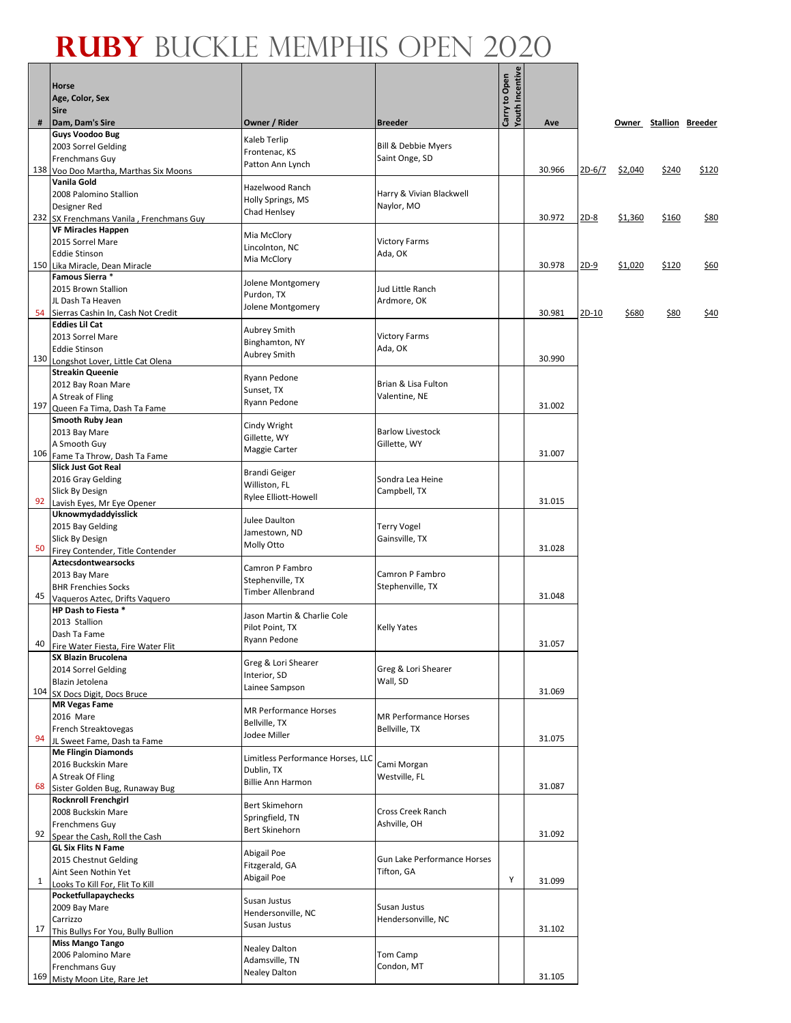#### **Ruby** Buckle Memphis Open 2020 ┱

Г

 $\overline{\phantom{0}}$ 

|     | Horse<br>Age, Color, Sex                                       |                                                 |                                 | Carry to Open<br>Youth Incentive |        |        |         |                        |       |
|-----|----------------------------------------------------------------|-------------------------------------------------|---------------------------------|----------------------------------|--------|--------|---------|------------------------|-------|
| #   | <b>Sire</b><br>Dam, Dam's Sire                                 | Owner / Rider                                   | <b>Breeder</b>                  |                                  | Ave    |        |         | Owner Stallion Breeder |       |
|     | <b>Guys Voodoo Bug</b>                                         |                                                 |                                 |                                  |        |        |         |                        |       |
|     | 2003 Sorrel Gelding                                            | Kaleb Terlip<br>Frontenac, KS                   | <b>Bill &amp; Debbie Myers</b>  |                                  |        |        |         |                        |       |
|     | Frenchmans Guy                                                 | Patton Ann Lynch                                | Saint Onge, SD                  |                                  |        |        |         |                        |       |
|     | 138 Voo Doo Martha, Marthas Six Moons<br>Vanila Gold           |                                                 |                                 |                                  | 30.966 | 2D-6/7 | \$2,040 | \$240                  | \$120 |
|     | 2008 Palomino Stallion                                         | Hazelwood Ranch                                 | Harry & Vivian Blackwell        |                                  |        |        |         |                        |       |
|     | Designer Red                                                   | Holly Springs, MS<br>Chad Henlsey               | Naylor, MO                      |                                  |        |        |         |                        |       |
|     | 232 SX Frenchmans Vanila, Frenchmans Guy                       |                                                 |                                 |                                  | 30.972 | $2D-8$ | \$1,360 | \$160                  | \$80  |
|     | <b>VF Miracles Happen</b><br>2015 Sorrel Mare                  | Mia McClory                                     | <b>Victory Farms</b>            |                                  |        |        |         |                        |       |
|     | <b>Eddie Stinson</b>                                           | Lincolnton, NC                                  | Ada, OK                         |                                  |        |        |         |                        |       |
|     | 150 Lika Miracle, Dean Miracle                                 | Mia McClory                                     |                                 |                                  | 30.978 | $2D-9$ | \$1,020 | \$120                  | \$60  |
|     | Famous Sierra *                                                | Jolene Montgomery                               |                                 |                                  |        |        |         |                        |       |
|     | 2015 Brown Stallion<br>JL Dash Ta Heaven                       | Purdon, TX                                      | Jud Little Ranch                |                                  |        |        |         |                        |       |
| 54  | Sierras Cashin In, Cash Not Credit                             | Jolene Montgomery                               | Ardmore, OK                     |                                  | 30.981 | 2D-10  | \$680   | <u>\$80</u>            | \$40  |
|     | <b>Eddies Lil Cat</b>                                          |                                                 |                                 |                                  |        |        |         |                        |       |
|     | 2013 Sorrel Mare                                               | <b>Aubrey Smith</b><br>Binghamton, NY           | <b>Victory Farms</b>            |                                  |        |        |         |                        |       |
| 130 | <b>Eddie Stinson</b>                                           | <b>Aubrey Smith</b>                             | Ada, OK                         |                                  | 30.990 |        |         |                        |       |
|     | Longshot Lover, Little Cat Olena<br><b>Streakin Queenie</b>    |                                                 |                                 |                                  |        |        |         |                        |       |
|     | 2012 Bay Roan Mare                                             | Ryann Pedone                                    | Brian & Lisa Fulton             |                                  |        |        |         |                        |       |
|     | A Streak of Fling                                              | Sunset, TX<br>Ryann Pedone                      | Valentine, NE                   |                                  |        |        |         |                        |       |
| 197 | Queen Fa Tima, Dash Ta Fame                                    |                                                 |                                 |                                  | 31.002 |        |         |                        |       |
|     | <b>Smooth Ruby Jean</b>                                        | Cindy Wright                                    | <b>Barlow Livestock</b>         |                                  |        |        |         |                        |       |
|     | 2013 Bay Mare<br>A Smooth Guy                                  | Gillette, WY                                    | Gillette, WY                    |                                  |        |        |         |                        |       |
| 106 | Fame Ta Throw, Dash Ta Fame                                    | Maggie Carter                                   |                                 |                                  | 31.007 |        |         |                        |       |
|     | <b>Slick Just Got Real</b>                                     | <b>Brandi Geiger</b>                            |                                 |                                  |        |        |         |                        |       |
|     | 2016 Gray Gelding                                              | Williston, FL                                   | Sondra Lea Heine                |                                  |        |        |         |                        |       |
| 92  | Slick By Design<br>Lavish Eyes, Mr Eye Opener                  | Rylee Elliott-Howell                            | Campbell, TX                    |                                  | 31.015 |        |         |                        |       |
|     | Uknowmydaddyisslick                                            |                                                 |                                 |                                  |        |        |         |                        |       |
|     | 2015 Bay Gelding                                               | Julee Daulton<br>Jamestown, ND                  | <b>Terry Vogel</b>              |                                  |        |        |         |                        |       |
| 50  | Slick By Design                                                | Molly Otto                                      | Gainsville, TX                  |                                  | 31.028 |        |         |                        |       |
|     | Firey Contender, Title Contender<br><b>Aztecsdontwearsocks</b> |                                                 |                                 |                                  |        |        |         |                        |       |
|     | 2013 Bay Mare                                                  | Camron P Fambro                                 | Camron P Fambro                 |                                  |        |        |         |                        |       |
|     | <b>BHR Frenchies Socks</b>                                     | Stephenville, TX<br><b>Timber Allenbrand</b>    | Stephenville, TX                |                                  |        |        |         |                        |       |
| 45  | Vaqueros Aztec, Drifts Vaquero                                 |                                                 |                                 |                                  | 31.048 |        |         |                        |       |
|     | HP Dash to Fiesta *<br>2013 Stallion                           | Jason Martin & Charlie Cole                     |                                 |                                  |        |        |         |                        |       |
|     | Dash Ta Fame                                                   | Pilot Point, TX                                 | <b>Kelly Yates</b>              |                                  |        |        |         |                        |       |
| 40  | Fire Water Fiesta, Fire Water Flit                             | Ryann Pedone                                    |                                 |                                  | 31.057 |        |         |                        |       |
|     | <b>SX Blazin Brucolena</b>                                     | Greg & Lori Shearer                             |                                 |                                  |        |        |         |                        |       |
|     | 2014 Sorrel Gelding<br>Blazin Jetolena                         | Interior, SD                                    | Greg & Lori Shearer<br>Wall, SD |                                  |        |        |         |                        |       |
| 104 | SX Docs Digit, Docs Bruce                                      | Lainee Sampson                                  |                                 |                                  | 31.069 |        |         |                        |       |
|     | <b>MR Vegas Fame</b>                                           | <b>MR Performance Horses</b>                    |                                 |                                  |        |        |         |                        |       |
|     | 2016 Mare                                                      | Bellville, TX                                   | <b>MR Performance Horses</b>    |                                  |        |        |         |                        |       |
| 94  | <b>French Streaktovegas</b><br>JL Sweet Fame, Dash ta Fame     | Jodee Miller                                    | Bellville, TX                   |                                  | 31.075 |        |         |                        |       |
|     | <b>Me Flingin Diamonds</b>                                     |                                                 |                                 |                                  |        |        |         |                        |       |
|     | 2016 Buckskin Mare                                             | Limitless Performance Horses, LLC<br>Dublin, TX | Cami Morgan                     |                                  |        |        |         |                        |       |
|     | A Streak Of Fling                                              | <b>Billie Ann Harmon</b>                        | Westville, FL                   |                                  | 31.087 |        |         |                        |       |
| 68  | Sister Golden Bug, Runaway Bug<br><b>Rocknroll Frenchgirl</b>  |                                                 |                                 |                                  |        |        |         |                        |       |
|     | 2008 Buckskin Mare                                             | <b>Bert Skimehorn</b>                           | Cross Creek Ranch               |                                  |        |        |         |                        |       |
|     | <b>Frenchmens Guy</b>                                          | Springfield, TN<br><b>Bert Skinehorn</b>        | Ashville, OH                    |                                  |        |        |         |                        |       |
| 92  | Spear the Cash, Roll the Cash                                  |                                                 |                                 |                                  | 31.092 |        |         |                        |       |
|     | <b>GL Six Flits N Fame</b>                                     | Abigail Poe                                     | Gun Lake Performance Horses     |                                  |        |        |         |                        |       |
|     | 2015 Chestnut Gelding<br>Aint Seen Nothin Yet                  | Fitzgerald, GA                                  | Tifton, GA                      |                                  |        |        |         |                        |       |
| 1   | Looks To Kill For, Flit To Kill                                | Abigail Poe                                     |                                 | Υ                                | 31.099 |        |         |                        |       |
|     | Pocketfullapaychecks                                           | Susan Justus                                    |                                 |                                  |        |        |         |                        |       |
|     | 2009 Bay Mare                                                  | Hendersonville, NC                              | Susan Justus                    |                                  |        |        |         |                        |       |
| 17  | Carrizzo<br>This Bullys For You, Bully Bullion                 | Susan Justus                                    | Hendersonville, NC              |                                  | 31.102 |        |         |                        |       |
|     | <b>Miss Mango Tango</b>                                        |                                                 |                                 |                                  |        |        |         |                        |       |
|     | 2006 Palomino Mare                                             | <b>Nealey Dalton</b><br>Adamsville, TN          | Tom Camp                        |                                  |        |        |         |                        |       |
|     | Frenchmans Guy                                                 | <b>Nealey Dalton</b>                            | Condon, MT                      |                                  |        |        |         |                        |       |
| 169 | Misty Moon Lite, Rare Jet                                      |                                                 |                                 |                                  | 31.105 |        |         |                        |       |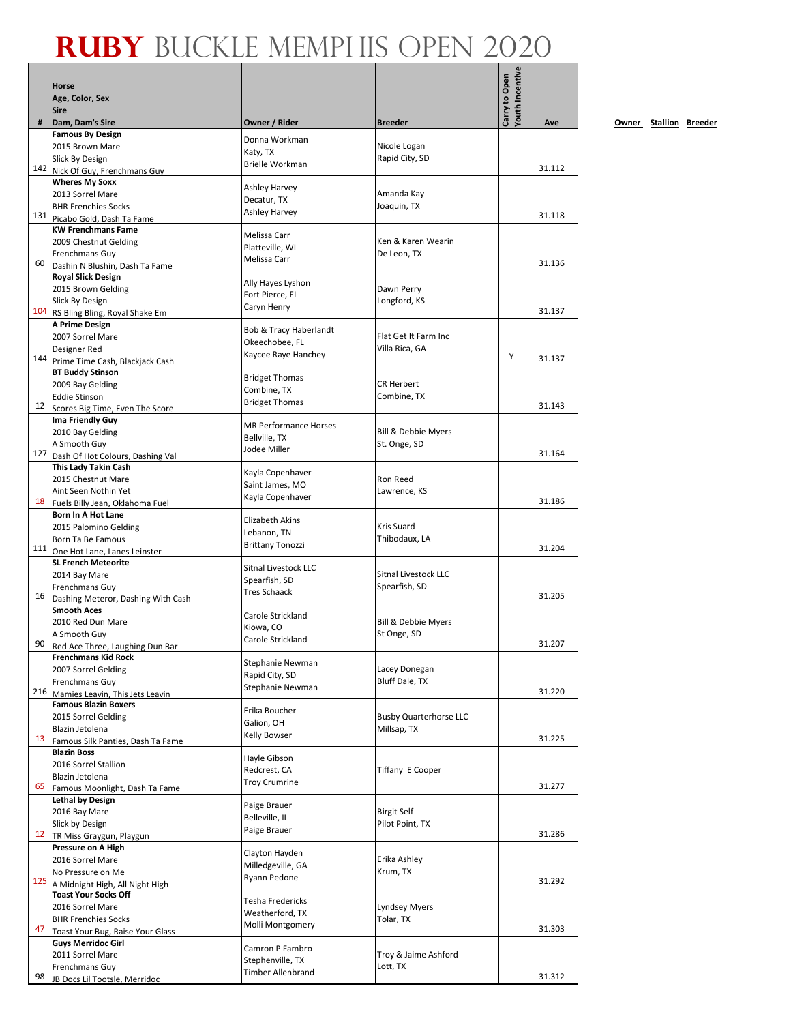|     | Horse                                                          |                                     |                                              | Youth Incentive<br>Carry to Open |        |
|-----|----------------------------------------------------------------|-------------------------------------|----------------------------------------------|----------------------------------|--------|
|     | Age, Color, Sex<br><b>Sire</b>                                 |                                     |                                              |                                  |        |
| #   | Dam, Dam's Sire                                                | Owner / Rider                       | <b>Breeder</b>                               |                                  | Ave    |
|     | <b>Famous By Design</b><br>2015 Brown Mare                     | Donna Workman                       | Nicole Logan                                 |                                  |        |
|     | Slick By Design                                                | Katy, TX                            | Rapid City, SD                               |                                  |        |
|     | 142 Nick Of Guy, Frenchmans Guy                                | <b>Brielle Workman</b>              |                                              |                                  | 31.112 |
|     | <b>Wheres My Soxx</b>                                          | <b>Ashley Harvey</b>                |                                              |                                  |        |
|     | 2013 Sorrel Mare                                               | Decatur, TX                         | Amanda Kay                                   |                                  |        |
|     | <b>BHR Frenchies Socks</b>                                     | <b>Ashley Harvey</b>                | Joaquin, TX                                  |                                  | 31.118 |
|     | 131 Picabo Gold, Dash Ta Fame<br><b>KW Frenchmans Fame</b>     |                                     |                                              |                                  |        |
|     | 2009 Chestnut Gelding                                          | Melissa Carr                        | Ken & Karen Wearin                           |                                  |        |
|     | Frenchmans Guy                                                 | Platteville, WI                     | De Leon, TX                                  |                                  |        |
| 60  | Dashin N Blushin, Dash Ta Fame                                 | Melissa Carr                        |                                              |                                  | 31.136 |
|     | <b>Royal Slick Design</b>                                      | Ally Hayes Lyshon                   |                                              |                                  |        |
|     | 2015 Brown Gelding<br>Slick By Design                          | Fort Pierce, FL                     | Dawn Perry<br>Longford, KS                   |                                  |        |
| 104 | RS Bling Bling, Royal Shake Em                                 | Caryn Henry                         |                                              |                                  | 31.137 |
|     | A Prime Design                                                 | Bob & Tracy Haberlandt              |                                              |                                  |        |
|     | 2007 Sorrel Mare                                               | Okeechobee, FL                      | Flat Get It Farm Inc                         |                                  |        |
|     | Designer Red                                                   | Kaycee Raye Hanchey                 | Villa Rica, GA                               | Υ                                | 31.137 |
|     | 144 Prime Time Cash, Blackjack Cash<br><b>BT Buddy Stinson</b> |                                     |                                              |                                  |        |
|     | 2009 Bay Gelding                                               | <b>Bridget Thomas</b>               | <b>CR Herbert</b>                            |                                  |        |
|     | <b>Eddie Stinson</b>                                           | Combine, TX                         | Combine, TX                                  |                                  |        |
| 12  | Scores Big Time, Even The Score                                | <b>Bridget Thomas</b>               |                                              |                                  | 31.143 |
|     | <b>Ima Friendly Guy</b>                                        | <b>MR Performance Horses</b>        |                                              |                                  |        |
|     | 2010 Bay Gelding                                               | Bellville, TX                       | <b>Bill &amp; Debbie Myers</b>               |                                  |        |
| 127 | A Smooth Guy<br>Dash Of Hot Colours, Dashing Val               | Jodee Miller                        | St. Onge, SD                                 |                                  | 31.164 |
|     | This Lady Takin Cash                                           |                                     |                                              |                                  |        |
|     | 2015 Chestnut Mare                                             | Kayla Copenhaver<br>Saint James, MO | Ron Reed                                     |                                  |        |
|     | Aint Seen Nothin Yet                                           | Kayla Copenhaver                    | Lawrence, KS                                 |                                  |        |
|     | 18 Fuels Billy Jean, Oklahoma Fuel                             |                                     |                                              |                                  | 31.186 |
|     | Born In A Hot Lane<br>2015 Palomino Gelding                    | <b>Elizabeth Akins</b>              | Kris Suard                                   |                                  |        |
|     | Born Ta Be Famous                                              | Lebanon, TN                         | Thibodaux, LA                                |                                  |        |
|     | 111 One Hot Lane, Lanes Leinster                               | <b>Brittany Tonozzi</b>             |                                              |                                  | 31.204 |
|     | <b>SL French Meteorite</b>                                     | Sitnal Livestock LLC                |                                              |                                  |        |
|     | 2014 Bay Mare                                                  | Spearfish, SD                       | <b>Sitnal Livestock LLC</b>                  |                                  |        |
|     | Frenchmans Guy<br>16 Dashing Meteror, Dashing With Cash        | <b>Tres Schaack</b>                 | Spearfish, SD                                |                                  | 31.205 |
|     | <b>Smooth Aces</b>                                             |                                     |                                              |                                  |        |
|     | 2010 Red Dun Mare                                              | Carole Strickland<br>Kiowa, CO      | Bill & Debbie Myers                          |                                  |        |
|     | A Smooth Guy                                                   | Carole Strickland                   | St Onge, SD                                  |                                  |        |
| 90  | Red Ace Three, Laughing Dun Bar                                |                                     |                                              |                                  | 31.207 |
|     | <b>Frenchmans Kid Rock</b><br>2007 Sorrel Gelding              | Stephanie Newman                    | Lacey Donegan                                |                                  |        |
|     | Frenchmans Guy                                                 | Rapid City, SD                      | Bluff Dale, TX                               |                                  |        |
| 216 | Mamies Leavin, This Jets Leavin                                | Stephanie Newman                    |                                              |                                  | 31.220 |
|     | <b>Famous Blazin Boxers</b>                                    | Erika Boucher                       |                                              |                                  |        |
|     | 2015 Sorrel Gelding<br>Blazin Jetolena                         | Galion, OH                          | <b>Busby Quarterhorse LLC</b><br>Millsap, TX |                                  |        |
| 13  | Famous Silk Panties, Dash Ta Fame                              | Kelly Bowser                        |                                              |                                  | 31.225 |
|     | <b>Blazin Boss</b>                                             |                                     |                                              |                                  |        |
|     | 2016 Sorrel Stallion                                           | Hayle Gibson<br>Redcrest, CA        | Tiffany E Cooper                             |                                  |        |
| 65  | Blazin Jetolena                                                | <b>Troy Crumrine</b>                |                                              |                                  | 31.277 |
|     | Famous Moonlight, Dash Ta Fame<br><b>Lethal by Design</b>      |                                     |                                              |                                  |        |
|     | 2016 Bay Mare                                                  | Paige Brauer                        | <b>Birgit Self</b>                           |                                  |        |
|     | Slick by Design                                                | Belleville, IL                      | Pilot Point, TX                              |                                  |        |
| 12  | TR Miss Graygun, Playgun                                       | Paige Brauer                        |                                              |                                  | 31.286 |
|     | Pressure on A High                                             | Clayton Hayden                      |                                              |                                  |        |
|     | 2016 Sorrel Mare<br>No Pressure on Me                          | Milledgeville, GA                   | Erika Ashley<br>Krum, TX                     |                                  |        |
|     | 125 A Midnight High, All Night High                            | Ryann Pedone                        |                                              |                                  | 31.292 |
|     | <b>Toast Your Socks Off</b>                                    |                                     |                                              |                                  |        |
|     | 2016 Sorrel Mare                                               | Tesha Fredericks<br>Weatherford, TX | Lyndsey Myers                                |                                  |        |
|     | <b>BHR Frenchies Socks</b>                                     | Molli Montgomery                    | Tolar, TX                                    |                                  | 31.303 |
| 47  | Toast Your Bug, Raise Your Glass<br><b>Guys Merridoc Girl</b>  |                                     |                                              |                                  |        |
|     | 2011 Sorrel Mare                                               | Camron P Fambro                     | Troy & Jaime Ashford                         |                                  |        |
|     | Frenchmans Guy                                                 | Stephenville, TX                    | Lott, TX                                     |                                  |        |
| 98  | JB Docs Lil Tootsle, Merridoc                                  | <b>Timber Allenbrand</b>            |                                              |                                  | 31.312 |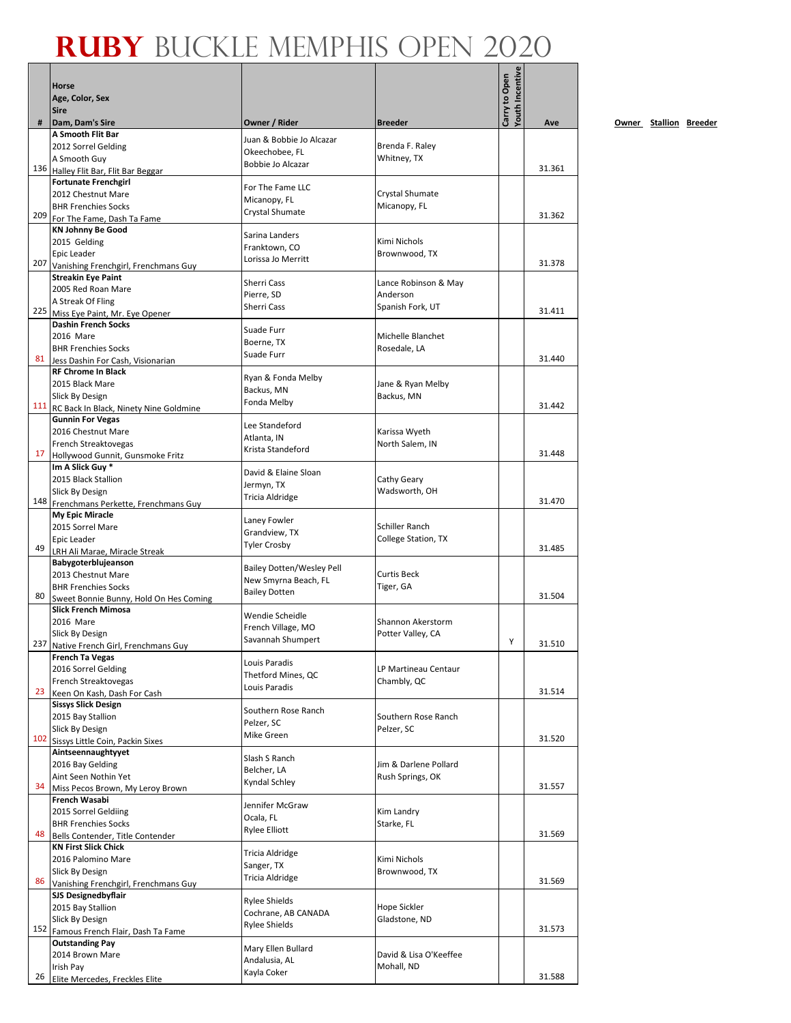|     | <b>Horse</b>                                                      |                                  |                                        | <b>routh Incentive</b> |        |           |
|-----|-------------------------------------------------------------------|----------------------------------|----------------------------------------|------------------------|--------|-----------|
|     | Age, Color, Sex                                                   |                                  |                                        | Carry to Open          |        |           |
|     | <b>Sire</b>                                                       |                                  |                                        |                        |        |           |
| #   | Dam, Dam's Sire<br>A Smooth Flit Bar                              | Owner / Rider                    | <b>Breeder</b>                         |                        | Ave    | <u>Ow</u> |
|     | 2012 Sorrel Gelding                                               | Juan & Bobbie Jo Alcazar         | Brenda F. Raley                        |                        |        |           |
|     | A Smooth Guy                                                      | Okeechobee, FL                   | Whitney, TX                            |                        |        |           |
| 136 | Halley Flit Bar, Flit Bar Beggar                                  | Bobbie Jo Alcazar                |                                        |                        | 31.361 |           |
|     | <b>Fortunate Frenchgirl</b>                                       | For The Fame LLC                 |                                        |                        |        |           |
|     | 2012 Chestnut Mare<br><b>BHR Frenchies Socks</b>                  | Micanopy, FL                     | Crystal Shumate<br>Micanopy, FL        |                        |        |           |
| 209 | For The Fame, Dash Ta Fame                                        | Crystal Shumate                  |                                        |                        | 31.362 |           |
|     | <b>KN Johnny Be Good</b>                                          | Sarina Landers                   |                                        |                        |        |           |
|     | 2015 Gelding                                                      | Franktown, CO                    | Kimi Nichols                           |                        |        |           |
| 207 | Epic Leader                                                       | Lorissa Jo Merritt               | Brownwood, TX                          |                        | 31.378 |           |
|     | Vanishing Frenchgirl, Frenchmans Guy<br><b>Streakin Eye Paint</b> |                                  |                                        |                        |        |           |
|     | 2005 Red Roan Mare                                                | Sherri Cass                      | Lance Robinson & May                   |                        |        |           |
|     | A Streak Of Fling                                                 | Pierre, SD<br>Sherri Cass        | Anderson                               |                        |        |           |
| 225 | Miss Eye Paint, Mr. Eye Opener                                    |                                  | Spanish Fork, UT                       |                        | 31.411 |           |
|     | <b>Dashin French Socks</b>                                        | Suade Furr                       |                                        |                        |        |           |
|     | 2016 Mare<br><b>BHR Frenchies Socks</b>                           | Boerne, TX                       | Michelle Blanchet<br>Rosedale, LA      |                        |        |           |
| 81  | Jess Dashin For Cash, Visionarian                                 | Suade Furr                       |                                        |                        | 31.440 |           |
|     | <b>RF Chrome In Black</b>                                         | Ryan & Fonda Melby               |                                        |                        |        |           |
|     | 2015 Black Mare                                                   | Backus, MN                       | Jane & Ryan Melby                      |                        |        |           |
| 111 | Slick By Design                                                   | Fonda Melby                      | Backus, MN                             |                        | 31.442 |           |
|     | RC Back In Black, Ninety Nine Goldmine<br><b>Gunnin For Vegas</b> |                                  |                                        |                        |        |           |
|     | 2016 Chestnut Mare                                                | Lee Standeford                   | Karissa Wyeth                          |                        |        |           |
|     | French Streaktovegas                                              | Atlanta, IN                      | North Salem, IN                        |                        |        |           |
| 17  | Hollywood Gunnit, Gunsmoke Fritz                                  | Krista Standeford                |                                        |                        | 31.448 |           |
|     | Im A Slick Guy *                                                  | David & Elaine Sloan             |                                        |                        |        |           |
|     | 2015 Black Stallion<br>Slick By Design                            | Jermyn, TX                       | Cathy Geary<br>Wadsworth, OH           |                        |        |           |
| 148 | Frenchmans Perkette, Frenchmans Guy                               | Tricia Aldridge                  |                                        |                        | 31.470 |           |
|     | My Epic Miracle                                                   | Laney Fowler                     |                                        |                        |        |           |
|     | 2015 Sorrel Mare                                                  | Grandview, TX                    | Schiller Ranch                         |                        |        |           |
| 49  | Epic Leader                                                       | <b>Tyler Crosby</b>              | College Station, TX                    |                        | 31.485 |           |
|     | LRH Ali Marae, Miracle Streak<br>Babygoterblujeanson              |                                  |                                        |                        |        |           |
|     | 2013 Chestnut Mare                                                | <b>Bailey Dotten/Wesley Pell</b> | <b>Curtis Beck</b>                     |                        |        |           |
|     | <b>BHR Frenchies Socks</b>                                        | New Smyrna Beach, FL             | Tiger, GA                              |                        |        |           |
| 80  | Sweet Bonnie Bunny, Hold On Hes Coming                            | <b>Bailey Dotten</b>             |                                        |                        | 31.504 |           |
|     | <b>Slick French Mimosa</b>                                        | Wendie Scheidle                  |                                        |                        |        |           |
|     | 2016 Mare<br>Slick By Design                                      | French Village, MO               | Shannon Akerstorm<br>Potter Valley, CA |                        |        |           |
|     | 237 Native French Girl, Frenchmans Guy                            | Savannah Shumpert                |                                        | Y                      | 31.510 |           |
|     | <b>French Ta Vegas</b>                                            | Louis Paradis                    |                                        |                        |        |           |
|     | 2016 Sorrel Gelding                                               | Thetford Mines, QC               | LP Martineau Centaur                   |                        |        |           |
| 23  | French Streaktovegas                                              | Louis Paradis                    | Chambly, QC                            |                        | 31.514 |           |
|     | Keen On Kash, Dash For Cash<br><b>Sissys Slick Design</b>         |                                  |                                        |                        |        |           |
|     | 2015 Bay Stallion                                                 | Southern Rose Ranch              | Southern Rose Ranch                    |                        |        |           |
|     | Slick By Design                                                   | Pelzer, SC<br>Mike Green         | Pelzer, SC                             |                        |        |           |
| 102 | Sissys Little Coin, Packin Sixes                                  |                                  |                                        |                        | 31.520 |           |
|     | Aintseennaughtyyet<br>2016 Bay Gelding                            | Slash S Ranch                    | Jim & Darlene Pollard                  |                        |        |           |
|     | Aint Seen Nothin Yet                                              | Belcher, LA                      | Rush Springs, OK                       |                        |        |           |
| 34  | Miss Pecos Brown, My Leroy Brown                                  | Kyndal Schley                    |                                        |                        | 31.557 |           |
|     | French Wasabi                                                     | Jennifer McGraw                  |                                        |                        |        |           |
|     | 2015 Sorrel Geldiing                                              | Ocala, FL                        | Kim Landry                             |                        |        |           |
| 48  | <b>BHR Frenchies Socks</b>                                        | Rylee Elliott                    | Starke, FL                             |                        | 31.569 |           |
|     | Bells Contender, Title Contender<br><b>KN First Slick Chick</b>   |                                  |                                        |                        |        |           |
|     | 2016 Palomino Mare                                                | Tricia Aldridge                  | Kimi Nichols                           |                        |        |           |
|     | Slick By Design                                                   | Sanger, TX<br>Tricia Aldridge    | Brownwood, TX                          |                        |        |           |
| 86  | Vanishing Frenchgirl, Frenchmans Guy                              |                                  |                                        |                        | 31.569 |           |
|     | <b>SJS Designedbyflair</b>                                        | <b>Rylee Shields</b>             | Hope Sickler                           |                        |        |           |
|     | 2015 Bay Stallion<br>Slick By Design                              | Cochrane, AB CANADA              | Gladstone, ND                          |                        |        |           |
| 152 | Famous French Flair, Dash Ta Fame                                 | <b>Rylee Shields</b>             |                                        |                        | 31.573 |           |
|     | <b>Outstanding Pay</b>                                            | Mary Ellen Bullard               |                                        |                        |        |           |
|     | 2014 Brown Mare                                                   | Andalusia, AL                    | David & Lisa O'Keeffee                 |                        |        |           |
| 26  | Irish Pay<br>Elite Mercedes, Freckles Elite                       | Kayla Coker                      | Mohall, ND                             |                        | 31.588 |           |
|     |                                                                   |                                  |                                        |                        |        |           |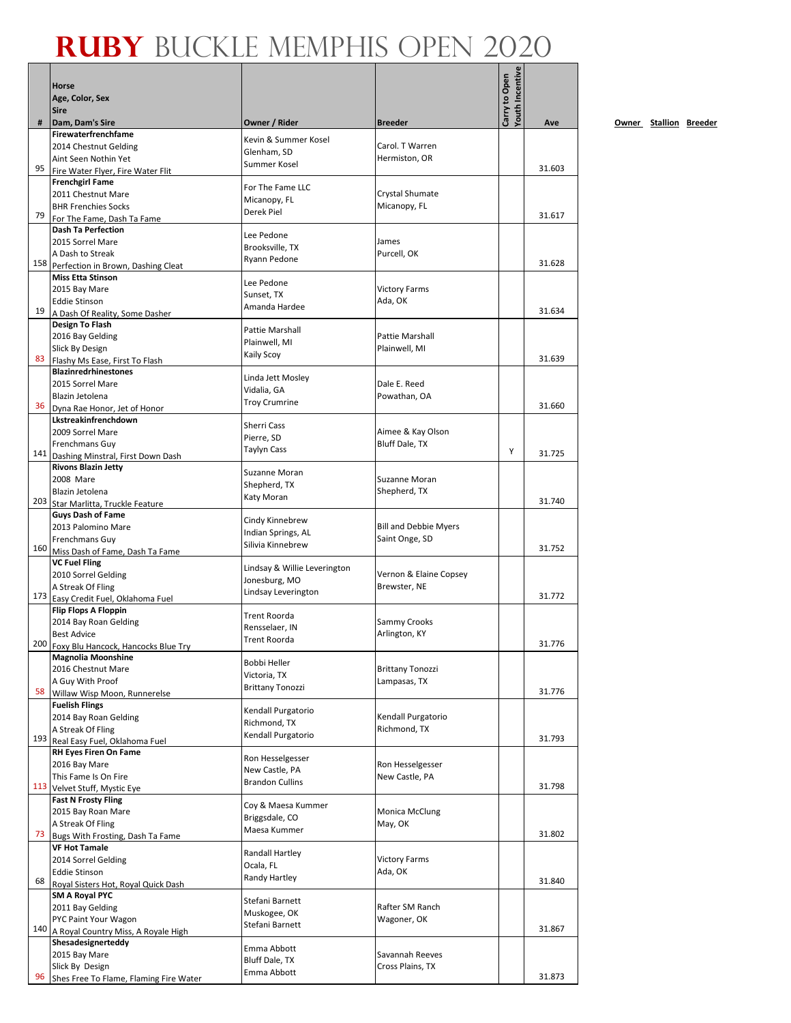|     | Horse<br>Age, Color, Sex                                      |                                       |                                    | <b>/outh Incentive</b><br>Carry to Open |        |
|-----|---------------------------------------------------------------|---------------------------------------|------------------------------------|-----------------------------------------|--------|
|     | <b>Sire</b>                                                   |                                       |                                    |                                         |        |
| #   | Dam, Dam's Sire                                               | Owner / Rider                         | <b>Breeder</b>                     |                                         | Ave    |
|     | Firewaterfrenchfame                                           | Kevin & Summer Kosel                  |                                    |                                         |        |
|     | 2014 Chestnut Gelding<br>Aint Seen Nothin Yet                 | Glenham, SD                           | Carol. T Warren<br>Hermiston, OR   |                                         |        |
| 95  | Fire Water Flyer, Fire Water Flit                             | Summer Kosel                          |                                    |                                         | 31.603 |
|     | <b>Frenchgirl Fame</b>                                        |                                       |                                    |                                         |        |
|     | 2011 Chestnut Mare                                            | For The Fame LLC<br>Micanopy, FL      | Crystal Shumate                    |                                         |        |
|     | <b>BHR Frenchies Socks</b>                                    | Derek Piel                            | Micanopy, FL                       |                                         |        |
| 79  | For The Fame, Dash Ta Fame<br><b>Dash Ta Perfection</b>       |                                       |                                    |                                         | 31.617 |
|     | 2015 Sorrel Mare                                              | Lee Pedone                            | James                              |                                         |        |
|     | A Dash to Streak                                              | Brooksville, TX                       | Purcell, OK                        |                                         |        |
|     | 158 Perfection in Brown, Dashing Cleat                        | Ryann Pedone                          |                                    |                                         | 31.628 |
|     | <b>Miss Etta Stinson</b>                                      | Lee Pedone                            |                                    |                                         |        |
|     | 2015 Bay Mare                                                 | Sunset, TX                            | <b>Victory Farms</b>               |                                         |        |
| 19  | <b>Eddie Stinson</b><br>A Dash Of Reality, Some Dasher        | Amanda Hardee                         | Ada, OK                            |                                         | 31.634 |
|     | Design To Flash                                               |                                       |                                    |                                         |        |
|     | 2016 Bay Gelding                                              | Pattie Marshall<br>Plainwell, MI      | <b>Pattie Marshall</b>             |                                         |        |
|     | Slick By Design                                               | Kaily Scoy                            | Plainwell, MI                      |                                         |        |
| 83  | Flashy Ms Ease, First To Flash<br><b>Blazinredrhinestones</b> |                                       |                                    |                                         | 31.639 |
|     | 2015 Sorrel Mare                                              | Linda Jett Mosley                     | Dale E. Reed                       |                                         |        |
|     | Blazin Jetolena                                               | Vidalia, GA                           | Powathan, OA                       |                                         |        |
| 36  | Dyna Rae Honor, Jet of Honor                                  | <b>Troy Crumrine</b>                  |                                    |                                         | 31.660 |
|     | Lkstreakinfrenchdown                                          | Sherri Cass                           |                                    |                                         |        |
|     | 2009 Sorrel Mare                                              | Pierre, SD                            | Aimee & Kay Olson                  |                                         |        |
|     | Frenchmans Guy<br>141 Dashing Minstral, First Down Dash       | <b>Taylyn Cass</b>                    | Bluff Dale, TX                     | Y                                       | 31.725 |
|     | <b>Rivons Blazin Jetty</b>                                    |                                       |                                    |                                         |        |
|     | 2008 Mare                                                     | Suzanne Moran                         | Suzanne Moran                      |                                         |        |
|     | Blazin Jetolena                                               | Shepherd, TX<br>Katy Moran            | Shepherd, TX                       |                                         |        |
|     | 203 Star Marlitta, Truckle Feature                            |                                       |                                    |                                         | 31.740 |
|     | <b>Guys Dash of Fame</b><br>2013 Palomino Mare                | Cindy Kinnebrew                       | <b>Bill and Debbie Myers</b>       |                                         |        |
|     | Frenchmans Guy                                                | Indian Springs, AL                    | Saint Onge, SD                     |                                         |        |
|     | 160 Miss Dash of Fame, Dash Ta Fame                           | Silivia Kinnebrew                     |                                    |                                         | 31.752 |
|     | <b>VC Fuel Fling</b>                                          | Lindsay & Willie Leverington          |                                    |                                         |        |
|     | 2010 Sorrel Gelding                                           | Jonesburg, MO                         | Vernon & Elaine Copsey             |                                         |        |
|     | A Streak Of Fling<br>173 Easy Credit Fuel, Oklahoma Fuel      | Lindsay Leverington                   | Brewster, NE                       |                                         | 31.772 |
|     | <b>Flip Flops A Floppin</b>                                   |                                       |                                    |                                         |        |
|     | 2014 Bay Roan Gelding                                         | <b>Trent Roorda</b><br>Rensselaer. IN | Sammy Crooks                       |                                         |        |
|     | <b>Best Advice</b>                                            | <b>Trent Roorda</b>                   | Arlington, KY                      |                                         |        |
|     | 200 Foxy Blu Hancock, Hancocks Blue Try                       |                                       |                                    |                                         | 31.776 |
|     | <b>Magnolia Moonshine</b><br>2016 Chestnut Mare               | Bobbi Heller                          | <b>Brittany Tonozzi</b>            |                                         |        |
|     | A Guy With Proof                                              | Victoria, TX                          | Lampasas, TX                       |                                         |        |
| 58  | Willaw Wisp Moon, Runnerelse                                  | <b>Brittany Tonozzi</b>               |                                    |                                         | 31.776 |
|     | <b>Fuelish Flings</b>                                         | Kendall Purgatorio                    |                                    |                                         |        |
|     | 2014 Bay Roan Gelding<br>A Streak Of Fling                    | Richmond, TX                          | Kendall Purgatorio<br>Richmond, TX |                                         |        |
|     | 193 Real Easy Fuel, Oklahoma Fuel                             | Kendall Purgatorio                    |                                    |                                         | 31.793 |
|     | RH Eyes Firen On Fame                                         |                                       |                                    |                                         |        |
|     | 2016 Bay Mare                                                 | Ron Hesselgesser<br>New Castle, PA    | Ron Hesselgesser                   |                                         |        |
|     | This Fame Is On Fire                                          | <b>Brandon Cullins</b>                | New Castle, PA                     |                                         |        |
| 113 | Velvet Stuff, Mystic Eye<br><b>Fast N Frosty Fling</b>        |                                       |                                    |                                         | 31.798 |
|     | 2015 Bay Roan Mare                                            | Coy & Maesa Kummer                    | Monica McClung                     |                                         |        |
|     | A Streak Of Fling                                             | Briggsdale, CO                        | May, OK                            |                                         |        |
| 73  | Bugs With Frosting, Dash Ta Fame                              | Maesa Kummer                          |                                    |                                         | 31.802 |
|     | <b>VF Hot Tamale</b>                                          | Randall Hartley                       |                                    |                                         |        |
|     | 2014 Sorrel Gelding                                           | Ocala, FL                             | <b>Victory Farms</b>               |                                         |        |
| 68  | <b>Eddie Stinson</b><br>Royal Sisters Hot, Royal Quick Dash   | Randy Hartley                         | Ada, OK                            |                                         | 31.840 |
|     | SM A Royal PYC                                                |                                       |                                    |                                         |        |
|     | 2011 Bay Gelding                                              | Stefani Barnett<br>Muskogee, OK       | Rafter SM Ranch                    |                                         |        |
|     | PYC Paint Your Wagon                                          | Stefani Barnett                       | Wagoner, OK                        |                                         |        |
|     | 140 A Royal Country Miss, A Royale High<br>Shesadesignerteddy |                                       |                                    |                                         | 31.867 |
|     | 2015 Bay Mare                                                 | Emma Abbott                           | Savannah Reeves                    |                                         |        |
|     | Slick By Design                                               | Bluff Dale, TX                        | Cross Plains, TX                   |                                         |        |
| 96  | Shes Free To Flame, Flaming Fire Water                        | Emma Abbott                           |                                    |                                         | 31.873 |

**Owner Stallion Breeder** 

 $\blacksquare$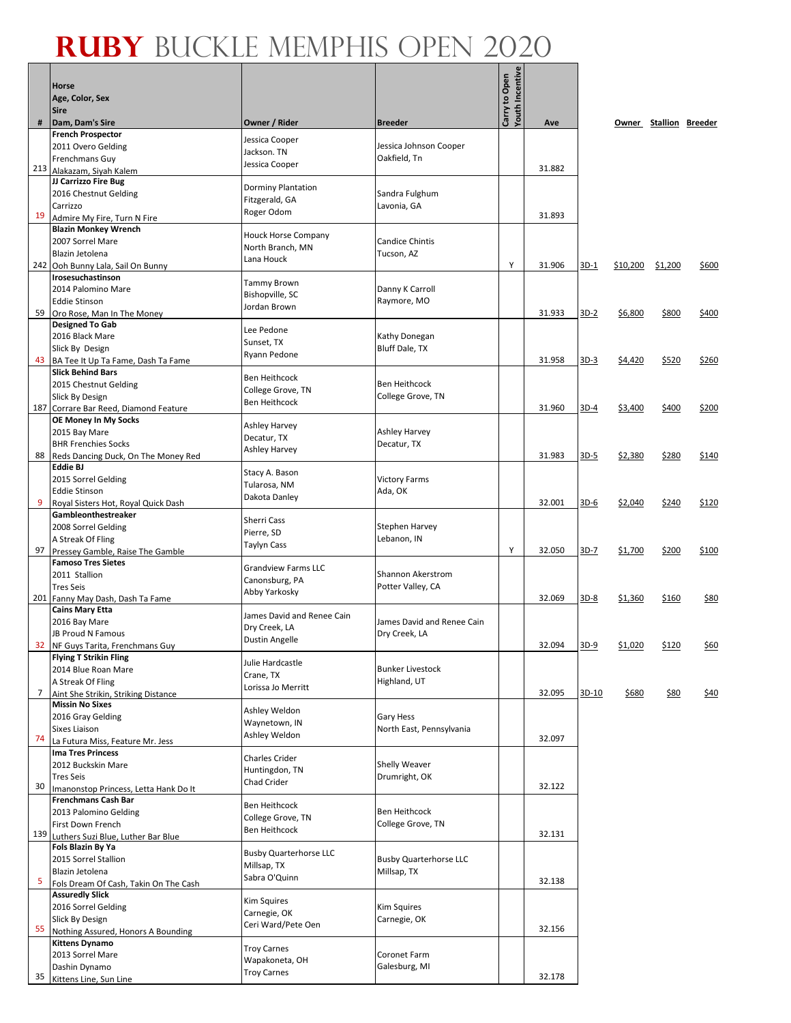|     | <b>Horse</b><br>Age, Color, Sex<br><b>Sire</b>                  |                                        |                                         | <b>Youth Incentive</b><br>Carry to Open |        |        |          |                        |             |
|-----|-----------------------------------------------------------------|----------------------------------------|-----------------------------------------|-----------------------------------------|--------|--------|----------|------------------------|-------------|
| #   | Dam, Dam's Sire                                                 | Owner / Rider                          | <b>Breeder</b>                          |                                         | Ave    |        |          | Owner Stallion Breeder |             |
|     | <b>French Prospector</b>                                        | Jessica Cooper                         |                                         |                                         |        |        |          |                        |             |
|     | 2011 Overo Gelding<br>Frenchmans Guy                            | Jackson. TN                            | Jessica Johnson Cooper<br>Oakfield, Tn  |                                         |        |        |          |                        |             |
| 213 | Alakazam, Siyah Kalem                                           | Jessica Cooper                         |                                         |                                         | 31.882 |        |          |                        |             |
|     | JJ Carrizzo Fire Bug                                            | Dorminy Plantation                     |                                         |                                         |        |        |          |                        |             |
|     | 2016 Chestnut Gelding                                           | Fitzgerald, GA                         | Sandra Fulghum                          |                                         |        |        |          |                        |             |
|     | Carrizzo                                                        | Roger Odom                             | Lavonia, GA                             |                                         |        |        |          |                        |             |
| 19  | Admire My Fire, Turn N Fire<br><b>Blazin Monkey Wrench</b>      |                                        |                                         |                                         | 31.893 |        |          |                        |             |
|     | 2007 Sorrel Mare                                                | <b>Houck Horse Company</b>             | <b>Candice Chintis</b>                  |                                         |        |        |          |                        |             |
|     | Blazin Jetolena                                                 | North Branch, MN                       | Tucson, AZ                              |                                         |        |        |          |                        |             |
|     | 242 Ooh Bunny Lala, Sail On Bunny                               | Lana Houck                             |                                         | Y                                       | 31.906 | $3D-1$ | \$10,200 | \$1,200                | \$600       |
|     | Irosesuchastinson                                               | <b>Tammy Brown</b>                     |                                         |                                         |        |        |          |                        |             |
|     | 2014 Palomino Mare                                              | Bishopville, SC                        | Danny K Carroll                         |                                         |        |        |          |                        |             |
| 59  | <b>Eddie Stinson</b><br>Oro Rose, Man In The Money              | Jordan Brown                           | Raymore, MO                             |                                         | 31.933 | $3D-2$ | \$6,800  | \$800                  | \$400       |
|     | <b>Designed To Gab</b>                                          |                                        |                                         |                                         |        |        |          |                        |             |
|     | 2016 Black Mare                                                 | Lee Pedone<br>Sunset, TX               | Kathy Donegan                           |                                         |        |        |          |                        |             |
|     | Slick By Design                                                 | Ryann Pedone                           | <b>Bluff Dale, TX</b>                   |                                         |        |        |          |                        |             |
| 43  | BA Tee It Up Ta Fame, Dash Ta Fame                              |                                        |                                         |                                         | 31.958 | $3D-3$ | \$4,420  | \$520                  | \$260       |
|     | <b>Slick Behind Bars</b><br>2015 Chestnut Gelding               | Ben Heithcock                          | <b>Ben Heithcock</b>                    |                                         |        |        |          |                        |             |
|     | Slick By Design                                                 | College Grove, TN                      | College Grove, TN                       |                                         |        |        |          |                        |             |
|     | 187 Corrare Bar Reed, Diamond Feature                           | <b>Ben Heithcock</b>                   |                                         |                                         | 31.960 | $3D-4$ | \$3,400  | \$400                  | \$200       |
|     | OE Money In My Socks                                            | Ashley Harvey                          |                                         |                                         |        |        |          |                        |             |
|     | 2015 Bay Mare                                                   | Decatur, TX                            | Ashley Harvey                           |                                         |        |        |          |                        |             |
|     | <b>BHR Frenchies Socks</b>                                      | Ashley Harvey                          | Decatur, TX                             |                                         |        |        |          |                        |             |
| 88  | Reds Dancing Duck, On The Money Red<br><b>Eddie BJ</b>          |                                        |                                         |                                         | 31.983 | $3D-5$ | \$2,380  | \$280                  | \$140       |
|     | 2015 Sorrel Gelding                                             | Stacy A. Bason                         | <b>Victory Farms</b>                    |                                         |        |        |          |                        |             |
|     | <b>Eddie Stinson</b>                                            | Tularosa, NM                           | Ada, OK                                 |                                         |        |        |          |                        |             |
| 9   | Royal Sisters Hot, Royal Quick Dash                             | Dakota Danley                          |                                         |                                         | 32.001 | $3D-6$ | \$2,040  | \$240                  | \$120       |
|     | Gambleonthestreaker                                             | Sherri Cass                            |                                         |                                         |        |        |          |                        |             |
|     | 2008 Sorrel Gelding<br>A Streak Of Fling                        | Pierre, SD                             | Stephen Harvey<br>Lebanon, IN           |                                         |        |        |          |                        |             |
| 97  | Pressey Gamble, Raise The Gamble                                | <b>Taylyn Cass</b>                     |                                         | Υ                                       | 32.050 | $3D-7$ | \$1,700  | \$200                  | \$100       |
|     | <b>Famoso Tres Sietes</b>                                       | <b>Grandview Farms LLC</b>             |                                         |                                         |        |        |          |                        |             |
|     | 2011 Stallion                                                   | Canonsburg, PA                         | Shannon Akerstrom                       |                                         |        |        |          |                        |             |
|     | <b>Tres Seis</b>                                                | Abby Yarkosky                          | Potter Valley, CA                       |                                         |        |        |          |                        |             |
|     | 201 Fanny May Dash, Dash Ta Fame<br><b>Cains Mary Etta</b>      |                                        |                                         |                                         | 32.069 | $3D-8$ | \$1,360  | \$160                  | <u>\$80</u> |
|     | 2016 Bay Mare                                                   | James David and Renee Cain             | James David and Renee Cain              |                                         |        |        |          |                        |             |
|     | JB Proud N Famous                                               | Dry Creek, LA<br><b>Dustin Angelle</b> | Dry Creek, LA                           |                                         |        |        |          |                        |             |
|     | 32 NF Guys Tarita, Frenchmans Guy                               |                                        |                                         |                                         | 32.094 | $3D-9$ | \$1,020  | \$120                  | <u>\$60</u> |
|     | <b>Flying T Strikin Fling</b>                                   | Julie Hardcastle                       |                                         |                                         |        |        |          |                        |             |
|     | 2014 Blue Roan Mare<br>A Streak Of Fling                        | Crane, TX                              | <b>Bunker Livestock</b><br>Highland, UT |                                         |        |        |          |                        |             |
| 7   | Aint She Strikin, Striking Distance                             | Lorissa Jo Merritt                     |                                         |                                         | 32.095 | 3D-10  | \$680    | \$80                   | \$40        |
|     | <b>Missin No Sixes</b>                                          | Ashley Weldon                          |                                         |                                         |        |        |          |                        |             |
|     | 2016 Gray Gelding                                               | Waynetown, IN                          | Gary Hess                               |                                         |        |        |          |                        |             |
| 74  | Sixes Liaison                                                   | Ashley Weldon                          | North East, Pennsylvania                |                                         | 32.097 |        |          |                        |             |
|     | La Futura Miss, Feature Mr. Jess<br><b>Ima Tres Princess</b>    |                                        |                                         |                                         |        |        |          |                        |             |
|     | 2012 Buckskin Mare                                              | Charles Crider                         | <b>Shelly Weaver</b>                    |                                         |        |        |          |                        |             |
|     | <b>Tres Seis</b>                                                | Huntingdon, TN<br>Chad Crider          | Drumright, OK                           |                                         |        |        |          |                        |             |
| 30  | Imanonstop Princess, Letta Hank Do It                           |                                        |                                         |                                         | 32.122 |        |          |                        |             |
|     | <b>Frenchmans Cash Bar</b>                                      | Ben Heithcock                          | <b>Ben Heithcock</b>                    |                                         |        |        |          |                        |             |
|     | 2013 Palomino Gelding<br>First Down French                      | College Grove, TN                      | College Grove, TN                       |                                         |        |        |          |                        |             |
| 139 | Luthers Suzi Blue, Luther Bar Blue                              | <b>Ben Heithcock</b>                   |                                         |                                         | 32.131 |        |          |                        |             |
|     | Fols Blazin By Ya                                               | <b>Busby Quarterhorse LLC</b>          |                                         |                                         |        |        |          |                        |             |
|     | 2015 Sorrel Stallion                                            | Millsap, TX                            | <b>Busby Quarterhorse LLC</b>           |                                         |        |        |          |                        |             |
| 5   | Blazin Jetolena                                                 | Sabra O'Quinn                          | Millsap, TX                             |                                         | 32.138 |        |          |                        |             |
|     | Fols Dream Of Cash, Takin On The Cash<br><b>Assuredly Slick</b> |                                        |                                         |                                         |        |        |          |                        |             |
|     | 2016 Sorrel Gelding                                             | Kim Squires                            | Kim Squires                             |                                         |        |        |          |                        |             |
|     | Slick By Design                                                 | Carnegie, OK<br>Ceri Ward/Pete Oen     | Carnegie, OK                            |                                         |        |        |          |                        |             |
| 55  | Nothing Assured, Honors A Bounding                              |                                        |                                         |                                         | 32.156 |        |          |                        |             |
|     | <b>Kittens Dynamo</b>                                           | <b>Troy Carnes</b>                     | Coronet Farm                            |                                         |        |        |          |                        |             |
|     | 2013 Sorrel Mare<br>Dashin Dynamo                               | Wapakoneta, OH                         | Galesburg, MI                           |                                         |        |        |          |                        |             |
| 35  | Kittens Line, Sun Line                                          | <b>Troy Carnes</b>                     |                                         |                                         | 32.178 |        |          |                        |             |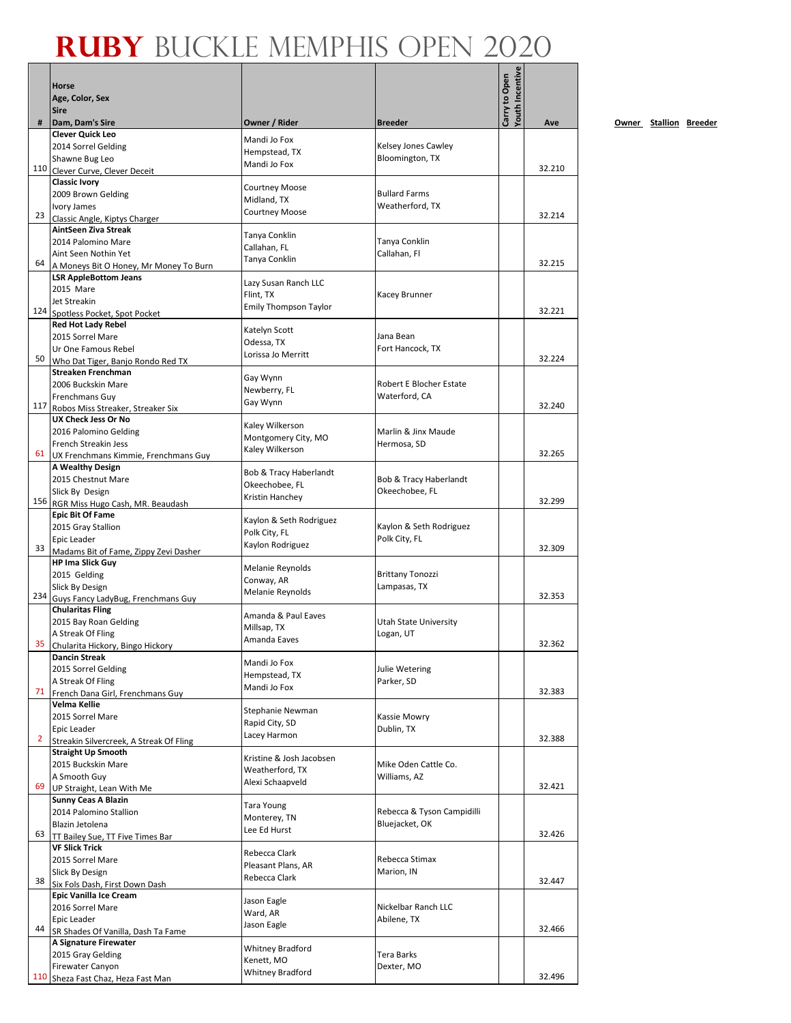|                | Horse<br>Age, Color, Sex                                     |                                          |                                         | Youth Incentive<br>Carry to Open |        |    |
|----------------|--------------------------------------------------------------|------------------------------------------|-----------------------------------------|----------------------------------|--------|----|
| #              | <b>Sire</b><br>Dam, Dam's Sire                               | Owner / Rider                            | <b>Breeder</b>                          |                                  | Ave    | Ow |
|                | <b>Clever Quick Leo</b>                                      |                                          |                                         |                                  |        |    |
|                | 2014 Sorrel Gelding                                          | Mandi Jo Fox<br>Hempstead, TX            | Kelsey Jones Cawley                     |                                  |        |    |
|                | Shawne Bug Leo                                               | Mandi Jo Fox                             | Bloomington, TX                         |                                  | 32.210 |    |
| 110            | Clever Curve, Clever Deceit<br><b>Classic Ivory</b>          |                                          |                                         |                                  |        |    |
|                | 2009 Brown Gelding                                           | <b>Courtney Moose</b>                    | <b>Bullard Farms</b>                    |                                  |        |    |
|                | Ivory James                                                  | Midland, TX                              | Weatherford, TX                         |                                  |        |    |
| 23             | Classic Angle, Kiptys Charger                                | <b>Courtney Moose</b>                    |                                         |                                  | 32.214 |    |
|                | AintSeen Ziva Streak                                         | Tanya Conklin                            |                                         |                                  |        |    |
|                | 2014 Palomino Mare<br>Aint Seen Nothin Yet                   | Callahan, FL                             | Tanya Conklin<br>Callahan, Fl           |                                  |        |    |
| 64             | A Moneys Bit O Honey, Mr Money To Burn                       | Tanya Conklin                            |                                         |                                  | 32.215 |    |
|                | <b>LSR AppleBottom Jeans</b>                                 | Lazy Susan Ranch LLC                     |                                         |                                  |        |    |
|                | 2015 Mare                                                    | Flint, TX                                | Kacey Brunner                           |                                  |        |    |
| 124            | Jet Streakin                                                 | <b>Emily Thompson Taylor</b>             |                                         |                                  | 32.221 |    |
|                | Spotless Pocket, Spot Pocket<br><b>Red Hot Lady Rebel</b>    |                                          |                                         |                                  |        |    |
|                | 2015 Sorrel Mare                                             | Katelyn Scott<br>Odessa, TX              | Jana Bean                               |                                  |        |    |
|                | Ur One Famous Rebel                                          | Lorissa Jo Merritt                       | Fort Hancock, TX                        |                                  |        |    |
| 50             | Who Dat Tiger, Banjo Rondo Red TX                            |                                          |                                         |                                  | 32.224 |    |
|                | <b>Streaken Frenchman</b><br>2006 Buckskin Mare              | Gay Wynn                                 | Robert E Blocher Estate                 |                                  |        |    |
|                | Frenchmans Guy                                               | Newberry, FL                             | Waterford, CA                           |                                  |        |    |
| 117            | Robos Miss Streaker, Streaker Six                            | Gay Wynn                                 |                                         |                                  | 32.240 |    |
|                | <b>UX Check Jess Or No</b>                                   | Kaley Wilkerson                          |                                         |                                  |        |    |
|                | 2016 Palomino Gelding                                        | Montgomery City, MO                      | Marlin & Jinx Maude                     |                                  |        |    |
| 61             | French Streakin Jess<br>UX Frenchmans Kimmie, Frenchmans Guy | Kaley Wilkerson                          | Hermosa, SD                             |                                  | 32.265 |    |
|                | A Wealthy Design                                             |                                          |                                         |                                  |        |    |
|                | 2015 Chestnut Mare                                           | Bob & Tracy Haberlandt<br>Okeechobee, FL | Bob & Tracy Haberlandt                  |                                  |        |    |
|                | Slick By Design                                              | Kristin Hanchey                          | Okeechobee, FL                          |                                  |        |    |
|                | 156 RGR Miss Hugo Cash, MR. Beaudash                         |                                          |                                         |                                  | 32.299 |    |
|                | <b>Epic Bit Of Fame</b><br>2015 Gray Stallion                | Kaylon & Seth Rodriguez                  | Kaylon & Seth Rodriguez                 |                                  |        |    |
|                | Epic Leader                                                  | Polk City, FL                            | Polk City, FL                           |                                  |        |    |
| 33             | Madams Bit of Fame, Zippy Zevi Dasher                        | Kaylon Rodriguez                         |                                         |                                  | 32.309 |    |
|                | <b>HP Ima Slick Guy</b>                                      | Melanie Reynolds                         |                                         |                                  |        |    |
|                | 2015 Gelding                                                 | Conway, AR                               | <b>Brittany Tonozzi</b><br>Lampasas, TX |                                  |        |    |
| 234            | Slick By Design<br>Guys Fancy LadyBug, Frenchmans Guy        | Melanie Reynolds                         |                                         |                                  | 32.353 |    |
|                | <b>Chularitas Fling</b>                                      | Amanda & Paul Eaves                      |                                         |                                  |        |    |
|                | 2015 Bay Roan Gelding                                        | Millsap, TX                              | <b>Utah State University</b>            |                                  |        |    |
|                | A Streak Of Fling                                            | Amanda Eaves                             | Logan, UT                               |                                  | 32.362 |    |
|                | 35 Chularita Hickory, Bingo Hickory<br><b>Dancin Streak</b>  |                                          |                                         |                                  |        |    |
|                | 2015 Sorrel Gelding                                          | Mandi Jo Fox                             | Julie Wetering                          |                                  |        |    |
|                | A Streak Of Fling                                            | Hempstead, TX<br>Mandi Jo Fox            | Parker, SD                              |                                  |        |    |
| 71             | French Dana Girl, Frenchmans Guy                             |                                          |                                         |                                  | 32.383 |    |
|                | Velma Kellie<br>2015 Sorrel Mare                             | Stephanie Newman                         | Kassie Mowry                            |                                  |        |    |
|                | Epic Leader                                                  | Rapid City, SD                           | Dublin, TX                              |                                  |        |    |
| $\overline{2}$ | Streakin Silvercreek, A Streak Of Fling                      | Lacey Harmon                             |                                         |                                  | 32.388 |    |
|                | <b>Straight Up Smooth</b>                                    | Kristine & Josh Jacobsen                 |                                         |                                  |        |    |
|                | 2015 Buckskin Mare                                           | Weatherford, TX                          | Mike Oden Cattle Co.                    |                                  |        |    |
| 69             | A Smooth Guy<br>UP Straight, Lean With Me                    | Alexi Schaapveld                         | Williams, AZ                            |                                  | 32.421 |    |
|                | <b>Sunny Ceas A Blazin</b>                                   |                                          |                                         |                                  |        |    |
|                | 2014 Palomino Stallion                                       | Tara Young<br>Monterey, TN               | Rebecca & Tyson Campidilli              |                                  |        |    |
|                | Blazin Jetolena                                              | Lee Ed Hurst                             | Bluejacket, OK                          |                                  |        |    |
| 63             | TT Bailey Sue, TT Five Times Bar                             |                                          |                                         |                                  | 32.426 |    |
|                | <b>VF Slick Trick</b><br>2015 Sorrel Mare                    | Rebecca Clark                            | Rebecca Stimax                          |                                  |        |    |
|                | Slick By Design                                              | Pleasant Plans, AR                       | Marion, IN                              |                                  |        |    |
| 38             | Six Fols Dash, First Down Dash                               | Rebecca Clark                            |                                         |                                  | 32.447 |    |
|                | Epic Vanilla Ice Cream                                       | Jason Eagle                              |                                         |                                  |        |    |
|                | 2016 Sorrel Mare                                             | Ward, AR                                 | Nickelbar Ranch LLC                     |                                  |        |    |
| 44             | Epic Leader<br>SR Shades Of Vanilla, Dash Ta Fame            | Jason Eagle                              | Abilene, TX                             |                                  | 32.466 |    |
|                | A Signature Firewater                                        |                                          |                                         |                                  |        |    |
|                | 2015 Gray Gelding                                            | <b>Whitney Bradford</b><br>Kenett, MO    | Tera Barks                              |                                  |        |    |
|                | Firewater Canyon                                             | <b>Whitney Bradford</b>                  | Dexter, MO                              |                                  | 32.496 |    |
|                | 110 Sheza Fast Chaz, Heza Fast Man                           |                                          |                                         |                                  |        |    |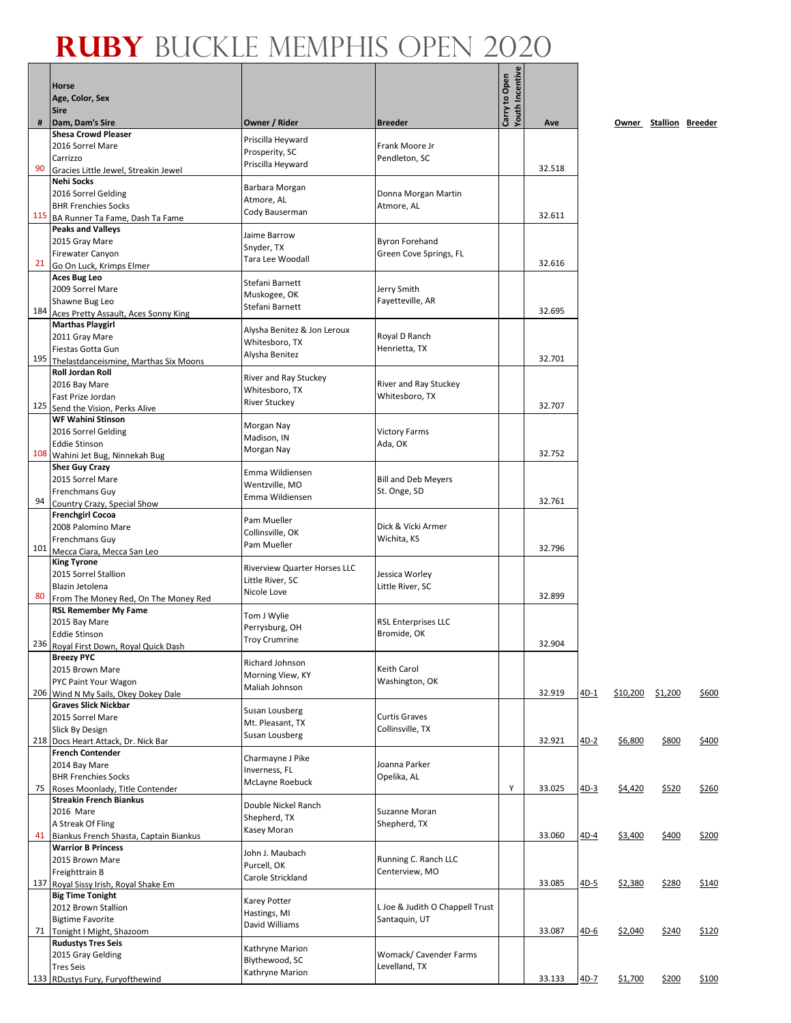| <b>Sire</b><br>#<br>Carrizzo<br>90<br><b>Nehi Socks</b> | Dam, Dam's Sire<br><b>Shesa Crowd Pleaser</b><br>2016 Sorrel Mare<br>Gracies Little Jewel, Streakin Jewel<br>2016 Sorrel Gelding<br><b>BHR Frenchies Socks</b><br>115 BA Runner Ta Fame, Dash Ta Fame | Owner / Rider<br>Priscilla Heyward<br>Prosperity, SC<br>Priscilla Heyward<br>Barbara Morgan | <b>Breeder</b><br>Frank Moore Jr<br>Pendleton, SC | Carry to Open<br>Youth Incentive | Ave    |        |          | Owner Stallion Breeder |       |
|---------------------------------------------------------|-------------------------------------------------------------------------------------------------------------------------------------------------------------------------------------------------------|---------------------------------------------------------------------------------------------|---------------------------------------------------|----------------------------------|--------|--------|----------|------------------------|-------|
|                                                         |                                                                                                                                                                                                       |                                                                                             |                                                   |                                  |        |        |          |                        |       |
|                                                         |                                                                                                                                                                                                       |                                                                                             |                                                   |                                  | 32.518 |        |          |                        |       |
|                                                         |                                                                                                                                                                                                       | Atmore, AL<br>Cody Bauserman                                                                | Donna Morgan Martin<br>Atmore, AL                 |                                  | 32.611 |        |          |                        |       |
| 21                                                      | <b>Peaks and Valleys</b><br>2015 Gray Mare<br><b>Firewater Canyon</b><br>Go On Luck, Krimps Elmer                                                                                                     | Jaime Barrow<br>Snyder, TX<br>Tara Lee Woodall                                              | <b>Byron Forehand</b><br>Green Cove Springs, FL   |                                  | 32.616 |        |          |                        |       |
|                                                         | <b>Aces Bug Leo</b><br>2009 Sorrel Mare<br>Shawne Bug Leo<br>184 Aces Pretty Assault, Aces Sonny King                                                                                                 | Stefani Barnett<br>Muskogee, OK<br>Stefani Barnett                                          | Jerry Smith<br>Fayetteville, AR                   |                                  | 32.695 |        |          |                        |       |
|                                                         | <b>Marthas Playgirl</b><br>2011 Gray Mare<br>Fiestas Gotta Gun<br>195 Thelastdanceismine, Marthas Six Moons                                                                                           | Alysha Benitez & Jon Leroux<br>Whitesboro, TX<br>Alysha Benitez                             | Royal D Ranch<br>Henrietta, TX                    |                                  | 32.701 |        |          |                        |       |
| 125                                                     | <b>Roll Jordan Roll</b><br>2016 Bay Mare<br>Fast Prize Jordan<br>Send the Vision, Perks Alive                                                                                                         | River and Ray Stuckey<br>Whitesboro, TX<br><b>River Stuckey</b>                             | River and Ray Stuckey<br>Whitesboro, TX           |                                  | 32.707 |        |          |                        |       |
|                                                         | <b>WF Wahini Stinson</b><br>2016 Sorrel Gelding<br><b>Eddie Stinson</b><br>108 Wahini Jet Bug, Ninnekah Bug                                                                                           | Morgan Nay<br>Madison, IN<br>Morgan Nay                                                     | <b>Victory Farms</b><br>Ada, OK                   |                                  | 32.752 |        |          |                        |       |
| 94                                                      | <b>Shez Guy Crazy</b><br>2015 Sorrel Mare<br>Frenchmans Guy<br>Country Crazy, Special Show                                                                                                            | Emma Wildiensen<br>Wentzville, MO<br>Emma Wildiensen                                        | <b>Bill and Deb Meyers</b><br>St. Onge, SD        |                                  | 32.761 |        |          |                        |       |
|                                                         | <b>Frenchgirl Cocoa</b><br>2008 Palomino Mare<br>Frenchmans Guy<br>101 Mecca Ciara, Mecca San Leo                                                                                                     | Pam Mueller<br>Collinsville, OK<br>Pam Mueller                                              | Dick & Vicki Armer<br>Wichita, KS                 |                                  | 32.796 |        |          |                        |       |
| <b>King Tyrone</b><br>80                                | 2015 Sorrel Stallion<br>Blazin Jetolena<br>From The Money Red, On The Money Red                                                                                                                       | <b>Riverview Quarter Horses LLC</b><br>Little River, SC<br>Nicole Love                      | Jessica Worley<br>Little River, SC                |                                  | 32.899 |        |          |                        |       |
|                                                         | <b>RSL Remember My Fame</b><br>2015 Bay Mare<br><b>Eddie Stinson</b><br>236 Royal First Down, Royal Quick Dash                                                                                        | Tom J Wylie<br>Perrysburg, OH<br>Troy Crumrine                                              | <b>RSL Enterprises LLC</b><br>Bromide, OK         |                                  | 32.904 |        |          |                        |       |
| <b>Breezy PYC</b>                                       | 2015 Brown Mare<br>PYC Paint Your Wagon<br>206 Wind N My Sails, Okey Dokey Dale                                                                                                                       | Richard Johnson<br>Morning View, KY<br>Maliah Johnson                                       | Keith Carol<br>Washington, OK                     |                                  | 32.919 | 4D-1   | \$10,200 | \$1,200                | \$600 |
|                                                         | <b>Graves Slick Nickbar</b><br>2015 Sorrel Mare<br>Slick By Design<br>218 Docs Heart Attack, Dr. Nick Bar                                                                                             | Susan Lousberg<br>Mt. Pleasant, TX<br>Susan Lousberg                                        | <b>Curtis Graves</b><br>Collinsville, TX          |                                  | 32.921 | $4D-2$ | \$6,800  | \$800                  | \$400 |
| 75                                                      | <b>French Contender</b><br>2014 Bay Mare<br><b>BHR Frenchies Socks</b><br>Roses Moonlady, Title Contender                                                                                             | Charmayne J Pike<br>Inverness, FL<br>McLayne Roebuck                                        | Joanna Parker<br>Opelika, AL                      | Υ                                | 33.025 | $4D-3$ | \$4,420  | \$520                  | \$260 |
| 2016 Mare                                               | <b>Streakin French Biankus</b><br>A Streak Of Fling<br>41 Biankus French Shasta, Captain Biankus                                                                                                      | Double Nickel Ranch<br>Shepherd, TX<br>Kasey Moran                                          | Suzanne Moran<br>Shepherd, TX                     |                                  | 33.060 | $4D-4$ | \$3,400  | \$400                  | \$200 |
|                                                         | <b>Warrior B Princess</b><br>2015 Brown Mare<br>Freighttrain B<br>137 Royal Sissy Irish, Royal Shake Em                                                                                               | John J. Maubach<br>Purcell, OK<br>Carole Strickland                                         | Running C. Ranch LLC<br>Centerview, MO            |                                  | 33.085 | $4D-5$ | \$2,380  | \$280                  | \$140 |
|                                                         | <b>Big Time Tonight</b><br>2012 Brown Stallion<br><b>Bigtime Favorite</b><br>71 Tonight I Might, Shazoom                                                                                              | <b>Karey Potter</b><br>Hastings, MI<br>David Williams                                       | L Joe & Judith O Chappell Trust<br>Santaquin, UT  |                                  | 33.087 | $4D-6$ | \$2,040  | \$240                  | \$120 |
| <b>Tres Seis</b>                                        | <b>Rudustys Tres Seis</b><br>2015 Gray Gelding<br>133 RDustys Fury, Furyofthewind                                                                                                                     | Kathryne Marion<br>Blythewood, SC<br>Kathryne Marion                                        | Womack/ Cavender Farms<br>Levelland, TX           |                                  | 33.133 | $4D-7$ | \$1,700  | \$200                  | \$100 |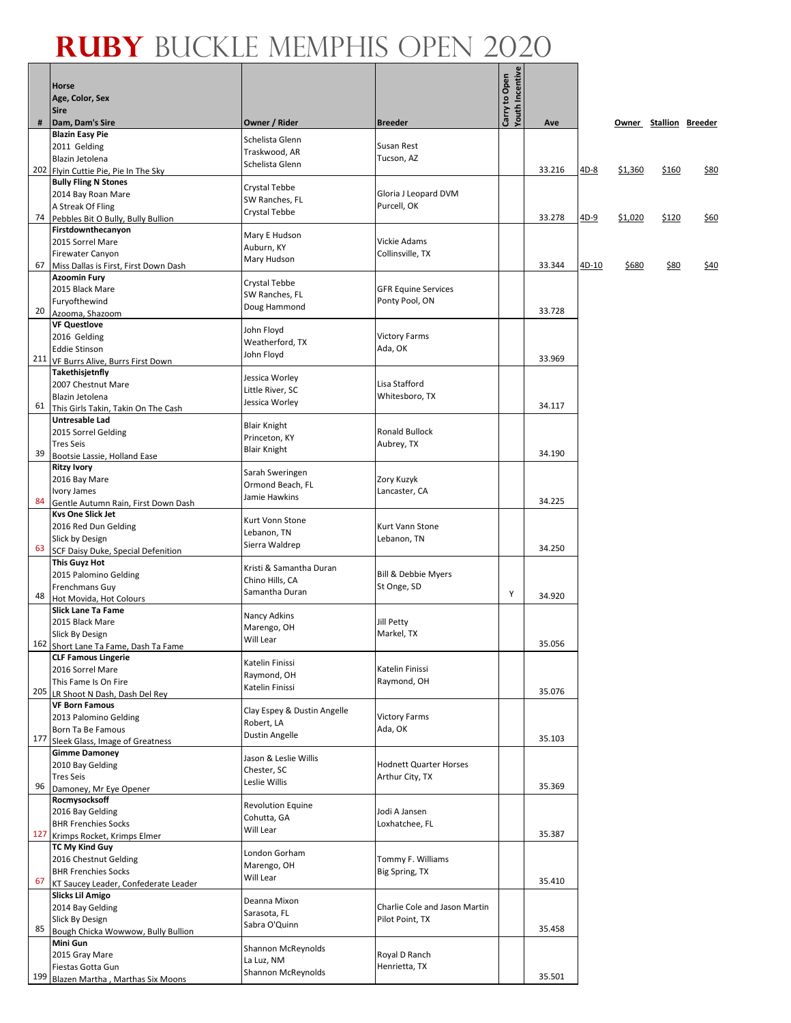Г

┓

|     | Horse<br>Age, Color, Sex                                        |                                         |                                | Carry to Open<br>Youth Incentive |        |             |         |                        |      |
|-----|-----------------------------------------------------------------|-----------------------------------------|--------------------------------|----------------------------------|--------|-------------|---------|------------------------|------|
| #   | <b>Sire</b><br>Dam, Dam's Sire                                  | Owner / Rider                           | <b>Breeder</b>                 |                                  | Ave    |             |         | Owner Stallion Breeder |      |
|     | <b>Blazin Easy Pie</b>                                          | Schelista Glenn                         |                                |                                  |        |             |         |                        |      |
|     | 2011 Gelding                                                    | Traskwood, AR                           | Susan Rest                     |                                  |        |             |         |                        |      |
|     | Blazin Jetolena<br>202 Flyin Cuttie Pie, Pie In The Sky         | Schelista Glenn                         | Tucson, AZ                     |                                  | 33.216 | 4D-8        | \$1,360 | \$160                  | \$80 |
|     | <b>Bully Fling N Stones</b>                                     |                                         |                                |                                  |        |             |         |                        |      |
|     | 2014 Bay Roan Mare                                              | <b>Crystal Tebbe</b><br>SW Ranches, FL  | Gloria J Leopard DVM           |                                  |        |             |         |                        |      |
|     | A Streak Of Fling                                               | Crystal Tebbe                           | Purcell, OK                    |                                  |        |             |         |                        |      |
|     | 74 Pebbles Bit O Bully, Bully Bullion<br>Firstdownthecanyon     |                                         |                                |                                  | 33.278 | <u>4D-9</u> | \$1,020 | \$120                  | \$60 |
|     | 2015 Sorrel Mare                                                | Mary E Hudson<br>Auburn, KY             | Vickie Adams                   |                                  |        |             |         |                        |      |
|     | Firewater Canyon                                                | Mary Hudson                             | Collinsville, TX               |                                  |        |             |         |                        |      |
| 67  | Miss Dallas is First, First Down Dash<br><b>Azoomin Fury</b>    |                                         |                                |                                  | 33.344 | 4D-10       | \$680   | \$80                   | \$40 |
|     | 2015 Black Mare                                                 | <b>Crystal Tebbe</b>                    | <b>GFR Equine Services</b>     |                                  |        |             |         |                        |      |
|     | Furyofthewind                                                   | SW Ranches, FL<br>Doug Hammond          | Ponty Pool, ON                 |                                  |        |             |         |                        |      |
| 20  | Azooma, Shazoom<br><b>VF Questlove</b>                          |                                         |                                |                                  | 33.728 |             |         |                        |      |
|     | 2016 Gelding                                                    | John Floyd                              | <b>Victory Farms</b>           |                                  |        |             |         |                        |      |
|     | <b>Eddie Stinson</b>                                            | Weatherford, TX<br>John Floyd           | Ada, OK                        |                                  |        |             |         |                        |      |
| 211 | VF Burrs Alive, Burrs First Down                                |                                         |                                |                                  | 33.969 |             |         |                        |      |
|     | Takethisjetnfly<br>2007 Chestnut Mare                           | Jessica Worley                          | Lisa Stafford                  |                                  |        |             |         |                        |      |
|     | Blazin Jetolena                                                 | Little River, SC<br>Jessica Worley      | Whitesboro, TX                 |                                  |        |             |         |                        |      |
| 61  | This Girls Takin, Takin On The Cash                             |                                         |                                |                                  | 34.117 |             |         |                        |      |
|     | Untresable Lad<br>2015 Sorrel Gelding                           | <b>Blair Knight</b>                     | <b>Ronald Bullock</b>          |                                  |        |             |         |                        |      |
|     | <b>Tres Seis</b>                                                | Princeton, KY                           | Aubrey, TX                     |                                  |        |             |         |                        |      |
| 39  | Bootsie Lassie, Holland Ease                                    | <b>Blair Knight</b>                     |                                |                                  | 34.190 |             |         |                        |      |
|     | <b>Ritzy Ivory</b>                                              | Sarah Sweringen                         |                                |                                  |        |             |         |                        |      |
|     | 2016 Bay Mare<br>Ivory James                                    | Ormond Beach, FL                        | Zory Kuzyk<br>Lancaster, CA    |                                  |        |             |         |                        |      |
| 84  | Gentle Autumn Rain, First Down Dash                             | Jamie Hawkins                           |                                |                                  | 34.225 |             |         |                        |      |
|     | <b>Kvs One Slick Jet</b>                                        | Kurt Vonn Stone                         |                                |                                  |        |             |         |                        |      |
|     | 2016 Red Dun Gelding<br>Slick by Design                         | Lebanon, TN                             | Kurt Vann Stone<br>Lebanon, TN |                                  |        |             |         |                        |      |
| 63  | SCF Daisy Duke, Special Defenition                              | Sierra Waldrep                          |                                |                                  | 34.250 |             |         |                        |      |
|     | <b>This Guyz Hot</b>                                            | Kristi & Samantha Duran                 |                                |                                  |        |             |         |                        |      |
|     | 2015 Palomino Gelding<br>Frenchmans Guy                         | Chino Hills, CA                         | Bill & Debbie Myers            |                                  |        |             |         |                        |      |
| 48  | Hot Movida, Hot Colours                                         | Samantha Duran                          | St Onge, SD                    | Y                                | 34.920 |             |         |                        |      |
|     | <b>Slick Lane Ta Fame</b>                                       | Nancy Adkins                            |                                |                                  |        |             |         |                        |      |
|     | 2015 Black Mare                                                 | Marengo, OH                             | Jill Petty                     |                                  |        |             |         |                        |      |
|     | Slick By Design<br>162 Short Lane Ta Fame, Dash Ta Fame         | Will Lear                               | Markel, TX                     |                                  | 35.056 |             |         |                        |      |
|     | <b>CLF Famous Lingerie</b>                                      | Katelin Finissi                         |                                |                                  |        |             |         |                        |      |
|     | 2016 Sorrel Mare                                                | Raymond, OH                             | Katelin Finissi                |                                  |        |             |         |                        |      |
| 205 | This Fame Is On Fire<br>LR Shoot N Dash, Dash Del Rey           | Katelin Finissi                         | Raymond, OH                    |                                  | 35.076 |             |         |                        |      |
|     | <b>VF Born Famous</b>                                           | Clay Espey & Dustin Angelle             |                                |                                  |        |             |         |                        |      |
|     | 2013 Palomino Gelding                                           | Robert, LA                              | <b>Victory Farms</b>           |                                  |        |             |         |                        |      |
| 177 | Born Ta Be Famous<br>Sleek Glass, Image of Greatness            | Dustin Angelle                          | Ada, OK                        |                                  | 35.103 |             |         |                        |      |
|     | <b>Gimme Damoney</b>                                            |                                         |                                |                                  |        |             |         |                        |      |
|     | 2010 Bay Gelding                                                | Jason & Leslie Willis<br>Chester, SC    | <b>Hodnett Quarter Horses</b>  |                                  |        |             |         |                        |      |
| 96  | <b>Tres Seis</b>                                                | Leslie Willis                           | Arthur City, TX                |                                  | 35.369 |             |         |                        |      |
|     | Damoney, Mr Eye Opener<br>Rocmysocksoff                         |                                         |                                |                                  |        |             |         |                        |      |
|     | 2016 Bay Gelding                                                | <b>Revolution Equine</b><br>Cohutta, GA | Jodi A Jansen                  |                                  |        |             |         |                        |      |
| 127 | <b>BHR Frenchies Socks</b>                                      | Will Lear                               | Loxhatchee, FL                 |                                  | 35.387 |             |         |                        |      |
|     | Krimps Rocket, Krimps Elmer<br><b>TC My Kind Guy</b>            |                                         |                                |                                  |        |             |         |                        |      |
|     | 2016 Chestnut Gelding                                           | London Gorham                           | Tommy F. Williams              |                                  |        |             |         |                        |      |
|     | <b>BHR Frenchies Socks</b>                                      | Marengo, OH<br>Will Lear                | Big Spring, TX                 |                                  |        |             |         |                        |      |
| 67  | KT Saucey Leader, Confederate Leader<br><b>Slicks Lil Amigo</b> |                                         |                                |                                  | 35.410 |             |         |                        |      |
|     | 2014 Bay Gelding                                                | Deanna Mixon                            | Charlie Cole and Jason Martin  |                                  |        |             |         |                        |      |
|     | Slick By Design                                                 | Sarasota, FL<br>Sabra O'Quinn           | Pilot Point, TX                |                                  |        |             |         |                        |      |
| 85  | Bough Chicka Wowwow, Bully Bullion                              |                                         |                                |                                  | 35.458 |             |         |                        |      |
|     | Mini Gun<br>2015 Gray Mare                                      | Shannon McReynolds                      | Royal D Ranch                  |                                  |        |             |         |                        |      |
|     | Fiestas Gotta Gun                                               | La Luz, NM                              | Henrietta, TX                  |                                  |        |             |         |                        |      |
| 199 | Blazen Martha, Marthas Six Moons                                | Shannon McReynolds                      |                                |                                  | 35.501 |             |         |                        |      |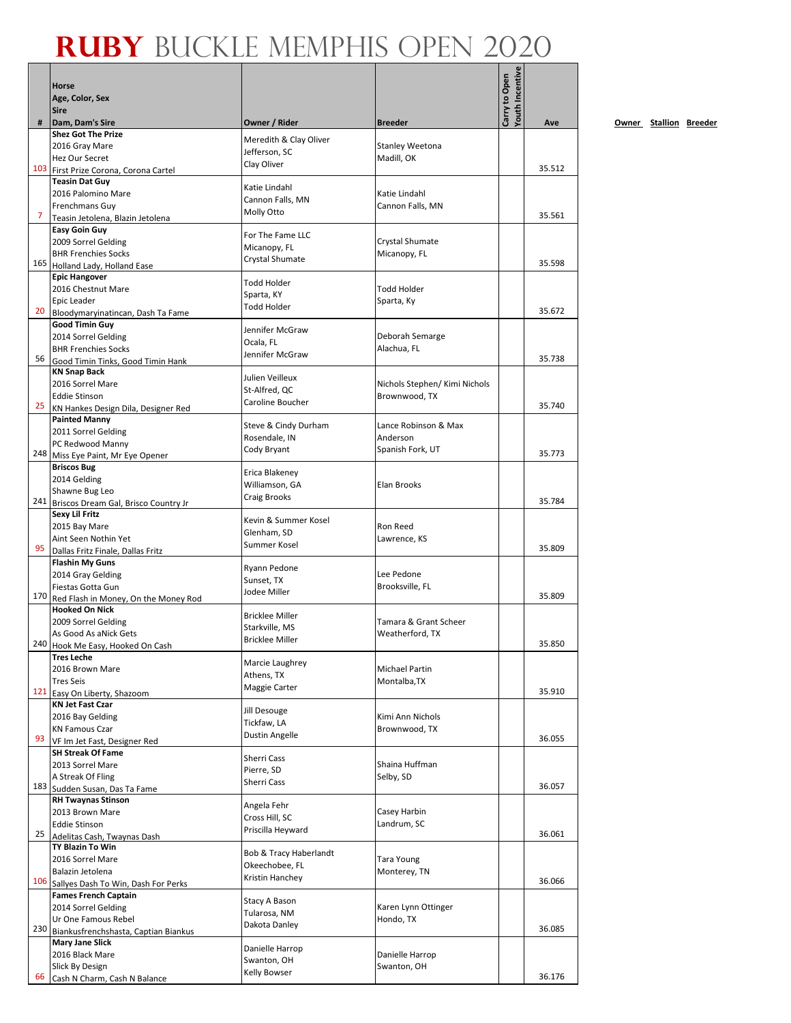|     | <b>Horse</b>                                               |                                  |                                 | <b>routh Incentive</b><br>Carry to Open |        |
|-----|------------------------------------------------------------|----------------------------------|---------------------------------|-----------------------------------------|--------|
|     | Age, Color, Sex                                            |                                  |                                 |                                         |        |
|     | <b>Sire</b>                                                |                                  |                                 |                                         |        |
| #   | Dam, Dam's Sire<br><b>Shez Got The Prize</b>               | Owner / Rider                    | <b>Breeder</b>                  |                                         | Ave    |
|     | 2016 Gray Mare                                             | Meredith & Clay Oliver           | <b>Stanley Weetona</b>          |                                         |        |
|     | Hez Our Secret                                             | Jefferson, SC                    | Madill, OK                      |                                         |        |
|     | 103 First Prize Corona, Corona Cartel                      | Clay Oliver                      |                                 |                                         | 35.512 |
|     | <b>Teasin Dat Guy</b>                                      | Katie Lindahl                    |                                 |                                         |        |
|     | 2016 Palomino Mare                                         | Cannon Falls, MN                 | Katie Lindahl                   |                                         |        |
|     | Frenchmans Guy                                             | <b>Molly Otto</b>                | Cannon Falls, MN                |                                         |        |
| 7   | Teasin Jetolena, Blazin Jetolena                           |                                  |                                 |                                         | 35.561 |
|     | <b>Easy Goin Guy</b>                                       | For The Fame LLC                 |                                 |                                         |        |
|     | 2009 Sorrel Gelding<br><b>BHR Frenchies Socks</b>          | Micanopy, FL                     | Crystal Shumate<br>Micanopy, FL |                                         |        |
|     | 165 Holland Lady, Holland Ease                             | <b>Crystal Shumate</b>           |                                 |                                         | 35.598 |
|     | <b>Epic Hangover</b>                                       |                                  |                                 |                                         |        |
|     | 2016 Chestnut Mare                                         | <b>Todd Holder</b>               | <b>Todd Holder</b>              |                                         |        |
|     | Epic Leader                                                | Sparta, KY<br><b>Todd Holder</b> | Sparta, Ky                      |                                         |        |
| 20  | Bloodymaryinatincan, Dash Ta Fame                          |                                  |                                 |                                         | 35.672 |
|     | <b>Good Timin Guy</b>                                      | Jennifer McGraw                  |                                 |                                         |        |
|     | 2014 Sorrel Gelding                                        | Ocala, FL                        | Deborah Semarge                 |                                         |        |
| 56  | <b>BHR Frenchies Socks</b>                                 | Jennifer McGraw                  | Alachua, FL                     |                                         | 35.738 |
|     | Good Timin Tinks, Good Timin Hank<br><b>KN Snap Back</b>   |                                  |                                 |                                         |        |
|     | 2016 Sorrel Mare                                           | Julien Veilleux                  | Nichols Stephen/ Kimi Nichols   |                                         |        |
|     | <b>Eddie Stinson</b>                                       | St-Alfred, OC                    | Brownwood, TX                   |                                         |        |
| 25  | KN Hankes Design Dila, Designer Red                        | Caroline Boucher                 |                                 |                                         | 35.740 |
|     | <b>Painted Manny</b>                                       | Steve & Cindy Durham             | Lance Robinson & Max            |                                         |        |
|     | 2011 Sorrel Gelding                                        | Rosendale, IN                    | Anderson                        |                                         |        |
|     | PC Redwood Manny                                           | Cody Bryant                      | Spanish Fork, UT                |                                         |        |
|     | 248 Miss Eye Paint, Mr Eye Opener                          |                                  |                                 |                                         | 35.773 |
|     | <b>Briscos Bug</b>                                         | Erica Blakeney                   |                                 |                                         |        |
|     | 2014 Gelding                                               | Williamson, GA                   | Elan Brooks                     |                                         |        |
|     | Shawne Bug Leo<br>241 Briscos Dream Gal, Brisco Country Jr | Craig Brooks                     |                                 |                                         | 35.784 |
|     | <b>Sexy Lil Fritz</b>                                      |                                  |                                 |                                         |        |
|     | 2015 Bay Mare                                              | Kevin & Summer Kosel             | Ron Reed                        |                                         |        |
|     | Aint Seen Nothin Yet                                       | Glenham, SD                      | Lawrence, KS                    |                                         |        |
| 95  | Dallas Fritz Finale, Dallas Fritz                          | Summer Kosel                     |                                 |                                         | 35.809 |
|     | <b>Flashin My Guns</b>                                     | Ryann Pedone                     |                                 |                                         |        |
|     | 2014 Gray Gelding                                          | Sunset, TX                       | Lee Pedone                      |                                         |        |
|     | Fiestas Gotta Gun                                          | Jodee Miller                     | Brooksville, FL                 |                                         | 35.809 |
|     | 170 Red Flash in Money, On the Money Rod                   |                                  |                                 |                                         |        |
|     | <b>Hooked On Nick</b><br>2009 Sorrel Gelding               | <b>Bricklee Miller</b>           | Tamara & Grant Scheer           |                                         |        |
|     | As Good As aNick Gets                                      | Starkville, MS                   | Weatherford, TX                 |                                         |        |
|     | 240 Hook Me Easy, Hooked On Cash                           | <b>Bricklee Miller</b>           |                                 |                                         | 35.850 |
|     | <b>Tres Leche</b>                                          |                                  |                                 |                                         |        |
|     | 2016 Brown Mare                                            | Marcie Laughrey<br>Athens, TX    | Michael Partin                  |                                         |        |
|     | <b>Tres Seis</b>                                           | Maggie Carter                    | Montalba, TX                    |                                         |        |
| 121 | Easy On Liberty, Shazoom                                   |                                  |                                 |                                         | 35.910 |
|     | <b>KN Jet Fast Czar</b>                                    | Jill Desouge                     |                                 |                                         |        |
|     | 2016 Bay Gelding<br><b>KN Famous Czar</b>                  | Tickfaw, LA                      | Kimi Ann Nichols                |                                         |        |
| 93  | VF Im Jet Fast, Designer Red                               | Dustin Angelle                   | Brownwood, TX                   |                                         | 36.055 |
|     | <b>SH Streak Of Fame</b>                                   |                                  |                                 |                                         |        |
|     | 2013 Sorrel Mare                                           | <b>Sherri Cass</b>               | Shaina Huffman                  |                                         |        |
|     | A Streak Of Fling                                          | Pierre, SD                       | Selby, SD                       |                                         |        |
|     | 183 Sudden Susan, Das Ta Fame                              | Sherri Cass                      |                                 |                                         | 36.057 |
|     | <b>RH Twaynas Stinson</b>                                  | Angela Fehr                      |                                 |                                         |        |
|     | 2013 Brown Mare                                            | Cross Hill, SC                   | Casey Harbin                    |                                         |        |
|     | <b>Eddie Stinson</b>                                       | Priscilla Heyward                | Landrum, SC                     |                                         |        |
| 25  | Adelitas Cash, Twaynas Dash                                |                                  |                                 |                                         | 36.061 |
|     | <b>TY Blazin To Win</b><br>2016 Sorrel Mare                | Bob & Tracy Haberlandt           | <b>Tara Young</b>               |                                         |        |
|     | Balazin Jetolena                                           | Okeechobee, FL                   | Monterey, TN                    |                                         |        |
|     | 106 Sallyes Dash To Win, Dash For Perks                    | Kristin Hanchey                  |                                 |                                         | 36.066 |
|     | <b>Fames French Captain</b>                                |                                  |                                 |                                         |        |
|     | 2014 Sorrel Gelding                                        | Stacy A Bason                    | Karen Lynn Ottinger             |                                         |        |
|     | Ur One Famous Rebel                                        | Tularosa, NM<br>Dakota Danley    | Hondo, TX                       |                                         |        |
| 230 | Biankusfrenchshasta, Captian Biankus                       |                                  |                                 |                                         | 36.085 |
|     | <b>Mary Jane Slick</b>                                     | Danielle Harrop                  |                                 |                                         |        |
|     | 2016 Black Mare                                            | Swanton, OH                      | Danielle Harrop                 |                                         |        |
| 66  | Slick By Design<br>Cash N Charm, Cash N Balance            | <b>Kelly Bowser</b>              | Swanton, OH                     |                                         | 36.176 |
|     |                                                            |                                  |                                 |                                         |        |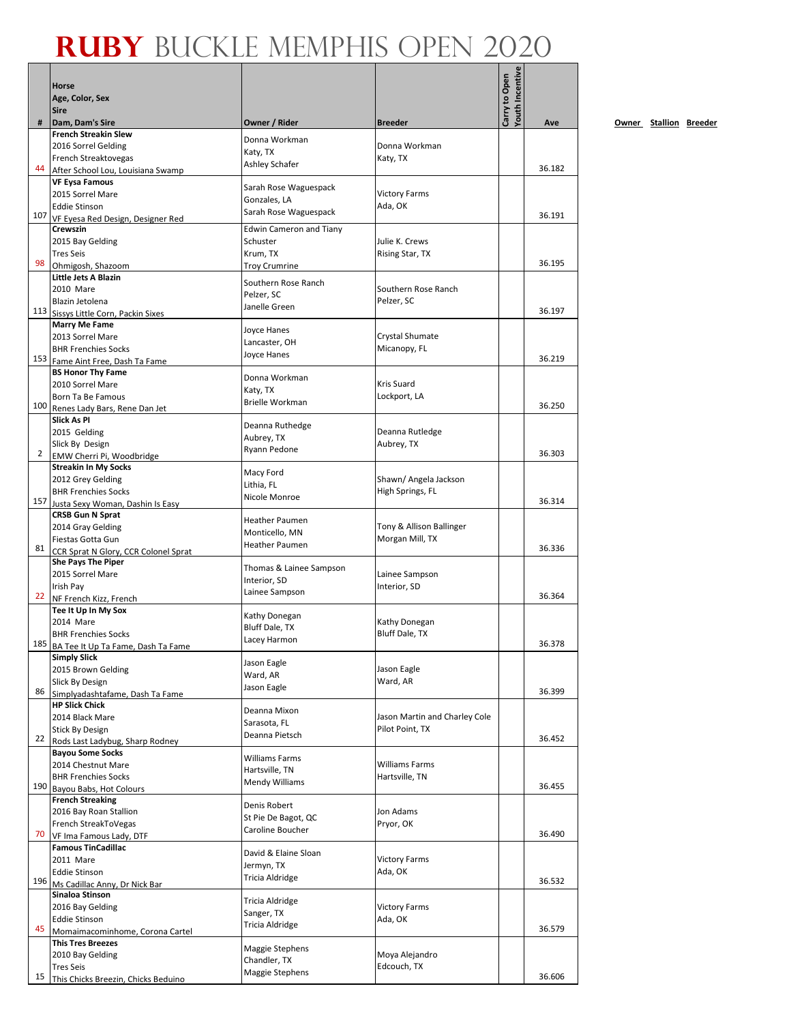|                |                                                               |                                         |                                                  | <b>routh Incentive</b> |        |           |
|----------------|---------------------------------------------------------------|-----------------------------------------|--------------------------------------------------|------------------------|--------|-----------|
|                | <b>Horse</b>                                                  |                                         |                                                  | Carry to Open          |        |           |
|                | Age, Color, Sex<br><b>Sire</b>                                |                                         |                                                  |                        |        |           |
| #              | Dam, Dam's Sire                                               | Owner / Rider                           | <b>Breeder</b>                                   |                        | Ave    | <u>Ow</u> |
|                | <b>French Streakin Slew</b>                                   | Donna Workman                           |                                                  |                        |        |           |
|                | 2016 Sorrel Gelding                                           | Katy, TX                                | Donna Workman                                    |                        |        |           |
|                | French Streaktovegas                                          | Ashley Schafer                          | Katy, TX                                         |                        |        |           |
| 44             | After School Lou, Louisiana Swamp                             |                                         |                                                  |                        | 36.182 |           |
|                | <b>VF Eysa Famous</b><br>2015 Sorrel Mare                     | Sarah Rose Waguespack                   | <b>Victory Farms</b>                             |                        |        |           |
|                | <b>Eddie Stinson</b>                                          | Gonzales, LA                            | Ada, OK                                          |                        |        |           |
| 107            | VF Eyesa Red Design, Designer Red                             | Sarah Rose Waguespack                   |                                                  |                        | 36.191 |           |
|                | Crewszin                                                      | <b>Edwin Cameron and Tiany</b>          |                                                  |                        |        |           |
|                | 2015 Bay Gelding                                              | Schuster                                | Julie K. Crews                                   |                        |        |           |
| 98             | <b>Tres Seis</b>                                              | Krum, TX                                | Rising Star, TX                                  |                        | 36.195 |           |
|                | Ohmigosh, Shazoom<br>Little Jets A Blazin                     | <b>Troy Crumrine</b>                    |                                                  |                        |        |           |
|                | 2010 Mare                                                     | Southern Rose Ranch                     | Southern Rose Ranch                              |                        |        |           |
|                | Blazin Jetolena                                               | Pelzer, SC<br>Janelle Green             | Pelzer, SC                                       |                        |        |           |
| 113            | Sissys Little Corn, Packin Sixes                              |                                         |                                                  |                        | 36.197 |           |
|                | <b>Marry Me Fame</b>                                          | Joyce Hanes                             |                                                  |                        |        |           |
|                | 2013 Sorrel Mare<br><b>BHR Frenchies Socks</b>                | Lancaster, OH                           | Crystal Shumate<br>Micanopy, FL                  |                        |        |           |
| 153            | Fame Aint Free, Dash Ta Fame                                  | Joyce Hanes                             |                                                  |                        | 36.219 |           |
|                | <b>BS Honor Thy Fame</b>                                      | Donna Workman                           |                                                  |                        |        |           |
|                | 2010 Sorrel Mare                                              | Katy, TX                                | Kris Suard                                       |                        |        |           |
|                | Born Ta Be Famous                                             | <b>Brielle Workman</b>                  | Lockport, LA                                     |                        | 36.250 |           |
| 100            | Renes Lady Bars, Rene Dan Jet<br>Slick As PI                  |                                         |                                                  |                        |        |           |
|                | 2015 Gelding                                                  | Deanna Ruthedge                         | Deanna Rutledge                                  |                        |        |           |
|                | Slick By Design                                               | Aubrey, TX                              | Aubrey, TX                                       |                        |        |           |
| $\overline{2}$ | EMW Cherri Pi, Woodbridge                                     | Ryann Pedone                            |                                                  |                        | 36.303 |           |
|                | <b>Streakin In My Socks</b>                                   | Macy Ford                               |                                                  |                        |        |           |
|                | 2012 Grey Gelding                                             | Lithia, FL                              | Shawn/ Angela Jackson                            |                        |        |           |
| 157            | <b>BHR Frenchies Socks</b>                                    | Nicole Monroe                           | High Springs, FL                                 |                        | 36.314 |           |
|                | Justa Sexy Woman, Dashin Is Easy<br><b>CRSB Gun N Sprat</b>   |                                         |                                                  |                        |        |           |
|                | 2014 Gray Gelding                                             | <b>Heather Paumen</b>                   | Tony & Allison Ballinger                         |                        |        |           |
|                | Fiestas Gotta Gun                                             | Monticello, MN<br><b>Heather Paumen</b> | Morgan Mill, TX                                  |                        |        |           |
| 81             | CCR Sprat N Glory, CCR Colonel Sprat                          |                                         |                                                  |                        | 36.336 |           |
|                | <b>She Pays The Piper</b><br>2015 Sorrel Mare                 | Thomas & Lainee Sampson                 | Lainee Sampson                                   |                        |        |           |
|                | Irish Pay                                                     | Interior, SD                            | Interior, SD                                     |                        |        |           |
| 22             | NF French Kizz, French                                        | Lainee Sampson                          |                                                  |                        | 36.364 |           |
|                | Tee It Up In My Sox                                           | Kathy Donegan                           |                                                  |                        |        |           |
|                | 2014 Mare                                                     | <b>Bluff Dale, TX</b>                   | Kathy Donegan                                    |                        |        |           |
|                | <b>BHR Frenchies Socks</b>                                    | Lacey Harmon                            | Bluff Dale, TX                                   |                        | 36.378 |           |
|                | 185 BA Tee It Up Ta Fame, Dash Ta Fame<br><b>Simply Slick</b> |                                         |                                                  |                        |        |           |
|                | 2015 Brown Gelding                                            | Jason Eagle                             | Jason Eagle                                      |                        |        |           |
|                | Slick By Design                                               | Ward, AR                                | Ward, AR                                         |                        |        |           |
| 86             | Simplyadashtafame, Dash Ta Fame                               | Jason Eagle                             |                                                  |                        | 36.399 |           |
|                | <b>HP Slick Chick</b>                                         | Deanna Mixon                            |                                                  |                        |        |           |
|                | 2014 Black Mare<br><b>Stick By Design</b>                     | Sarasota, FL                            | Jason Martin and Charley Cole<br>Pilot Point, TX |                        |        |           |
| 22             | Rods Last Ladybug, Sharp Rodney                               | Deanna Pietsch                          |                                                  |                        | 36.452 |           |
|                | <b>Bayou Some Socks</b>                                       |                                         |                                                  |                        |        |           |
|                | 2014 Chestnut Mare                                            | Williams Farms<br>Hartsville, TN        | Williams Farms                                   |                        |        |           |
|                | <b>BHR Frenchies Socks</b>                                    | Mendy Williams                          | Hartsville, TN                                   |                        |        |           |
| 190            | Bayou Babs, Hot Colours<br><b>French Streaking</b>            |                                         |                                                  |                        | 36.455 |           |
|                | 2016 Bay Roan Stallion                                        | Denis Robert                            | Jon Adams                                        |                        |        |           |
|                | French StreakToVegas                                          | St Pie De Bagot, QC                     | Pryor, OK                                        |                        |        |           |
| 70             | VF Ima Famous Lady, DTF                                       | Caroline Boucher                        |                                                  |                        | 36.490 |           |
|                | <b>Famous TinCadillac</b>                                     | David & Elaine Sloan                    |                                                  |                        |        |           |
|                | 2011 Mare                                                     | Jermyn, TX                              | <b>Victory Farms</b>                             |                        |        |           |
| 196            | <b>Eddie Stinson</b>                                          | Tricia Aldridge                         | Ada, OK                                          |                        | 36.532 |           |
|                | Ms Cadillac Anny, Dr Nick Bar<br>Sinaloa Stinson              |                                         |                                                  |                        |        |           |
|                | 2016 Bay Gelding                                              | Tricia Aldridge                         | <b>Victory Farms</b>                             |                        |        |           |
|                | <b>Eddie Stinson</b>                                          | Sanger, TX<br>Tricia Aldridge           | Ada, OK                                          |                        |        |           |
| 45             | Momaimacominhome, Corona Cartel                               |                                         |                                                  |                        | 36.579 |           |
|                | <b>This Tres Breezes</b>                                      | Maggie Stephens                         |                                                  |                        |        |           |
|                | 2010 Bay Gelding<br><b>Tres Seis</b>                          | Chandler, TX                            | Moya Alejandro<br>Edcouch, TX                    |                        |        |           |
| 15             | This Chicks Breezin, Chicks Beduino                           | Maggie Stephens                         |                                                  |                        | 36.606 |           |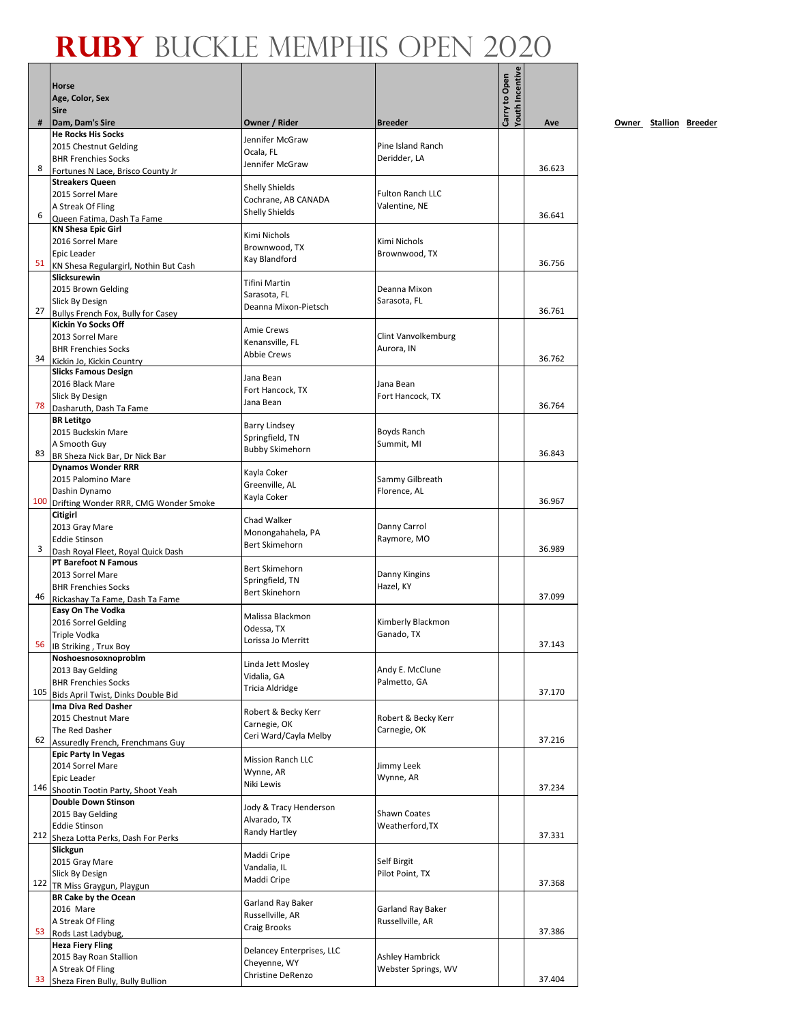|     | Horse                                                     |                                              |                                   | fouth Incentive<br>Carry to Open |        |
|-----|-----------------------------------------------------------|----------------------------------------------|-----------------------------------|----------------------------------|--------|
|     | Age, Color, Sex<br><b>Sire</b>                            |                                              |                                   |                                  |        |
| #   | Dam, Dam's Sire                                           | Owner / Rider                                | <b>Breeder</b>                    |                                  | Ave    |
|     | <b>He Rocks His Socks</b>                                 | Jennifer McGraw                              |                                   |                                  |        |
|     | 2015 Chestnut Gelding<br><b>BHR Frenchies Socks</b>       | Ocala, FL                                    | Pine Island Ranch<br>Deridder, LA |                                  |        |
| 8   | Fortunes N Lace, Brisco County Jr                         | Jennifer McGraw                              |                                   |                                  | 36.623 |
|     | <b>Streakers Queen</b>                                    |                                              |                                   |                                  |        |
|     | 2015 Sorrel Mare                                          | <b>Shelly Shields</b><br>Cochrane, AB CANADA | <b>Fulton Ranch LLC</b>           |                                  |        |
| 6   | A Streak Of Fling                                         | <b>Shelly Shields</b>                        | Valentine, NE                     |                                  | 36.641 |
|     | Queen Fatima, Dash Ta Fame<br><b>KN Shesa Epic Girl</b>   |                                              |                                   |                                  |        |
|     | 2016 Sorrel Mare                                          | Kimi Nichols                                 | Kimi Nichols                      |                                  |        |
|     | Epic Leader                                               | Brownwood, TX                                | Brownwood, TX                     |                                  |        |
| 51  | KN Shesa Regulargirl, Nothin But Cash                     | Kay Blandford                                |                                   |                                  | 36.756 |
|     | Slicksurewin                                              | <b>Tifini Martin</b>                         |                                   |                                  |        |
|     | 2015 Brown Gelding<br>Slick By Design                     | Sarasota, FL                                 | Deanna Mixon<br>Sarasota, FL      |                                  |        |
| 27  | Bullys French Fox, Bully for Casey                        | Deanna Mixon-Pietsch                         |                                   |                                  | 36.761 |
|     | <b>Kickin Yo Socks Off</b>                                | <b>Amie Crews</b>                            |                                   |                                  |        |
|     | 2013 Sorrel Mare                                          | Kenansville, FL                              | Clint Vanvolkemburg               |                                  |        |
| 34  | <b>BHR Frenchies Socks</b>                                | <b>Abbie Crews</b>                           | Aurora, IN                        |                                  | 36.762 |
|     | Kickin Jo, Kickin Country<br><b>Slicks Famous Design</b>  |                                              |                                   |                                  |        |
|     | 2016 Black Mare                                           | Jana Bean                                    | Jana Bean                         |                                  |        |
|     | Slick By Design                                           | Fort Hancock, TX<br>Jana Bean                | Fort Hancock, TX                  |                                  |        |
| 78  | Dasharuth, Dash Ta Fame                                   |                                              |                                   |                                  | 36.764 |
|     | <b>BR</b> Letitgo<br>2015 Buckskin Mare                   | <b>Barry Lindsey</b>                         | Boyds Ranch                       |                                  |        |
|     | A Smooth Guy                                              | Springfield, TN                              | Summit, MI                        |                                  |        |
| 83  | BR Sheza Nick Bar, Dr Nick Bar                            | <b>Bubby Skimehorn</b>                       |                                   |                                  | 36.843 |
|     | <b>Dynamos Wonder RRR</b>                                 | Kayla Coker                                  |                                   |                                  |        |
|     | 2015 Palomino Mare                                        | Greenville, AL                               | Sammy Gilbreath                   |                                  |        |
| 100 | Dashin Dynamo<br>Drifting Wonder RRR, CMG Wonder Smoke    | Kayla Coker                                  | Florence, AL                      |                                  | 36.967 |
|     | Citigirl                                                  |                                              |                                   |                                  |        |
|     | 2013 Gray Mare                                            | Chad Walker                                  | Danny Carrol                      |                                  |        |
|     | <b>Eddie Stinson</b>                                      | Monongahahela, PA<br>Bert Skimehorn          | Raymore, MO                       |                                  |        |
| 3   | Dash Royal Fleet, Royal Quick Dash                        |                                              |                                   |                                  | 36.989 |
|     | <b>PT Barefoot N Famous</b><br>2013 Sorrel Mare           | Bert Skimehorn                               | Danny Kingins                     |                                  |        |
|     | <b>BHR Frenchies Socks</b>                                | Springfield, TN                              | Hazel, KY                         |                                  |        |
| 46  | Rickashay Ta Fame, Dash Ta Fame                           | Bert Skinehorn                               |                                   |                                  | 37.099 |
|     | Easy On The Vodka                                         | Malissa Blackmon                             |                                   |                                  |        |
|     | 2016 Sorrel Gelding                                       | Odessa, TX                                   | Kimberly Blackmon                 |                                  |        |
|     | Triple Vodka<br>56 IB Striking, Trux Boy                  | Lorissa Jo Merritt                           | Ganado, TX                        |                                  | 37.143 |
|     | Noshoesnosoxnoproblm                                      |                                              |                                   |                                  |        |
|     | 2013 Bay Gelding                                          | Linda Jett Mosley<br>Vidalia, GA             | Andy E. McClune                   |                                  |        |
|     | <b>BHR Frenchies Socks</b>                                | <b>Tricia Aldridge</b>                       | Palmetto, GA                      |                                  |        |
| 105 | Bids April Twist, Dinks Double Bid<br>Ima Diva Red Dasher |                                              |                                   |                                  | 37.170 |
|     | 2015 Chestnut Mare                                        | Robert & Becky Kerr                          | Robert & Becky Kerr               |                                  |        |
|     | The Red Dasher                                            | Carnegie, OK<br>Ceri Ward/Cayla Melby        | Carnegie, OK                      |                                  |        |
| 62  | Assuredly French, Frenchmans Guy                          |                                              |                                   |                                  | 37.216 |
|     | <b>Epic Party In Vegas</b>                                | <b>Mission Ranch LLC</b>                     |                                   |                                  |        |
|     | 2014 Sorrel Mare<br>Epic Leader                           | Wynne, AR                                    | Jimmy Leek<br>Wynne, AR           |                                  |        |
|     | 146 Shootin Tootin Party, Shoot Yeah                      | Niki Lewis                                   |                                   |                                  | 37.234 |
|     | <b>Double Down Stinson</b>                                | Jody & Tracy Henderson                       |                                   |                                  |        |
|     | 2015 Bay Gelding                                          | Alvarado, TX                                 | Shawn Coates                      |                                  |        |
|     | <b>Eddie Stinson</b>                                      | Randy Hartley                                | Weatherford, TX                   |                                  | 37.331 |
|     | 212 Sheza Lotta Perks, Dash For Perks<br>Slickgun         |                                              |                                   |                                  |        |
|     | 2015 Gray Mare                                            | Maddi Cripe                                  | Self Birgit                       |                                  |        |
|     | Slick By Design                                           | Vandalia, IL<br>Maddi Cripe                  | Pilot Point, TX                   |                                  |        |
|     | 122 TR Miss Graygun, Playgun                              |                                              |                                   |                                  | 37.368 |
|     | <b>BR Cake by the Ocean</b><br>2016 Mare                  | Garland Ray Baker                            | Garland Ray Baker                 |                                  |        |
|     | A Streak Of Fling                                         | Russellville, AR                             | Russellville, AR                  |                                  |        |
| 53  | Rods Last Ladybug,                                        | Craig Brooks                                 |                                   |                                  | 37.386 |
|     | <b>Heza Fiery Fling</b>                                   | Delancey Enterprises, LLC                    |                                   |                                  |        |
|     | 2015 Bay Roan Stallion                                    | Cheyenne, WY                                 | <b>Ashley Hambrick</b>            |                                  |        |
|     | A Streak Of Fling<br>33 Sheza Firen Bully, Bully Bullion  | <b>Christine DeRenzo</b>                     | Webster Springs, WV               |                                  | 37.404 |
|     |                                                           |                                              |                                   |                                  |        |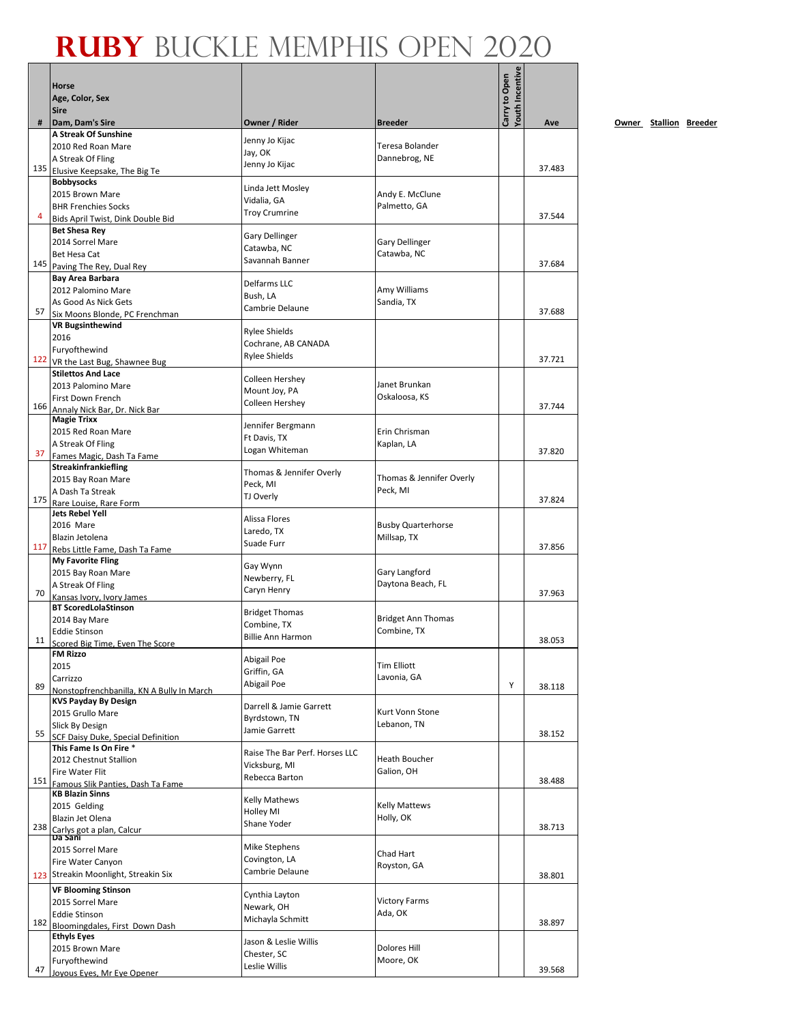|     | Horse<br>Age, Color, Sex                                     |                                      |                                    | Youth Incentive<br>Carry to Open |        |
|-----|--------------------------------------------------------------|--------------------------------------|------------------------------------|----------------------------------|--------|
|     | <b>Sire</b>                                                  |                                      |                                    |                                  |        |
| #   | Dam, Dam's Sire<br>A Streak Of Sunshine                      | Owner / Rider                        | <b>Breeder</b>                     |                                  | Ave    |
|     | 2010 Red Roan Mare                                           | Jenny Jo Kijac                       | Teresa Bolander                    |                                  |        |
|     | A Streak Of Fling                                            | Jay, OK                              | Dannebrog, NE                      |                                  |        |
|     | 135 Elusive Keepsake, The Big Te                             | Jenny Jo Kijac                       |                                    |                                  | 37.483 |
|     | <b>Bobbysocks</b>                                            | Linda Jett Mosley                    |                                    |                                  |        |
|     | 2015 Brown Mare                                              | Vidalia, GA                          | Andy E. McClune                    |                                  |        |
| 4   | <b>BHR Frenchies Socks</b>                                   | <b>Troy Crumrine</b>                 | Palmetto, GA                       |                                  | 37.544 |
|     | Bids April Twist, Dink Double Bid<br><b>Bet Shesa Rey</b>    |                                      |                                    |                                  |        |
|     | 2014 Sorrel Mare                                             | Gary Dellinger                       | <b>Gary Dellinger</b>              |                                  |        |
|     | Bet Hesa Cat                                                 | Catawba, NC                          | Catawba, NC                        |                                  |        |
|     | 145 Paving The Rey, Dual Rey                                 | Savannah Banner                      |                                    |                                  | 37.684 |
|     | Bay Area Barbara                                             | Delfarms LLC                         |                                    |                                  |        |
|     | 2012 Palomino Mare                                           | Bush, LA                             | Amy Williams                       |                                  |        |
| 57  | As Good As Nick Gets                                         | Cambrie Delaune                      | Sandia, TX                         |                                  | 37.688 |
|     | Six Moons Blonde, PC Frenchman<br><b>VR Bugsinthewind</b>    |                                      |                                    |                                  |        |
|     | 2016                                                         | <b>Rylee Shields</b>                 |                                    |                                  |        |
|     | Furyofthewind                                                | Cochrane, AB CANADA                  |                                    |                                  |        |
|     | 122 VR the Last Bug, Shawnee Bug                             | <b>Rylee Shields</b>                 |                                    |                                  | 37.721 |
|     | <b>Stilettos And Lace</b>                                    | Colleen Hershey                      |                                    |                                  |        |
|     | 2013 Palomino Mare                                           | Mount Joy, PA                        | Janet Brunkan                      |                                  |        |
|     | First Down French                                            | Colleen Hershey                      | Oskaloosa, KS                      |                                  | 37.744 |
|     | 166 Annaly Nick Bar, Dr. Nick Bar<br><b>Magie Trixx</b>      |                                      |                                    |                                  |        |
|     | 2015 Red Roan Mare                                           | Jennifer Bergmann                    | Erin Chrisman                      |                                  |        |
|     | A Streak Of Fling                                            | Ft Davis, TX                         | Kaplan, LA                         |                                  |        |
| 37  | Fames Magic, Dash Ta Fame                                    | Logan Whiteman                       |                                    |                                  | 37.820 |
|     | <b>Streakinfrankiefling</b>                                  | Thomas & Jennifer Overly             |                                    |                                  |        |
|     | 2015 Bay Roan Mare                                           | Peck, MI                             | Thomas & Jennifer Overly           |                                  |        |
| 175 | A Dash Ta Streak<br>Rare Louise, Rare Form                   | TJ Overly                            | Peck, MI                           |                                  | 37.824 |
|     | <b>Jets Rebel Yell</b>                                       |                                      |                                    |                                  |        |
|     | 2016 Mare                                                    | Alissa Flores                        | <b>Busby Quarterhorse</b>          |                                  |        |
|     | Blazin Jetolena                                              | Laredo, TX<br>Suade Furr             | Millsap, TX                        |                                  |        |
| 117 | Rebs Little Fame, Dash Ta Fame                               |                                      |                                    |                                  | 37.856 |
|     | <b>My Favorite Fling</b>                                     | Gay Wynn                             |                                    |                                  |        |
|     | 2015 Bay Roan Mare<br>A Streak Of Fling                      | Newberry, FL                         | Gary Langford<br>Daytona Beach, FL |                                  |        |
| 70  | Kansas Ivory, Ivory James                                    | Caryn Henry                          |                                    |                                  | 37.963 |
|     | <b>BT ScoredLolaStinson</b>                                  | <b>Bridget Thomas</b>                |                                    |                                  |        |
|     | 2014 Bay Mare                                                | Combine, TX                          | <b>Bridget Ann Thomas</b>          |                                  |        |
|     | <b>Eddie Stinson</b>                                         | <b>Billie Ann Harmon</b>             | Combine. TX                        |                                  | 38.053 |
| 11  | Scored Big Time, Even The Score                              |                                      |                                    |                                  |        |
|     | <b>FM Rizzo</b><br>2015                                      | Abigail Poe                          | <b>Tim Elliott</b>                 |                                  |        |
|     | Carrizzo                                                     | Griffin, GA                          | Lavonia, GA                        |                                  |        |
| 89  | Nonstopfrenchbanilla, KN A Bully In March                    | Abigail Poe                          |                                    | Υ                                | 38.118 |
|     | <b>KVS Payday By Design</b>                                  | Darrell & Jamie Garrett              |                                    |                                  |        |
|     | 2015 Grullo Mare                                             | Byrdstown, TN                        | Kurt Vonn Stone                    |                                  |        |
| 55  | Slick By Design                                              | Jamie Garrett                        | Lebanon, TN                        |                                  | 38.152 |
|     | SCF Daisy Duke. Special Definition<br>This Fame Is On Fire * |                                      |                                    |                                  |        |
|     | 2012 Chestnut Stallion                                       | Raise The Bar Perf. Horses LLC       | <b>Heath Boucher</b>               |                                  |        |
|     | Fire Water Flit                                              | Vicksburg, MI<br>Rebecca Barton      | Galion, OH                         |                                  |        |
|     | 151 Famous Slik Panties, Dash Ta Fame                        |                                      |                                    |                                  | 38.488 |
|     | <b>KB Blazin Sinns</b>                                       | <b>Kelly Mathews</b>                 |                                    |                                  |        |
|     | 2015 Gelding                                                 | Holley MI                            | <b>Kelly Mattews</b>               |                                  |        |
| 238 | Blazin Jet Olena                                             | Shane Yoder                          | Holly, OK                          |                                  | 38.713 |
|     | Carlys got a plan, Calcur<br>Da Sani                         |                                      |                                    |                                  |        |
|     | 2015 Sorrel Mare                                             | <b>Mike Stephens</b>                 | Chad Hart                          |                                  |        |
|     | Fire Water Canyon                                            | Covington, LA<br>Cambrie Delaune     | Royston, GA                        |                                  |        |
|     | 123 Streakin Moonlight, Streakin Six                         |                                      |                                    |                                  | 38.801 |
|     | <b>VF Blooming Stinson</b>                                   | Cynthia Layton                       |                                    |                                  |        |
|     | 2015 Sorrel Mare<br><b>Eddie Stinson</b>                     | Newark, OH                           | <b>Victory Farms</b><br>Ada, OK    |                                  |        |
| 182 | Bloomingdales, First Down Dash                               | Michayla Schmitt                     |                                    |                                  | 38.897 |
|     | <b>Ethyls Eyes</b>                                           |                                      |                                    |                                  |        |
|     | 2015 Brown Mare                                              | Jason & Leslie Willis<br>Chester, SC | Dolores Hill                       |                                  |        |
|     | Furyofthewind                                                | Leslie Willis                        | Moore, OK                          |                                  |        |
| 47  | Joyous Eyes, Mr Eye Opener                                   |                                      |                                    |                                  | 39.568 |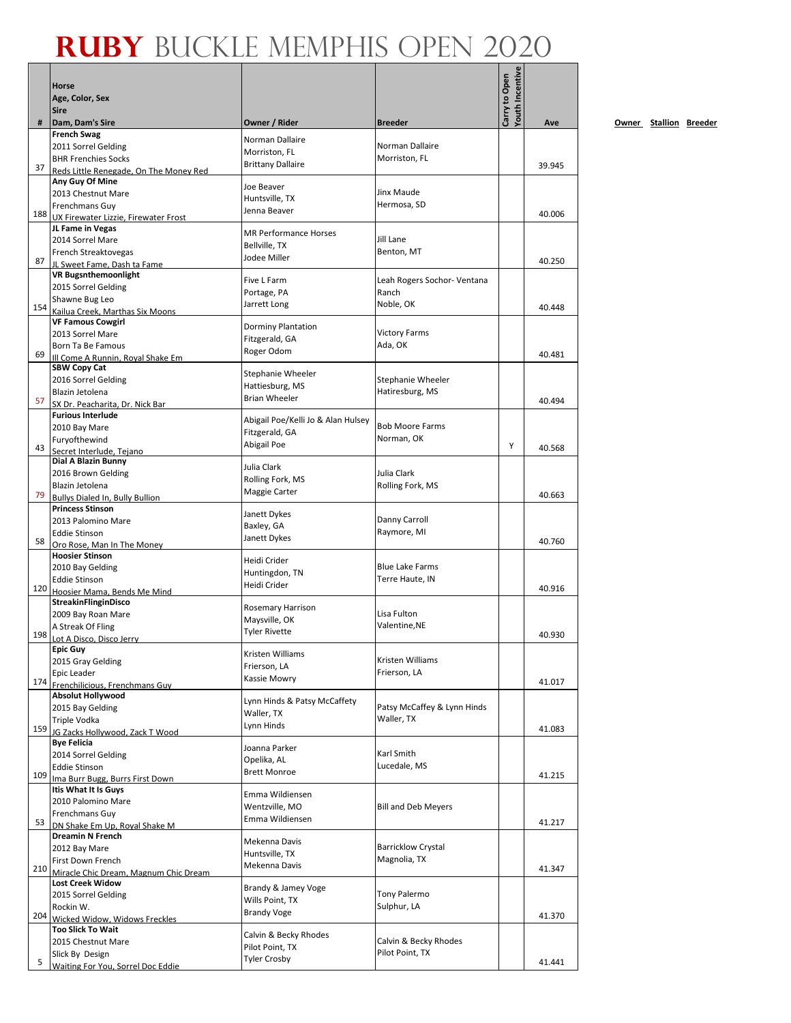|     | <b>Horse</b><br>Age, Color, Sex<br><b>Sire</b>             |                                        |                                 | Youth Incentive<br>Carry to Open |        |
|-----|------------------------------------------------------------|----------------------------------------|---------------------------------|----------------------------------|--------|
| #   | Dam, Dam's Sire                                            | Owner / Rider                          | <b>Breeder</b>                  |                                  | Ave    |
|     | <b>French Swag</b>                                         | Norman Dallaire                        |                                 |                                  |        |
|     | 2011 Sorrel Gelding                                        | Morriston, FL                          | Norman Dallaire                 |                                  |        |
| 37  | <b>BHR Frenchies Socks</b>                                 | <b>Brittany Dallaire</b>               | Morriston, FL                   |                                  | 39.945 |
|     | Reds Little Renegade. On The Money Red<br>Any Guy Of Mine  |                                        |                                 |                                  |        |
|     | 2013 Chestnut Mare                                         | Joe Beaver                             | Jinx Maude                      |                                  |        |
|     | Frenchmans Guy                                             | Huntsville, TX                         | Hermosa, SD                     |                                  |        |
|     | 188 UX Firewater Lizzie, Firewater Frost                   | Jenna Beaver                           |                                 |                                  | 40.006 |
|     | JL Fame in Vegas                                           | <b>MR Performance Horses</b>           |                                 |                                  |        |
|     | 2014 Sorrel Mare                                           | Bellville, TX                          | Jill Lane<br>Benton, MT         |                                  |        |
| 87  | French Streaktovegas<br>JL Sweet Fame. Dash ta Fame        | Jodee Miller                           |                                 |                                  | 40.250 |
|     | <b>VR Bugsnthemoonlight</b>                                |                                        |                                 |                                  |        |
|     | 2015 Sorrel Gelding                                        | Five L Farm                            | Leah Rogers Sochor- Ventana     |                                  |        |
|     | Shawne Bug Leo                                             | Portage, PA<br>Jarrett Long            | Ranch<br>Noble, OK              |                                  |        |
| 154 | Kailua Creek, Marthas Six Moons                            |                                        |                                 |                                  | 40.448 |
|     | <b>VF Famous Cowgirl</b>                                   | <b>Dorminy Plantation</b>              |                                 |                                  |        |
|     | 2013 Sorrel Mare<br>Born Ta Be Famous                      | Fitzgerald, GA                         | <b>Victory Farms</b><br>Ada, OK |                                  |        |
| 69  | Ill Come A Runnin, Royal Shake Em                          | Roger Odom                             |                                 |                                  | 40.481 |
|     | <b>SBW Copy Cat</b>                                        |                                        |                                 |                                  |        |
|     | 2016 Sorrel Gelding                                        | Stephanie Wheeler<br>Hattiesburg, MS   | Stephanie Wheeler               |                                  |        |
|     | Blazin Jetolena                                            | <b>Brian Wheeler</b>                   | Hatiresburg, MS                 |                                  |        |
| 57  | SX Dr. Peacharita. Dr. Nick Bar                            |                                        |                                 |                                  | 40.494 |
|     | <b>Furious Interlude</b>                                   | Abigail Poe/Kelli Jo & Alan Hulsey     | <b>Bob Moore Farms</b>          |                                  |        |
|     | 2010 Bay Mare<br>Furyofthewind                             | Fitzgerald, GA                         | Norman, OK                      |                                  |        |
| 43  | Secret Interlude. Teiano                                   | Abigail Poe                            |                                 | Y                                | 40.568 |
|     | Dial A Blazin Bunny                                        | Julia Clark                            |                                 |                                  |        |
|     | 2016 Brown Gelding                                         | Rolling Fork, MS                       | Julia Clark                     |                                  |        |
|     | Blazin Jetolena                                            | Maggie Carter                          | Rolling Fork, MS                |                                  | 40.663 |
| 79  | Bullys Dialed In, Bully Bullion<br><b>Princess Stinson</b> |                                        |                                 |                                  |        |
|     | 2013 Palomino Mare                                         | Janett Dykes                           | Danny Carroll                   |                                  |        |
|     | <b>Eddie Stinson</b>                                       | Baxley, GA                             | Raymore, MI                     |                                  |        |
| 58  | Oro Rose, Man In The Money                                 | Janett Dykes                           |                                 |                                  | 40.760 |
|     | <b>Hoosier Stinson</b>                                     | Heidi Crider                           |                                 |                                  |        |
|     | 2010 Bay Gelding                                           | Huntingdon, TN                         | <b>Blue Lake Farms</b>          |                                  |        |
| 120 | <b>Eddie Stinson</b>                                       | Heidi Crider                           | Terre Haute, IN                 |                                  | 40.916 |
|     | Hoosier Mama, Bends Me Mind<br>StreakinFlinginDisco        |                                        |                                 |                                  |        |
|     | 2009 Bay Roan Mare                                         | Rosemary Harrison                      | Lisa Fulton                     |                                  |        |
|     | A Streak Of Fling                                          | Maysville, OK                          | Valentine, NE                   |                                  |        |
| 198 | Lot A Disco, Disco Jerry                                   | <b>Tyler Rivette</b>                   |                                 |                                  | 40.930 |
|     | Epic Guy                                                   | Kristen Williams                       |                                 |                                  |        |
|     | 2015 Gray Gelding                                          | Frierson, LA                           | Kristen Williams                |                                  |        |
| 174 | Epic Leader<br>Frenchilicious, Frenchmans Guy              | Kassie Mowry                           | Frierson, LA                    |                                  | 41.017 |
|     | <b>Absolut Hollywood</b>                                   |                                        |                                 |                                  |        |
|     | 2015 Bay Gelding                                           | Lynn Hinds & Patsy McCaffety           | Patsy McCaffey & Lynn Hinds     |                                  |        |
|     | Triple Vodka                                               | Waller, TX<br>Lynn Hinds               | Waller, TX                      |                                  |        |
| 159 | JG Zacks Hollywood, Zack T Wood                            |                                        |                                 |                                  | 41.083 |
|     | <b>Bye Felicia</b>                                         | Joanna Parker                          |                                 |                                  |        |
|     | 2014 Sorrel Gelding<br><b>Eddie Stinson</b>                | Opelika, AL                            | Karl Smith<br>Lucedale, MS      |                                  |        |
| 109 | Ima Burr Bugg, Burrs First Down                            | <b>Brett Monroe</b>                    |                                 |                                  | 41.215 |
|     | Itis What It Is Guys                                       |                                        |                                 |                                  |        |
|     | 2010 Palomino Mare                                         | Emma Wildiensen<br>Wentzville, MO      | <b>Bill and Deb Meyers</b>      |                                  |        |
|     | Frenchmans Guy                                             | Emma Wildiensen                        |                                 |                                  |        |
| 53  | DN Shake Em Up, Royal Shake M                              |                                        |                                 |                                  | 41.217 |
|     | Dreamin N French                                           | Mekenna Davis                          | <b>Barricklow Crystal</b>       |                                  |        |
|     | 2012 Bay Mare<br>First Down French                         | Huntsville, TX                         | Magnolia, TX                    |                                  |        |
| 210 | Miracle Chic Dream, Magnum Chic Dream                      | Mekenna Davis                          |                                 |                                  | 41.347 |
|     | <b>Lost Creek Widow</b>                                    |                                        |                                 |                                  |        |
|     | 2015 Sorrel Gelding                                        | Brandy & Jamey Voge<br>Wills Point, TX | <b>Tony Palermo</b>             |                                  |        |
|     | Rockin W.                                                  | <b>Brandy Voge</b>                     | Sulphur, LA                     |                                  |        |
| 204 | Wicked Widow, Widows Freckles                              |                                        |                                 |                                  | 41.370 |
|     | <b>Too Slick To Wait</b>                                   | Calvin & Becky Rhodes                  | Calvin & Becky Rhodes           |                                  |        |
|     | 2015 Chestnut Mare<br>Slick By Design                      | Pilot Point, TX                        | Pilot Point, TX                 |                                  |        |
| 5   | Waiting For You, Sorrel Doc Eddie                          | <b>Tyler Crosby</b>                    |                                 |                                  | 41.441 |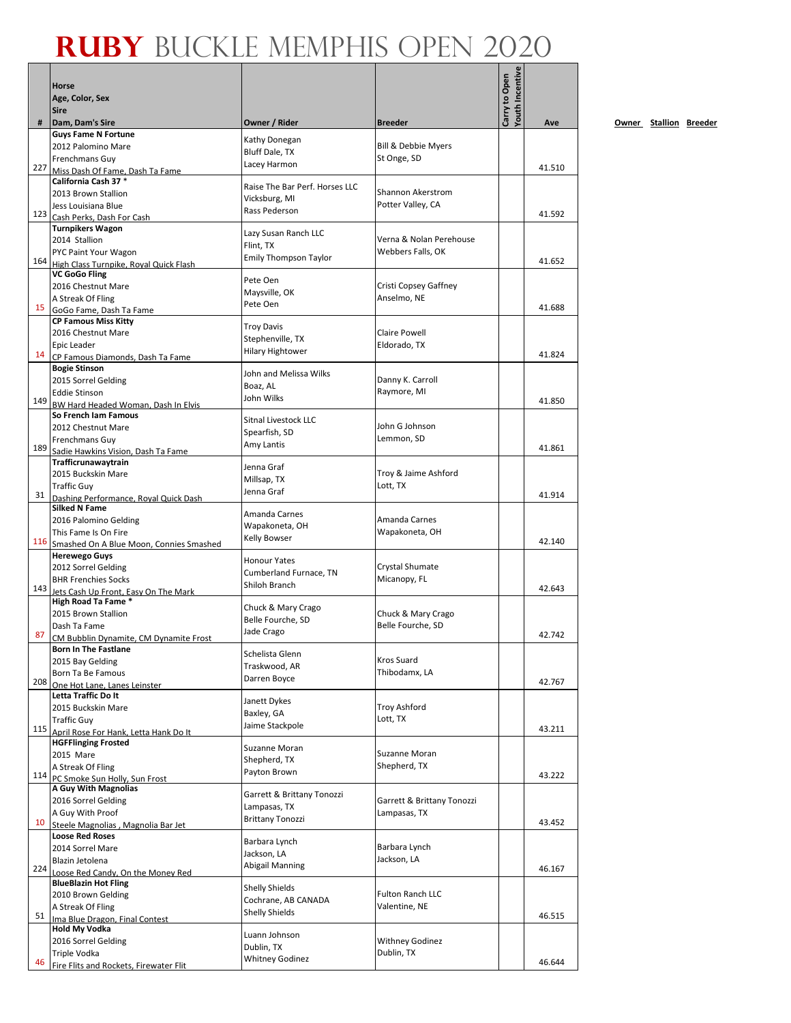|     | <b>Horse</b>                                                          |                                         |                                              | Youth Incentive<br>Carry to Open |        |
|-----|-----------------------------------------------------------------------|-----------------------------------------|----------------------------------------------|----------------------------------|--------|
|     | Age, Color, Sex<br><b>Sire</b>                                        |                                         |                                              |                                  |        |
| #   | Dam, Dam's Sire                                                       | Owner / Rider                           | <b>Breeder</b>                               |                                  | Ave    |
|     | <b>Guys Fame N Fortune</b><br>2012 Palomino Mare                      | Kathy Donegan                           | <b>Bill &amp; Debbie Myers</b>               |                                  |        |
|     | Frenchmans Guy                                                        | Bluff Dale, TX                          | St Onge, SD                                  |                                  |        |
| 227 | Miss Dash Of Fame. Dash Ta Fame                                       | Lacey Harmon                            |                                              |                                  | 41.510 |
|     | California Cash 37 *<br>2013 Brown Stallion                           | Raise The Bar Perf. Horses LLC          | Shannon Akerstrom                            |                                  |        |
|     | Jess Louisiana Blue                                                   | Vicksburg, MI                           | Potter Valley, CA                            |                                  |        |
|     | 123 Cash Perks, Dash For Cash                                         | Rass Pederson                           |                                              |                                  | 41.592 |
|     | <b>Turnpikers Wagon</b>                                               | Lazy Susan Ranch LLC                    |                                              |                                  |        |
|     | 2014 Stallion<br>PYC Paint Your Wagon                                 | Flint, TX                               | Verna & Nolan Perehouse<br>Webbers Falls, OK |                                  |        |
| 164 | High Class Turnpike, Royal Quick Flash                                | <b>Emily Thompson Taylor</b>            |                                              |                                  | 41.652 |
|     | <b>VC GoGo Fling</b>                                                  | Pete Oen                                |                                              |                                  |        |
|     | 2016 Chestnut Mare                                                    | Maysville, OK                           | Cristi Copsey Gaffney<br>Anselmo, NE         |                                  |        |
| 15  | A Streak Of Fling<br>GoGo Fame, Dash Ta Fame                          | Pete Oen                                |                                              |                                  | 41.688 |
|     | <b>CP Famous Miss Kitty</b>                                           | <b>Troy Davis</b>                       |                                              |                                  |        |
|     | 2016 Chestnut Mare                                                    | Stephenville, TX                        | Claire Powell                                |                                  |        |
| 14  | Epic Leader<br>CP Famous Diamonds, Dash Ta Fame                       | <b>Hilary Hightower</b>                 | Eldorado, TX                                 |                                  | 41.824 |
|     | <b>Bogie Stinson</b>                                                  |                                         |                                              |                                  |        |
|     | 2015 Sorrel Gelding                                                   | John and Melissa Wilks<br>Boaz, AL      | Danny K. Carroll                             |                                  |        |
|     | <b>Eddie Stinson</b>                                                  | John Wilks                              | Raymore, MI                                  |                                  | 41.850 |
| 149 | BW Hard Headed Woman, Dash In Elvis<br>So French Iam Famous           |                                         |                                              |                                  |        |
|     | 2012 Chestnut Mare                                                    | Sitnal Livestock LLC                    | John G Johnson                               |                                  |        |
|     | Frenchmans Guy                                                        | Spearfish, SD                           | Lemmon, SD                                   |                                  |        |
| 189 | Sadie Hawkins Vision, Dash Ta Fame                                    | Amy Lantis                              |                                              |                                  | 41.861 |
|     | Trafficrunawaytrain<br>2015 Buckskin Mare                             | Jenna Graf                              | Troy & Jaime Ashford                         |                                  |        |
|     | <b>Traffic Guy</b>                                                    | Millsap, TX                             | Lott, TX                                     |                                  |        |
| 31  | Dashing Performance, Royal Quick Dash                                 | Jenna Graf                              |                                              |                                  | 41.914 |
|     | <b>Silked N Fame</b>                                                  | Amanda Carnes                           |                                              |                                  |        |
|     | 2016 Palomino Gelding<br>This Fame Is On Fire                         | Wapakoneta, OH                          | Amanda Carnes<br>Wapakoneta, OH              |                                  |        |
| 116 | Smashed On A Blue Moon, Connies Smashed                               | <b>Kelly Bowser</b>                     |                                              |                                  | 42.140 |
|     | <b>Herewego Guys</b>                                                  | <b>Honour Yates</b>                     |                                              |                                  |        |
|     | 2012 Sorrel Gelding                                                   | Cumberland Furnace, TN                  | Crystal Shumate                              |                                  |        |
| 143 | <b>BHR Frenchies Socks</b><br>Jets Cash Up Front, Easy On The Mark    | Shiloh Branch                           | Micanopy, FL                                 |                                  | 42.643 |
|     | High Road Ta Fame *                                                   |                                         |                                              |                                  |        |
|     | 2015 Brown Stallion                                                   | Chuck & Mary Crago<br>Belle Fourche, SD | Chuck & Mary Crago                           |                                  |        |
| 87  | Dash Ta Fame                                                          | Jade Crago                              | Belle Fourche, SD                            |                                  | 42.742 |
|     | CM Bubblin Dynamite, CM Dynamite Frost<br><b>Born In The Fastlane</b> |                                         |                                              |                                  |        |
|     | 2015 Bay Gelding                                                      | Schelista Glenn<br>Traskwood, AR        | Kros Suard                                   |                                  |        |
|     | Born Ta Be Famous                                                     | Darren Boyce                            | Thibodamx, LA                                |                                  |        |
| 208 | One Hot Lane. Lanes Leinster<br>Letta Traffic Do It                   |                                         |                                              |                                  | 42.767 |
|     | 2015 Buckskin Mare                                                    | Janett Dykes                            | <b>Troy Ashford</b>                          |                                  |        |
|     | <b>Traffic Guy</b>                                                    | Baxley, GA<br>Jaime Stackpole           | Lott, TX                                     |                                  |        |
| 115 | April Rose For Hank, Letta Hank Do It                                 |                                         |                                              |                                  | 43.211 |
|     | <b>HGFFlinging Frosted</b><br>2015 Mare                               | Suzanne Moran                           | Suzanne Moran                                |                                  |        |
|     | A Streak Of Fling                                                     | Shepherd, TX                            | Shepherd, TX                                 |                                  |        |
| 114 | PC Smoke Sun Holly, Sun Frost                                         | Payton Brown                            |                                              |                                  | 43.222 |
|     | A Guy With Magnolias                                                  | Garrett & Brittany Tonozzi              |                                              |                                  |        |
|     | 2016 Sorrel Gelding<br>A Guy With Proof                               | Lampasas, TX                            | Garrett & Brittany Tonozzi<br>Lampasas, TX   |                                  |        |
| 10  | Steele Magnolias, Magnolia Bar Jet                                    | <b>Brittany Tonozzi</b>                 |                                              |                                  | 43.452 |
|     | <b>Loose Red Roses</b>                                                | Barbara Lynch                           |                                              |                                  |        |
|     | 2014 Sorrel Mare                                                      | Jackson, LA                             | Barbara Lynch<br>Jackson, LA                 |                                  |        |
| 224 | Blazin Jetolena<br>Loose Red Candy, On the Money Red                  | Abigail Manning                         |                                              |                                  | 46.167 |
|     | <b>BlueBlazin Hot Fling</b>                                           | <b>Shelly Shields</b>                   |                                              |                                  |        |
|     | 2010 Brown Gelding                                                    | Cochrane, AB CANADA                     | Fulton Ranch LLC                             |                                  |        |
| 51  | A Streak Of Fling                                                     | <b>Shelly Shields</b>                   | Valentine, NE                                |                                  | 46.515 |
|     | Ima Blue Dragon, Final Contest<br><b>Hold My Vodka</b>                |                                         |                                              |                                  |        |
|     | 2016 Sorrel Gelding                                                   | Luann Johnson<br>Dublin, TX             | <b>Withney Godinez</b>                       |                                  |        |
|     | Triple Vodka                                                          | <b>Whitney Godinez</b>                  | Dublin, TX                                   |                                  |        |
| 46  | Fire Flits and Rockets, Firewater Flit                                |                                         |                                              |                                  | 46.644 |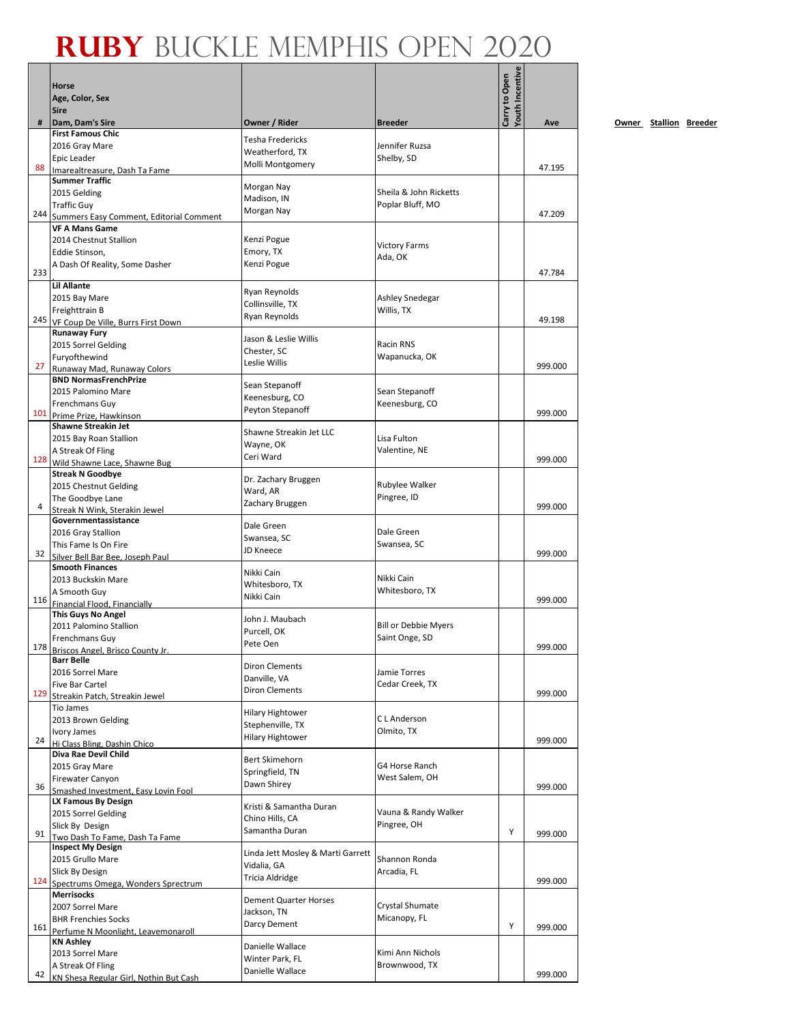|     |                                                             |                                       |                                  | <b>routh Incentive</b> |         |
|-----|-------------------------------------------------------------|---------------------------------------|----------------------------------|------------------------|---------|
|     | Horse                                                       |                                       |                                  |                        |         |
|     | Age, Color, Sex                                             |                                       |                                  | Carry to Open          |         |
| #   | <b>Sire</b><br>Dam, Dam's Sire                              | Owner / Rider                         | <b>Breeder</b>                   |                        | Ave     |
|     | <b>First Famous Chic</b>                                    | <b>Tesha Fredericks</b>               |                                  |                        |         |
|     | 2016 Gray Mare                                              | Weatherford, TX                       | Jennifer Ruzsa                   |                        |         |
| 88  | Epic Leader                                                 | Molli Montgomery                      | Shelby, SD                       |                        | 47.195  |
|     | Imarealtreasure, Dash Ta Fame<br><b>Summer Traffic</b>      |                                       |                                  |                        |         |
|     | 2015 Gelding                                                | Morgan Nay                            | Sheila & John Ricketts           |                        |         |
|     | <b>Traffic Guy</b>                                          | Madison, IN                           | Poplar Bluff, MO                 |                        |         |
| 244 | Summers Easy Comment, Editorial Comment                     | Morgan Nay                            |                                  |                        | 47.209  |
|     | <b>VF A Mans Game</b>                                       |                                       |                                  |                        |         |
|     | 2014 Chestnut Stallion<br>Eddie Stinson.                    | Kenzi Pogue<br>Emory, TX              | <b>Victory Farms</b>             |                        |         |
|     | A Dash Of Reality, Some Dasher                              | Kenzi Pogue                           | Ada, OK                          |                        |         |
| 233 |                                                             |                                       |                                  |                        | 47.784  |
|     | <b>Lil Allante</b>                                          | Ryan Reynolds                         |                                  |                        |         |
|     | 2015 Bay Mare                                               | Collinsville, TX                      | Ashley Snedegar                  |                        |         |
| 245 | Freighttrain B<br>VF Coup De Ville, Burrs First Down        | Ryan Reynolds                         | Willis, TX                       |                        | 49.198  |
|     | <b>Runaway Fury</b>                                         |                                       |                                  |                        |         |
|     | 2015 Sorrel Gelding                                         | Jason & Leslie Willis<br>Chester, SC  | Racin RNS                        |                        |         |
|     | Furyofthewind                                               | Leslie Willis                         | Wapanucka, OK                    |                        |         |
| 27  | Runaway Mad, Runaway Colors<br><b>BND NormasFrenchPrize</b> |                                       |                                  |                        | 999.000 |
|     | 2015 Palomino Mare                                          | Sean Stepanoff                        | Sean Stepanoff                   |                        |         |
|     | Frenchmans Guy                                              | Keenesburg, CO                        | Keenesburg, CO                   |                        |         |
|     | 101 Prime Prize, Hawkinson                                  | Peyton Stepanoff                      |                                  |                        | 999.000 |
|     | <b>Shawne Streakin Jet</b>                                  | Shawne Streakin Jet LLC               |                                  |                        |         |
|     | 2015 Bay Roan Stallion                                      | Wayne, OK                             | Lisa Fulton                      |                        |         |
| 128 | A Streak Of Fling<br>Wild Shawne Lace, Shawne Bug           | Ceri Ward                             | Valentine, NE                    |                        | 999.000 |
|     | <b>Streak N Goodbye</b>                                     |                                       |                                  |                        |         |
|     | 2015 Chestnut Gelding                                       | Dr. Zachary Bruggen<br>Ward, AR       | Rubylee Walker                   |                        |         |
| 4   | The Goodbye Lane                                            | Zachary Bruggen                       | Pingree, ID                      |                        | 999.000 |
|     | Streak N Wink, Sterakin Jewel<br>Governmentassistance       |                                       |                                  |                        |         |
|     | 2016 Gray Stallion                                          | Dale Green                            | Dale Green                       |                        |         |
|     | This Fame Is On Fire                                        | Swansea, SC                           | Swansea, SC                      |                        |         |
| 32  | Silver Bell Bar Bee. Joseph Paul                            | <b>JD Kneece</b>                      |                                  |                        | 999.000 |
|     | <b>Smooth Finances</b>                                      | Nikki Cain                            |                                  |                        |         |
|     | 2013 Buckskin Mare<br>A Smooth Guy                          | Whitesboro, TX                        | Nikki Cain<br>Whitesboro, TX     |                        |         |
|     | 116 Financial Flood, Financially                            | Nikki Cain                            |                                  |                        | 999.000 |
|     | This Guys No Angel                                          | John J. Maubach                       |                                  |                        |         |
|     | 2011 Palomino Stallion                                      | Purcell, OK                           | <b>Bill or Debbie Myers</b>      |                        |         |
| 178 | Frenchmans Guy                                              | Pete Oen                              | Saint Onge, SD                   |                        | 999.000 |
|     | Briscos Angel, Brisco County Jr<br><b>Barr Belle</b>        |                                       |                                  |                        |         |
|     | 2016 Sorrel Mare                                            | <b>Diron Clements</b>                 | Jamie Torres                     |                        |         |
|     | <b>Five Bar Cartel</b>                                      | Danville, VA<br><b>Diron Clements</b> | Cedar Creek, TX                  |                        |         |
| 129 | Streakin Patch, Streakin Jewel                              |                                       |                                  |                        | 999.000 |
|     | Tio James<br>2013 Brown Gelding                             | <b>Hilary Hightower</b>               | C L Anderson                     |                        |         |
|     | Ivory James                                                 | Stephenville, TX                      | Olmito, TX                       |                        |         |
| 24  | Hi Class Bling, Dashin Chico                                | <b>Hilary Hightower</b>               |                                  |                        | 999.000 |
|     | Diva Rae Devil Child                                        | <b>Bert Skimehorn</b>                 |                                  |                        |         |
|     | 2015 Gray Mare<br><b>Firewater Canyon</b>                   | Springfield, TN                       | G4 Horse Ranch<br>West Salem, OH |                        |         |
| 36  | Smashed Investment, Easy Lovin Fool                         | Dawn Shirey                           |                                  |                        | 999.000 |
|     | LX Famous By Design                                         | Kristi & Samantha Duran               |                                  |                        |         |
|     | 2015 Sorrel Gelding                                         | Chino Hills, CA                       | Vauna & Randy Walker             |                        |         |
| 91  | Slick By Design                                             | Samantha Duran                        | Pingree, OH                      | Υ                      | 999.000 |
|     | Two Dash To Fame, Dash Ta Fame<br><b>Inspect My Design</b>  |                                       |                                  |                        |         |
|     | 2015 Grullo Mare                                            | Linda Jett Mosley & Marti Garrett     | Shannon Ronda                    |                        |         |
|     | Slick By Design                                             | Vidalia, GA<br>Tricia Aldridge        | Arcadia, FL                      |                        |         |
| 124 | Spectrums Omega, Wonders Sprectrum                          |                                       |                                  |                        | 999.000 |
|     | <b>Merrisocks</b>                                           | <b>Dement Quarter Horses</b>          | Crystal Shumate                  |                        |         |
|     | 2007 Sorrel Mare<br><b>BHR Frenchies Socks</b>              | Jackson, TN                           | Micanopy, FL                     |                        |         |
|     | 161 Perfume N Moonlight, Leavemonaroll                      | Darcy Dement                          |                                  | Υ                      | 999.000 |
|     | <b>KN Ashley</b>                                            | Danielle Wallace                      |                                  |                        |         |
|     | 2013 Sorrel Mare                                            | Winter Park, FL                       | Kimi Ann Nichols                 |                        |         |
| 42  | A Streak Of Fling                                           | Danielle Wallace                      | Brownwood, TX                    |                        | 999.000 |
|     | KN Shesa Regular Girl. Nothin But Cash                      |                                       |                                  |                        |         |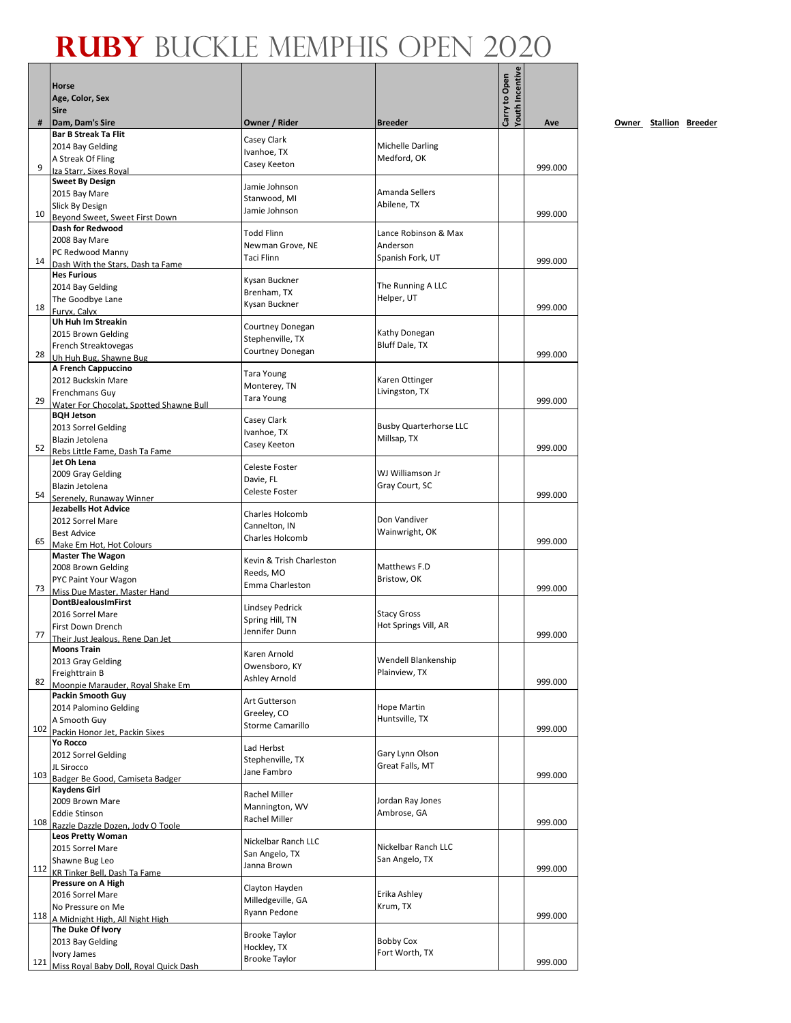|     | <b>Horse</b><br>Age, Color, Sex                               |                                       |                                            | <b>Youth Incentive</b><br>Carry to Open |         |           |
|-----|---------------------------------------------------------------|---------------------------------------|--------------------------------------------|-----------------------------------------|---------|-----------|
|     | <b>Sire</b>                                                   |                                       |                                            |                                         |         |           |
| #   | Dam, Dam's Sire<br><b>Bar B Streak Ta Flit</b>                | Owner / Rider                         | <b>Breeder</b>                             |                                         | Ave     | <u>Ον</u> |
|     | 2014 Bay Gelding                                              | Casey Clark                           | <b>Michelle Darling</b>                    |                                         |         |           |
|     | A Streak Of Fling                                             | Ivanhoe, TX                           | Medford, OK                                |                                         |         |           |
| 9   | Iza Starr, Sixes Roval                                        | Casey Keeton                          |                                            |                                         | 999.000 |           |
|     | <b>Sweet By Design</b>                                        | Jamie Johnson                         |                                            |                                         |         |           |
|     | 2015 Bay Mare                                                 | Stanwood, MI                          | Amanda Sellers                             |                                         |         |           |
| 10  | Slick By Design                                               | Jamie Johnson                         | Abilene, TX                                |                                         | 999.000 |           |
|     | Beyond Sweet, Sweet First Down<br>Dash for Redwood            |                                       |                                            |                                         |         |           |
|     | 2008 Bay Mare                                                 | <b>Todd Flinn</b>                     | Lance Robinson & Max                       |                                         |         |           |
|     | PC Redwood Manny                                              | Newman Grove, NE                      | Anderson                                   |                                         |         |           |
| 14  | Dash With the Stars, Dash ta Fame                             | <b>Taci Flinn</b>                     | Spanish Fork, UT                           |                                         | 999.000 |           |
|     | <b>Hes Furious</b>                                            | Kysan Buckner                         |                                            |                                         |         |           |
|     | 2014 Bay Gelding                                              | Brenham, TX                           | The Running A LLC                          |                                         |         |           |
|     | The Goodbye Lane                                              | Kysan Buckner                         | Helper, UT                                 |                                         |         |           |
| 18  | Furyx, Calyx                                                  |                                       |                                            |                                         | 999.000 |           |
|     | Uh Huh Im Streakin<br>2015 Brown Gelding                      | Courtney Donegan                      | Kathy Donegan                              |                                         |         |           |
|     | French Streaktovegas                                          | Stephenville, TX                      | Bluff Dale, TX                             |                                         |         |           |
| 28  | Uh Huh Bug. Shawne Bug                                        | <b>Courtney Donegan</b>               |                                            |                                         | 999.000 |           |
|     | <b>A French Cappuccino</b>                                    | <b>Tara Young</b>                     |                                            |                                         |         |           |
|     | 2012 Buckskin Mare                                            | Monterey, TN                          | Karen Ottinger                             |                                         |         |           |
|     | Frenchmans Guy                                                | <b>Tara Young</b>                     | Livingston, TX                             |                                         |         |           |
| 29  | Water For Chocolat, Spotted Shawne Bull                       |                                       |                                            |                                         | 999.000 |           |
|     | <b>BQH Jetson</b>                                             | Casey Clark                           | <b>Busby Quarterhorse LLC</b>              |                                         |         |           |
|     | 2013 Sorrel Gelding<br>Blazin Jetolena                        | Ivanhoe, TX                           | Millsap, TX                                |                                         |         |           |
| 52  | Rebs Little Fame, Dash Ta Fame                                | Casey Keeton                          |                                            |                                         | 999.000 |           |
|     | Jet Oh Lena                                                   | Celeste Foster                        |                                            |                                         |         |           |
|     | 2009 Gray Gelding                                             | Davie, FL                             | WJ Williamson Jr                           |                                         |         |           |
|     | Blazin Jetolena                                               | Celeste Foster                        | Gray Court, SC                             |                                         |         |           |
| 54  | Serenely, Runaway Winner                                      |                                       |                                            |                                         | 999.000 |           |
|     | <b>Jezabells Hot Advice</b>                                   | <b>Charles Holcomb</b>                |                                            |                                         |         |           |
|     | 2012 Sorrel Mare<br><b>Best Advice</b>                        | Cannelton, IN                         | Don Vandiver<br>Wainwright, OK             |                                         |         |           |
| 65  | Make Em Hot, Hot Colours                                      | Charles Holcomb                       |                                            |                                         | 999.000 |           |
|     | <b>Master The Wagon</b>                                       |                                       |                                            |                                         |         |           |
|     | 2008 Brown Gelding                                            | Kevin & Trish Charleston<br>Reeds, MO | Matthews F.D                               |                                         |         |           |
|     | PYC Paint Your Wagon                                          | Emma Charleston                       | Bristow, OK                                |                                         |         |           |
| 73  | Miss Due Master. Master Hand                                  |                                       |                                            |                                         | 999.000 |           |
|     | <b>DontBJealousImFirst</b>                                    | <b>Lindsey Pedrick</b>                |                                            |                                         |         |           |
|     | 2016 Sorrel Mare                                              | Spring Hill, TN                       | <b>Stacy Gross</b><br>Hot Springs Vill, AR |                                         |         |           |
| 77  | First Down Drench<br>Their Just Jealous, Rene Dan Jet         | Jennifer Dunn                         |                                            |                                         | 999.000 |           |
|     | Moons Train                                                   |                                       |                                            |                                         |         |           |
|     | 2013 Gray Gelding                                             | Karen Arnold                          | Wendell Blankenship                        |                                         |         |           |
|     | Freighttrain B                                                | Owensboro, KY<br>Ashley Arnold        | Plainview, TX                              |                                         |         |           |
| 82  | Moonpie Marauder, Royal Shake Em                              |                                       |                                            |                                         | 999.000 |           |
|     | <b>Packin Smooth Guy</b>                                      | Art Gutterson                         |                                            |                                         |         |           |
|     | 2014 Palomino Gelding                                         | Greeley, CO                           | Hope Martin<br>Huntsville, TX              |                                         |         |           |
| 102 | A Smooth Guy<br>Packin Honor Jet, Packin Sixes                | <b>Storme Camarillo</b>               |                                            |                                         | 999.000 |           |
|     | Yo Rocco                                                      |                                       |                                            |                                         |         |           |
|     | 2012 Sorrel Gelding                                           | Lad Herbst                            | Gary Lynn Olson                            |                                         |         |           |
|     | JL Sirocco                                                    | Stephenville, TX<br>Jane Fambro       | Great Falls, MT                            |                                         |         |           |
| 103 | Badger Be Good, Camiseta Badger                               |                                       |                                            |                                         | 999.000 |           |
|     | Kaydens Girl                                                  | <b>Rachel Miller</b>                  |                                            |                                         |         |           |
|     | 2009 Brown Mare                                               | Mannington, WV                        | Jordan Ray Jones                           |                                         |         |           |
| 108 | <b>Eddie Stinson</b>                                          | Rachel Miller                         | Ambrose, GA                                |                                         | 999.000 |           |
|     | Razzle Dazzle Dozen, Jody O Toole<br><b>Leos Pretty Woman</b> |                                       |                                            |                                         |         |           |
|     | 2015 Sorrel Mare                                              | Nickelbar Ranch LLC                   | Nickelbar Ranch LLC                        |                                         |         |           |
|     | Shawne Bug Leo                                                | San Angelo, TX                        | San Angelo, TX                             |                                         |         |           |
| 112 | KR Tinker Bell, Dash Ta Fame                                  | Janna Brown                           |                                            |                                         | 999.000 |           |
|     | Pressure on A High                                            | Clayton Hayden                        |                                            |                                         |         |           |
|     | 2016 Sorrel Mare                                              | Milledgeville, GA                     | Erika Ashley                               |                                         |         |           |
| 118 | No Pressure on Me                                             | Ryann Pedone                          | Krum, TX                                   |                                         | 999.000 |           |
|     | A Midnight High, All Night High                               |                                       |                                            |                                         |         |           |
|     | The Duke Of Ivory<br>2013 Bay Gelding                         | <b>Brooke Taylor</b>                  | <b>Bobby Cox</b>                           |                                         |         |           |
|     | Ivory James                                                   | Hockley, TX                           | Fort Worth, TX                             |                                         |         |           |
| 121 | Miss Royal Baby Doll, Royal Quick Dash                        | <b>Brooke Taylor</b>                  |                                            |                                         | 999.000 |           |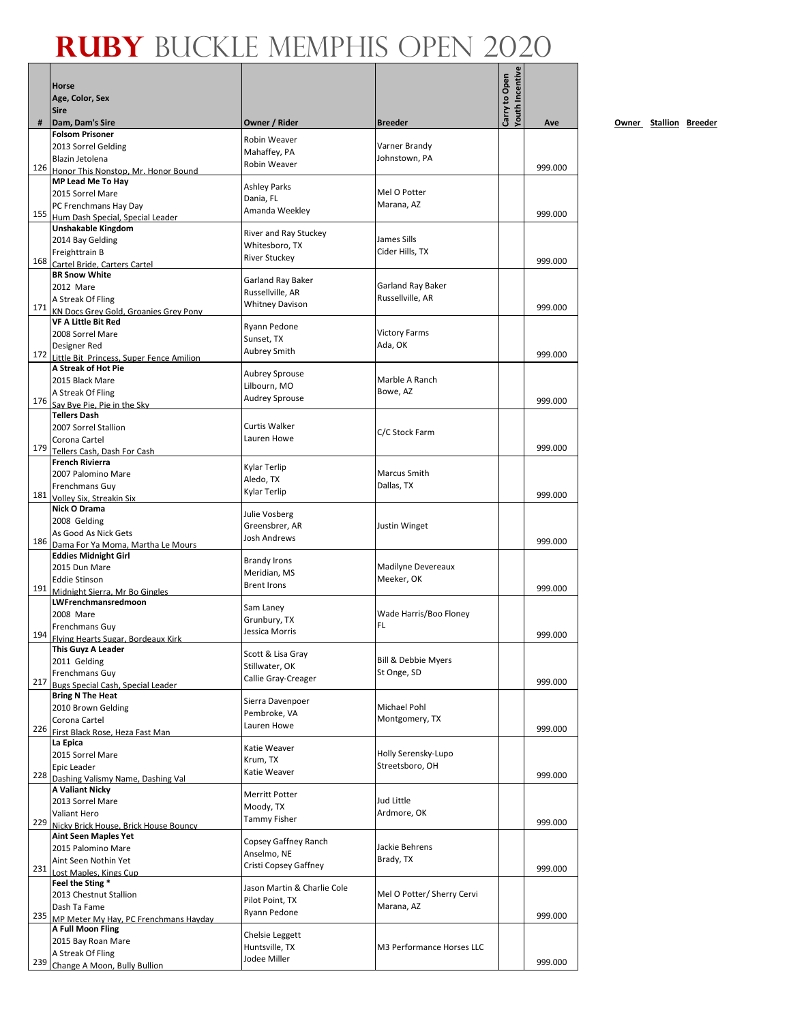|     | <b>Horse</b><br>Age, Color, Sex                                      |                                       |                                  | Youth Incentive<br>Carry to Open |         |     |
|-----|----------------------------------------------------------------------|---------------------------------------|----------------------------------|----------------------------------|---------|-----|
|     | <b>Sire</b>                                                          |                                       |                                  |                                  |         |     |
| #   | Dam, Dam's Sire<br><b>Folsom Prisoner</b>                            | Owner / Rider                         | <b>Breeder</b>                   |                                  | Ave     | Own |
|     | 2013 Sorrel Gelding                                                  | Robin Weaver                          | Varner Brandy                    |                                  |         |     |
|     | Blazin Jetolena                                                      | Mahaffey, PA                          | Johnstown, PA                    |                                  |         |     |
| 126 | Honor This Nonstop. Mr. Honor Bound                                  | Robin Weaver                          |                                  |                                  | 999.000 |     |
|     | MP Lead Me To Hay                                                    | <b>Ashley Parks</b>                   |                                  |                                  |         |     |
|     | 2015 Sorrel Mare                                                     | Dania, FL                             | Mel O Potter                     |                                  |         |     |
| 155 | PC Frenchmans Hay Day                                                | Amanda Weekley                        | Marana, AZ                       |                                  | 999.000 |     |
|     | Hum Dash Special, Special Leader<br>Unshakable Kingdom               |                                       |                                  |                                  |         |     |
|     | 2014 Bay Gelding                                                     | River and Ray Stuckey                 | James Sills                      |                                  |         |     |
|     | Freighttrain B                                                       | Whitesboro, TX                        | Cider Hills, TX                  |                                  |         |     |
| 168 | Cartel Bride, Carters Cartel                                         | <b>River Stuckey</b>                  |                                  |                                  | 999.000 |     |
|     | <b>BR Snow White</b>                                                 | Garland Ray Baker                     |                                  |                                  |         |     |
|     | 2012 Mare                                                            | Russellville, AR                      | Garland Ray Baker                |                                  |         |     |
| 171 | A Streak Of Fling                                                    | <b>Whitney Davison</b>                | Russellville, AR                 |                                  | 999.000 |     |
|     | KN Docs Grey Gold, Groanies Grey Pony<br><b>VF A Little Bit Red</b>  |                                       |                                  |                                  |         |     |
|     | 2008 Sorrel Mare                                                     | Ryann Pedone                          | <b>Victory Farms</b>             |                                  |         |     |
|     | Designer Red                                                         | Sunset, TX                            | Ada, OK                          |                                  |         |     |
| 172 | Little Bit Princess, Super Fence Amilion                             | <b>Aubrey Smith</b>                   |                                  |                                  | 999.000 |     |
|     | A Streak of Hot Pie                                                  | Aubrey Sprouse                        |                                  |                                  |         |     |
|     | 2015 Black Mare                                                      | Lilbourn, MO                          | Marble A Ranch                   |                                  |         |     |
| 176 | A Streak Of Fling<br>Sav Bye Pie. Pie in the Sky                     | <b>Audrey Sprouse</b>                 | Bowe, AZ                         |                                  | 999.000 |     |
|     | <b>Tellers Dash</b>                                                  |                                       |                                  |                                  |         |     |
|     | 2007 Sorrel Stallion                                                 | Curtis Walker                         |                                  |                                  |         |     |
|     | Corona Cartel                                                        | Lauren Howe                           | C/C Stock Farm                   |                                  |         |     |
| 179 | Tellers Cash, Dash For Cash                                          |                                       |                                  |                                  | 999.000 |     |
|     | <b>French Rivierra</b>                                               | Kylar Terlip                          |                                  |                                  |         |     |
|     | 2007 Palomino Mare                                                   | Aledo, TX                             | Marcus Smith                     |                                  |         |     |
| 181 | Frenchmans Guy<br>Volley Six, Streakin Six                           | Kylar Terlip                          | Dallas, TX                       |                                  | 999.000 |     |
|     | Nick O Drama                                                         |                                       |                                  |                                  |         |     |
|     | 2008 Gelding                                                         | Julie Vosberg                         |                                  |                                  |         |     |
|     | As Good As Nick Gets                                                 | Greensbrer, AR<br><b>Josh Andrews</b> | Justin Winget                    |                                  |         |     |
| 186 | Dama For Ya Moma, Martha Le Mours                                    |                                       |                                  |                                  | 999.000 |     |
|     | <b>Eddies Midnight Girl</b>                                          | <b>Brandy Irons</b>                   |                                  |                                  |         |     |
|     | 2015 Dun Mare<br><b>Eddie Stinson</b>                                | Meridian, MS                          | Madilyne Devereaux<br>Meeker, OK |                                  |         |     |
| 191 | Midnight Sierra. Mr Bo Gingles                                       | <b>Brent Irons</b>                    |                                  |                                  | 999.000 |     |
|     | LWFrenchmansredmoon                                                  |                                       |                                  |                                  |         |     |
|     | 2008 Mare                                                            | Sam Laney<br>Grunbury, TX             | Wade Harris/Boo Floney           |                                  |         |     |
|     | Frenchmans Guy                                                       | Jessica Morris                        | FL                               |                                  |         |     |
| 194 | Flying Hearts Sugar, Bordeaux Kirk                                   |                                       |                                  |                                  | 999.000 |     |
|     | This Guyz A Leader<br>2011 Gelding                                   | Scott & Lisa Gray                     | <b>Bill &amp; Debbie Myers</b>   |                                  |         |     |
|     | Frenchmans Guy                                                       | Stillwater, OK                        | St Onge, SD                      |                                  |         |     |
| 217 | Bugs Special Cash, Special Leader                                    | Callie Gray-Creager                   |                                  |                                  | 999.000 |     |
|     | <b>Bring N The Heat</b>                                              | Sierra Davenpoer                      |                                  |                                  |         |     |
|     | 2010 Brown Gelding                                                   | Pembroke, VA                          | Michael Pohl                     |                                  |         |     |
| 226 | Corona Cartel                                                        | Lauren Howe                           | Montgomery, TX                   |                                  | 999.000 |     |
|     | First Black Rose, Heza Fast Man<br>La Epica                          |                                       |                                  |                                  |         |     |
|     | 2015 Sorrel Mare                                                     | Katie Weaver                          | Holly Serensky-Lupo              |                                  |         |     |
|     | Epic Leader                                                          | Krum, TX                              | Streetsboro, OH                  |                                  |         |     |
| 228 | Dashing Valismy Name, Dashing Val                                    | Katie Weaver                          |                                  |                                  | 999.000 |     |
|     | <b>A Valiant Nicky</b>                                               | <b>Merritt Potter</b>                 |                                  |                                  |         |     |
|     | 2013 Sorrel Mare                                                     | Moody, TX                             | Jud Little                       |                                  |         |     |
| 229 | Valiant Hero                                                         | <b>Tammy Fisher</b>                   | Ardmore, OK                      |                                  | 999.000 |     |
|     | Nicky Brick House, Brick House Bouncy<br><b>Aint Seen Maples Yet</b> |                                       |                                  |                                  |         |     |
|     | 2015 Palomino Mare                                                   | Copsey Gaffney Ranch                  | Jackie Behrens                   |                                  |         |     |
|     | Aint Seen Nothin Yet                                                 | Anselmo, NE                           | Brady, TX                        |                                  |         |     |
| 231 | Lost Maples, Kings Cup                                               | Cristi Copsey Gaffney                 |                                  |                                  | 999.000 |     |
|     | Feel the Sting *                                                     | Jason Martin & Charlie Cole           |                                  |                                  |         |     |
|     | 2013 Chestnut Stallion                                               | Pilot Point, TX                       | Mel O Potter/ Sherry Cervi       |                                  |         |     |
| 235 | Dash Ta Fame                                                         | Ryann Pedone                          | Marana, AZ                       |                                  | 999.000 |     |
|     | MP Meter My Hay, PC Frenchmans Hayday<br>A Full Moon Fling           |                                       |                                  |                                  |         |     |
|     | 2015 Bay Roan Mare                                                   | Chelsie Leggett                       |                                  |                                  |         |     |
|     | A Streak Of Fling                                                    | Huntsville, TX                        | M3 Performance Horses LLC        |                                  |         |     |
|     | 239 Change A Moon, Bully Bullion                                     | Jodee Miller                          |                                  |                                  | 999.000 |     |